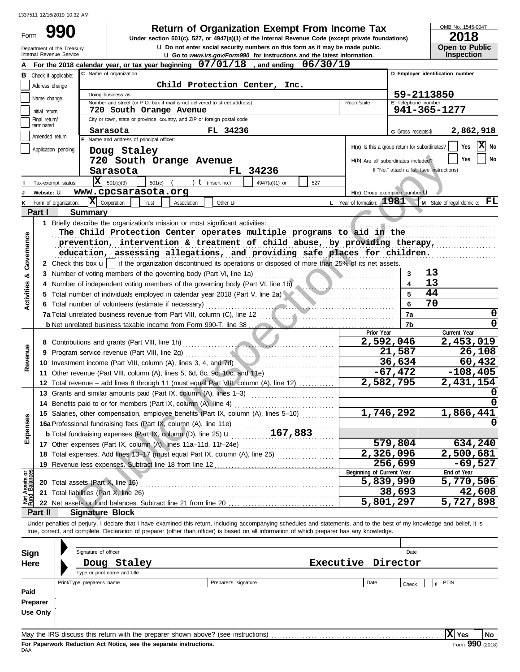Form

# **990** Return of Organization Exempt From Income Tax <br>
Under section 501(c), 527, or 4947(a)(1) of the Internal Revenue Code (except private foundations) 2018

u **Do not enter social security numbers on this form as it may be made public. Open to Public Under section 501(c), 527, or 4947(a)(1) of the Internal Revenue Code (except private foundations)**

OMB No. 1545-0047

| ____ |                       |
|------|-----------------------|
|      | <b>Open to Public</b> |
|      |                       |
|      | <b>Inspection</b>     |

|                                | Department of the Treasury<br>Internal Revenue Service |                              | <b>u</b> Do not enter social security numbers on this form as it may be made public.                                                                                              |                         | <b>Open to Public</b><br><b>Inspection</b>      |  |  |  |
|--------------------------------|--------------------------------------------------------|------------------------------|-----------------------------------------------------------------------------------------------------------------------------------------------------------------------------------|-------------------------|-------------------------------------------------|--|--|--|
|                                |                                                        |                              | <b>u Go to www.irs.gov/Form990 for instructions and the latest information.</b><br>For the 2018 calendar year, or tax year beginning $07/01/18$ , and ending $06/30/19$           |                         |                                                 |  |  |  |
| В                              |                                                        |                              | C Name of organization                                                                                                                                                            |                         | D Employer identification number                |  |  |  |
|                                | Check if applicable:                                   |                              | Child Protection Center, Inc.                                                                                                                                                     |                         |                                                 |  |  |  |
|                                | Address change                                         |                              | Doing business as                                                                                                                                                                 |                         | 59-2113850                                      |  |  |  |
|                                | Name change                                            |                              | Number and street (or P.O. box if mail is not delivered to street address)<br>Room/suite                                                                                          | E Telephone number      |                                                 |  |  |  |
|                                | Initial return                                         |                              | 720 South Orange Avenue                                                                                                                                                           | 941-365-1277            |                                                 |  |  |  |
|                                | Final return/<br>terminated                            |                              | City or town, state or province, country, and ZIP or foreign postal code                                                                                                          |                         |                                                 |  |  |  |
|                                |                                                        |                              | Sarasota<br>FL 34236                                                                                                                                                              | G Gross receipts \$     | 2,862,918                                       |  |  |  |
|                                | Amended return                                         |                              | F Name and address of principal officer:<br>$H(a)$ is this a group return for subordinates?                                                                                       |                         | X No<br>Yes                                     |  |  |  |
|                                | Application pending                                    |                              | Doug Staley                                                                                                                                                                       |                         |                                                 |  |  |  |
|                                |                                                        |                              | 720 South Orange Avenue<br>H(b) Are all subordinates included?                                                                                                                    |                         | No<br>Yes                                       |  |  |  |
|                                |                                                        |                              | FL 34236<br>Sarasota                                                                                                                                                              |                         | If "No," attach a list. (see instructions)      |  |  |  |
|                                | Tax-exempt status:                                     |                              | $X = 501(c)(3)$<br>) $t$ (insert no.)<br>$501(c)$ (<br>4947(a)(1) or<br>527                                                                                                       |                         |                                                 |  |  |  |
|                                | Website: U                                             |                              | www.cpcsarasota.org<br>H(c) Group exemption number LI                                                                                                                             |                         |                                                 |  |  |  |
| κ                              | Form of organization:                                  | $ \mathbf{X} $ Corporation   | L Year of formation: $1981$<br>Trust<br>Association<br>Other <b>u</b>                                                                                                             |                         | <b>M</b> State of legal domicile: $\mathbf{FL}$ |  |  |  |
|                                | Part I                                                 | <b>Summary</b>               |                                                                                                                                                                                   |                         |                                                 |  |  |  |
|                                |                                                        |                              | 1 Briefly describe the organization's mission or most significant activities:                                                                                                     |                         |                                                 |  |  |  |
|                                |                                                        |                              | The Child Protection Center operates multiple programs to aid in the                                                                                                              |                         |                                                 |  |  |  |
| Governance                     |                                                        |                              | prevention, intervention & treatment of child abuse, by providing therapy,                                                                                                        |                         |                                                 |  |  |  |
|                                |                                                        |                              | education, assessing allegations, and providing safe places for children.                                                                                                         |                         |                                                 |  |  |  |
|                                |                                                        |                              | 2 Check this box $\mathbf{u}$   if the organization discontinued its operations or disposed of more than 25% of its net assets.                                                   |                         |                                                 |  |  |  |
| œ                              | 3                                                      |                              | Number of voting members of the governing body (Part VI, line 1a)                                                                                                                 | 3                       | 13                                              |  |  |  |
|                                |                                                        |                              | Number of independent voting members of the governing body (Part VI, line 1b)                                                                                                     | $\overline{\mathbf{4}}$ | 13                                              |  |  |  |
| <b>Activities</b>              |                                                        |                              | Total number of individuals employed in calendar year 2018 (Part V, line 2a)                                                                                                      | 5                       | 44                                              |  |  |  |
|                                |                                                        |                              | 6 Total number of volunteers (estimate if necessary)                                                                                                                              | 6                       | 70                                              |  |  |  |
|                                |                                                        |                              |                                                                                                                                                                                   | 7a                      | 0                                               |  |  |  |
|                                |                                                        |                              | <b>b</b> Net unrelated business taxable income from Form 990-T, line 38                                                                                                           | 7b                      |                                                 |  |  |  |
|                                |                                                        |                              | Prior Year<br>2,592,046                                                                                                                                                           |                         | Current Year<br>2,453,019                       |  |  |  |
|                                |                                                        |                              |                                                                                                                                                                                   | 21,587                  | 26,108                                          |  |  |  |
| Revenue                        |                                                        |                              |                                                                                                                                                                                   | 36,634                  | 60,432                                          |  |  |  |
|                                |                                                        |                              | 10 Investment income (Part VIII, column (A), lines 3, 4, and 7d)                                                                                                                  | $-67,472$               | $-108, 405$                                     |  |  |  |
|                                |                                                        |                              | 11 Other revenue (Part VIII, column (A), lines 5, 6d, 8c, 9c, 10c, and 11e)<br>2,582,795<br>12 Total revenue - add lines 8 through 11 (must equal Part VIII, column (A), line 12) |                         | 2,431,154                                       |  |  |  |
|                                |                                                        |                              | 13 Grants and similar amounts paid (Part IX, column (A), lines 1-3)                                                                                                               |                         |                                                 |  |  |  |
|                                |                                                        |                              | 14 Benefits paid to or for members (Part IX, column (A), line 4)                                                                                                                  |                         |                                                 |  |  |  |
|                                |                                                        |                              | 1,746,292<br>15 Salaries, other compensation, employee benefits (Part IX, column (A), lines 5-10)                                                                                 |                         | 1,866,441                                       |  |  |  |
| Ses                            |                                                        |                              | 16a Professional fundraising fees (Part IX, column (A), line 11e)                                                                                                                 |                         |                                                 |  |  |  |
| Expen                          |                                                        |                              | <b>b</b> Total fundraising expenses (Part IX, column (D), line 25) $\mathbf{u}$ ________ 167,883                                                                                  |                         |                                                 |  |  |  |
|                                |                                                        |                              | 17 Other expenses (Part IX, column (A), lines 11a-11d, 11f-24e)                                                                                                                   | 579,804                 | 634,240                                         |  |  |  |
|                                |                                                        |                              | 2,326,096<br>18 Total expenses. Add lines 13-17 (must equal Part IX, column (A), line 25)                                                                                         |                         | 2,500,681                                       |  |  |  |
|                                |                                                        |                              | 19 Revenue less expenses. Subtract line 18 from line 12                                                                                                                           | 256,699                 | -69,527                                         |  |  |  |
|                                |                                                        |                              | Beginning of Current Year                                                                                                                                                         |                         | End of Year                                     |  |  |  |
| Net Assets or<br>Fund Balances | 20 Total assets (Part X, line 16)                      |                              | 5,839,990                                                                                                                                                                         |                         | 5,770,506                                       |  |  |  |
|                                | 21                                                     |                              | Total liabilities (Part X, line 26)                                                                                                                                               | 38,693                  | 42,608                                          |  |  |  |
|                                |                                                        |                              | 5,801,297<br>22 Net assets or fund balances. Subtract line 21 from line 20                                                                                                        |                         | 5,727,898                                       |  |  |  |
|                                | Part II                                                | <b>Signature Block</b>       |                                                                                                                                                                                   |                         |                                                 |  |  |  |
|                                |                                                        |                              | Under penalties of perjury, I declare that I have examined this return, including accompanying schedules and statements, and to the best of my knowledge and belief, it is        |                         |                                                 |  |  |  |
|                                |                                                        |                              | true, correct, and complete. Declaration of preparer (other than officer) is based on all information of which preparer has any knowledge.                                        |                         |                                                 |  |  |  |
|                                |                                                        |                              |                                                                                                                                                                                   |                         |                                                 |  |  |  |
| Sign                           |                                                        | Signature of officer         |                                                                                                                                                                                   | Date                    |                                                 |  |  |  |
| Here                           |                                                        |                              | Executive Director<br>Doug Staley                                                                                                                                                 |                         |                                                 |  |  |  |
|                                |                                                        | Type or print name and title |                                                                                                                                                                                   |                         |                                                 |  |  |  |
|                                |                                                        | Print/Type preparer's name   | Preparer's signature<br>Date                                                                                                                                                      | Check                   | if PTIN                                         |  |  |  |
| Paid                           |                                                        |                              |                                                                                                                                                                                   |                         |                                                 |  |  |  |
|                                | Preparer                                               |                              |                                                                                                                                                                                   |                         |                                                 |  |  |  |
|                                | <b>Use Only</b>                                        |                              |                                                                                                                                                                                   |                         |                                                 |  |  |  |
|                                |                                                        |                              |                                                                                                                                                                                   |                         |                                                 |  |  |  |
|                                |                                                        |                              | May the IRS discuss this return with the preparer shown above? (see instructions)                                                                                                 |                         | $ X $ Yes<br><b>No</b>                          |  |  |  |

| Sign     | Signature of officer                 |        |                                                                                   | Date      |      |          |           |  |    |
|----------|--------------------------------------|--------|-----------------------------------------------------------------------------------|-----------|------|----------|-----------|--|----|
| Here     | Doug<br>Type or print name and title | Staley |                                                                                   | Executive |      | Director |           |  |    |
|          | Print/Type preparer's name           |        | Preparer's signature                                                              |           | Date | Check    | $if$ PTIN |  |    |
| Paid     |                                      |        |                                                                                   |           |      |          |           |  |    |
| Preparer |                                      |        |                                                                                   |           |      |          |           |  |    |
| Use Only |                                      |        |                                                                                   |           |      |          |           |  |    |
|          |                                      |        |                                                                                   |           |      |          |           |  |    |
|          |                                      |        | May the IRS discuss this return with the preparer shown above? (see instructions) |           |      |          | $ X $ Yes |  | No |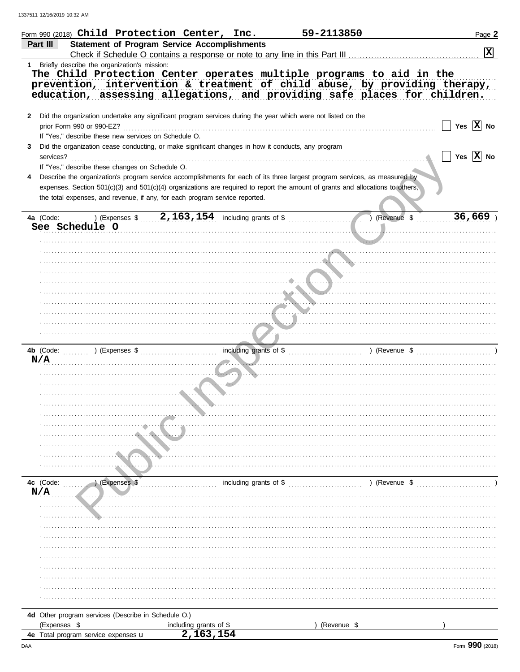| Form 990 (2018) Child Protection Center, Inc.                                                                                                   |                        | 59-2113850  |               | Page 2                |
|-------------------------------------------------------------------------------------------------------------------------------------------------|------------------------|-------------|---------------|-----------------------|
| <b>Statement of Program Service Accomplishments</b><br>Part III<br>Check if Schedule O contains a response or note to any line in this Part III |                        |             |               | X                     |
| 1 Briefly describe the organization's mission:                                                                                                  |                        |             |               |                       |
| The Child Protection Center operates multiple programs to aid in the                                                                            |                        |             |               |                       |
| prevention, intervention & treatment of child abuse, by providing therapy,                                                                      |                        |             |               |                       |
| education, assessing allegations, and providing safe places for children.                                                                       |                        |             |               |                       |
|                                                                                                                                                 |                        |             |               |                       |
| 2 Did the organization undertake any significant program services during the year which were not listed on the                                  |                        |             |               |                       |
|                                                                                                                                                 |                        |             |               | Yes $\overline{X}$ No |
| If "Yes," describe these new services on Schedule O.                                                                                            |                        |             |               |                       |
| Did the organization cease conducting, or make significant changes in how it conducts, any program<br>3                                         |                        |             |               |                       |
| services?                                                                                                                                       |                        |             |               | Yes $\overline{X}$ No |
| If "Yes," describe these changes on Schedule O.                                                                                                 |                        |             |               |                       |
| Describe the organization's program service accomplishments for each of its three largest program services, as measured by<br>4                 |                        |             |               |                       |
| expenses. Section 501(c)(3) and 501(c)(4) organizations are required to report the amount of grants and allocations to others,                  |                        |             |               |                       |
| the total expenses, and revenue, if any, for each program service reported.                                                                     |                        |             |               |                       |
|                                                                                                                                                 |                        |             |               |                       |
| ) (Expenses $\sqrt[6]{2,163,154}$ including grants of $\sqrt[6]{2,163,154}$<br>4a (Code:<br>See Schedule O                                      |                        |             | (Revenue \$   | 36,669                |
|                                                                                                                                                 |                        |             |               |                       |
|                                                                                                                                                 |                        |             |               |                       |
|                                                                                                                                                 |                        |             |               |                       |
|                                                                                                                                                 |                        |             |               |                       |
|                                                                                                                                                 |                        |             |               |                       |
|                                                                                                                                                 |                        |             |               |                       |
|                                                                                                                                                 |                        |             |               |                       |
|                                                                                                                                                 |                        |             |               |                       |
|                                                                                                                                                 |                        |             |               |                       |
|                                                                                                                                                 |                        |             |               |                       |
|                                                                                                                                                 |                        |             |               |                       |
|                                                                                                                                                 |                        |             |               |                       |
| N/A                                                                                                                                             |                        |             |               |                       |
|                                                                                                                                                 |                        |             |               |                       |
|                                                                                                                                                 |                        |             |               |                       |
|                                                                                                                                                 |                        |             |               |                       |
|                                                                                                                                                 |                        |             |               |                       |
|                                                                                                                                                 |                        |             |               |                       |
|                                                                                                                                                 |                        |             |               |                       |
|                                                                                                                                                 |                        |             |               |                       |
|                                                                                                                                                 |                        |             |               |                       |
|                                                                                                                                                 |                        |             |               |                       |
|                                                                                                                                                 |                        |             |               |                       |
| 4c (Code:<br>(Expenses \$                                                                                                                       | including grants of \$ |             | ) (Revenue \$ |                       |
| N/A                                                                                                                                             |                        |             |               |                       |
|                                                                                                                                                 |                        |             |               |                       |
|                                                                                                                                                 |                        |             |               |                       |
|                                                                                                                                                 |                        |             |               |                       |
|                                                                                                                                                 |                        |             |               |                       |
|                                                                                                                                                 |                        |             |               |                       |
|                                                                                                                                                 |                        |             |               |                       |
|                                                                                                                                                 |                        |             |               |                       |
|                                                                                                                                                 |                        |             |               |                       |
|                                                                                                                                                 |                        |             |               |                       |
|                                                                                                                                                 |                        |             |               |                       |
|                                                                                                                                                 |                        |             |               |                       |
| 4d Other program services (Describe in Schedule O.)                                                                                             |                        |             |               |                       |
| (Expenses \$                                                                                                                                    | including grants of \$ | (Revenue \$ |               |                       |
| 4e Total program service expenses u                                                                                                             | 2, 163, 154            |             |               |                       |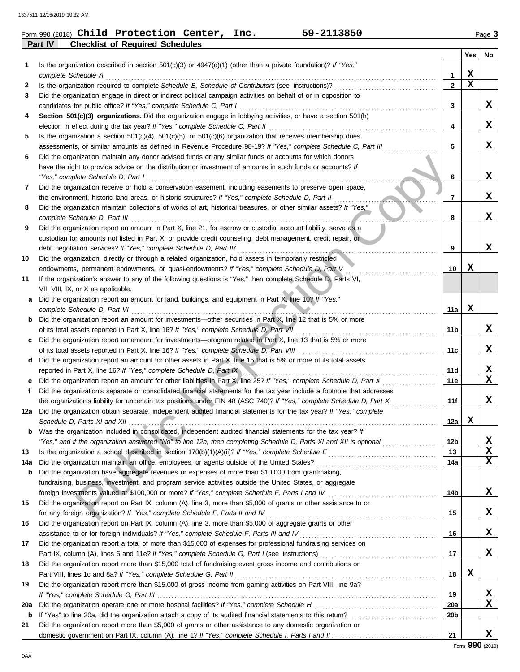|                | Form 990 (2018) $\mathtt{Children}$ Protection Center, | Inc. | 59-2113850 | Page $3$ |
|----------------|--------------------------------------------------------|------|------------|----------|
| <b>Part IV</b> | <b>Checklist of Required Schedules</b>                 |      |            |          |

|     |                                                                                                                                              |                 | Yes | No |
|-----|----------------------------------------------------------------------------------------------------------------------------------------------|-----------------|-----|----|
| 1   | Is the organization described in section $501(c)(3)$ or $4947(a)(1)$ (other than a private foundation)? If "Yes,"                            |                 |     |    |
|     | complete Schedule A                                                                                                                          | 1               | X   |    |
| 2   |                                                                                                                                              | $\overline{2}$  | X   |    |
| 3   | Did the organization engage in direct or indirect political campaign activities on behalf of or in opposition to                             |                 |     |    |
|     | candidates for public office? If "Yes," complete Schedule C, Part I                                                                          | 3               |     | x  |
| 4   | Section 501(c)(3) organizations. Did the organization engage in lobbying activities, or have a section 501(h)                                |                 |     |    |
|     | election in effect during the tax year? If "Yes," complete Schedule C, Part II                                                               | 4               |     | x  |
| 5   | Is the organization a section $501(c)(4)$ , $501(c)(5)$ , or $501(c)(6)$ organization that receives membership dues,                         |                 |     |    |
|     | assessments, or similar amounts as defined in Revenue Procedure 98-19? If "Yes," complete Schedule C, Part III                               | 5               |     | x  |
| 6   | Did the organization maintain any donor advised funds or any similar funds or accounts for which donors                                      |                 |     |    |
|     | have the right to provide advice on the distribution or investment of amounts in such funds or accounts? If                                  |                 |     |    |
|     | "Yes," complete Schedule D, Part I                                                                                                           | 6               |     | x  |
| 7   | Did the organization receive or hold a conservation easement, including easements to preserve open space,                                    |                 |     |    |
|     | the environment, historic land areas, or historic structures? If "Yes," complete Schedule D, Part II                                         | 7               |     | x  |
| 8   | Did the organization maintain collections of works of art, historical treasures, or other similar assets? If "Yes,"                          |                 |     |    |
|     | complete Schedule D, Part III                                                                                                                | 8               |     | x  |
| 9   | Did the organization report an amount in Part X, line 21, for escrow or custodial account liability, serve as a                              |                 |     |    |
|     | custodian for amounts not listed in Part X; or provide credit counseling, debt management, credit repair, or                                 |                 |     |    |
|     | debt negotiation services? If "Yes," complete Schedule D, Part IV                                                                            | 9               |     | x  |
| 10  | Did the organization, directly or through a related organization, hold assets in temporarily restricted                                      |                 |     |    |
|     | endowments, permanent endowments, or quasi-endowments? If "Yes," complete Schedule D, Part V                                                 | 10              | х   |    |
| 11  | If the organization's answer to any of the following questions is "Yes," then complete Schedule D, Parts VI,                                 |                 |     |    |
|     | VII, VIII, IX, or X as applicable.                                                                                                           |                 |     |    |
| a   | Did the organization report an amount for land, buildings, and equipment in Part X, line 10? If "Yes,"                                       | 11a             | X   |    |
| b   | complete Schedule D, Part VI<br>Did the organization report an amount for investments-other securities in Part X, line 12 that is 5% or more |                 |     |    |
|     | of its total assets reported in Part X, line 16? If "Yes," complete Schedule D, Part VII                                                     | 11b             |     | x  |
| c   | Did the organization report an amount for investments—program related in Part X, line 13 that is 5% or more                                  |                 |     |    |
|     | of its total assets reported in Part X, line 16? If "Yes," complete Schedule D, Part VIII                                                    | 11c             |     | x  |
| d   | Did the organization report an amount for other assets in Part X, line 15 that is 5% or more of its total assets                             |                 |     |    |
|     | reported in Part X, line 16? If "Yes," complete Schedule D, Part IX                                                                          | 11d             |     | x  |
| е   | Did the organization report an amount for other liabilities in Part X, line 25? If "Yes," complete Schedule D, Part X                        | 11e             |     | X  |
| f   | Did the organization's separate or consolidated financial statements for the tax year include a footnote that addresses                      |                 |     |    |
|     | the organization's liability for uncertain tax positions under FIN 48 (ASC 740)? If "Yes," complete Schedule D, Part X                       | 11f             |     | x  |
|     | 12a Did the organization obtain separate, independent audited financial statements for the tax year? If "Yes," complete                      |                 |     |    |
|     |                                                                                                                                              | 12a             | х   |    |
| b   | Was the organization included in consolidated, independent audited financial statements for the tax year? If                                 |                 |     |    |
|     | "Yes," and if the organization answered "No" to line 12a, then completing Schedule D, Parts XI and XII is optional                           | 12b             |     | x  |
| 13  |                                                                                                                                              | 13              |     | X  |
| 14a |                                                                                                                                              | 14a             |     | X  |
| b   | Did the organization have aggregate revenues or expenses of more than \$10,000 from grantmaking,                                             |                 |     |    |
|     | fundraising, business, investment, and program service activities outside the United States, or aggregate                                    |                 |     |    |
|     |                                                                                                                                              | 14b             |     | x  |
| 15  | Did the organization report on Part IX, column (A), line 3, more than \$5,000 of grants or other assistance to or                            |                 |     |    |
|     | for any foreign organization? If "Yes," complete Schedule F, Parts II and IV                                                                 | 15              |     | x  |
| 16  | Did the organization report on Part IX, column (A), line 3, more than \$5,000 of aggregate grants or other                                   |                 |     |    |
|     | assistance to or for foreign individuals? If "Yes," complete Schedule F, Parts III and IV                                                    | 16              |     | x  |
| 17  | Did the organization report a total of more than \$15,000 of expenses for professional fundraising services on                               |                 |     |    |
|     |                                                                                                                                              | 17              |     | x  |
| 18  | Did the organization report more than \$15,000 total of fundraising event gross income and contributions on                                  |                 |     |    |
|     | Part VIII, lines 1c and 8a? If "Yes," complete Schedule G, Part II                                                                           | 18              | X   |    |
| 19  | Did the organization report more than \$15,000 of gross income from gaming activities on Part VIII, line 9a?                                 |                 |     |    |
|     |                                                                                                                                              | 19              |     | X  |
| 20a |                                                                                                                                              | 20a             |     | X  |
| b   |                                                                                                                                              | 20 <sub>b</sub> |     |    |
| 21  | Did the organization report more than \$5,000 of grants or other assistance to any domestic organization or                                  |                 |     |    |
|     |                                                                                                                                              | 21              |     | x  |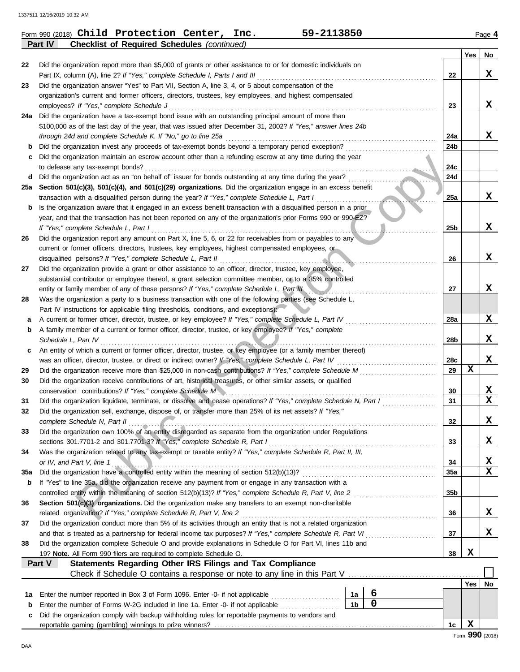|     | 59-2113850<br>Form 990 (2018) Child Protection Center, Inc.                                                                                                       |                 |             | Page 4      |
|-----|-------------------------------------------------------------------------------------------------------------------------------------------------------------------|-----------------|-------------|-------------|
|     | <b>Checklist of Required Schedules (continued)</b><br>Part IV                                                                                                     |                 |             |             |
| 22  | Did the organization report more than \$5,000 of grants or other assistance to or for domestic individuals on                                                     |                 | Yes         | No          |
|     | Part IX, column (A), line 2? If "Yes," complete Schedule I, Parts I and III                                                                                       | 22              |             | X           |
| 23  | Did the organization answer "Yes" to Part VII, Section A, line 3, 4, or 5 about compensation of the                                                               |                 |             |             |
|     | organization's current and former officers, directors, trustees, key employees, and highest compensated                                                           |                 |             |             |
|     | employees? If "Yes," complete Schedule J                                                                                                                          | 23              |             | X           |
|     | 24a Did the organization have a tax-exempt bond issue with an outstanding principal amount of more than                                                           |                 |             |             |
|     | \$100,000 as of the last day of the year, that was issued after December 31, 2002? If "Yes," answer lines 24b                                                     |                 |             |             |
|     | through 24d and complete Schedule K. If "No," go to line 25a                                                                                                      | 24a             |             | X           |
| b   | Did the organization invest any proceeds of tax-exempt bonds beyond a temporary period exception?                                                                 | 24b             |             |             |
| c   | Did the organization maintain an escrow account other than a refunding escrow at any time during the year                                                         |                 |             |             |
|     | to defease any tax-exempt bonds?                                                                                                                                  | 24c             |             |             |
|     | d Did the organization act as an "on behalf of" issuer for bonds outstanding at any time during the year?                                                         | 24d             |             |             |
|     | 25a Section 501(c)(3), 501(c)(4), and 501(c)(29) organizations. Did the organization engage in an excess benefit                                                  |                 |             |             |
|     | transaction with a disqualified person during the year? If "Yes," complete Schedule L, Part I                                                                     | 25a             |             | X           |
| b   | Is the organization aware that it engaged in an excess benefit transaction with a disqualified person in a prior                                                  |                 |             |             |
|     | year, and that the transaction has not been reported on any of the organization's prior Forms 990 or 990-EZ?                                                      |                 |             |             |
|     | If "Yes," complete Schedule L, Part I                                                                                                                             | 25 <sub>b</sub> |             | X           |
| 26  | Did the organization report any amount on Part X, line 5, 6, or 22 for receivables from or payables to any                                                        |                 |             |             |
|     | current or former officers, directors, trustees, key employees, highest compensated employees, or<br>disqualified persons? If "Yes," complete Schedule L, Part II |                 |             | X           |
| 27  | Did the organization provide a grant or other assistance to an officer, director, trustee, key employee,                                                          | 26              |             |             |
|     | substantial contributor or employee thereof, a grant selection committee member, or to a 35% controlled                                                           |                 |             |             |
|     | entity or family member of any of these persons? If "Yes," complete Schedule L, Part III                                                                          | 27              |             | X           |
| 28  | Was the organization a party to a business transaction with one of the following parties (see Schedule L,                                                         |                 |             |             |
|     | Part IV instructions for applicable filing thresholds, conditions, and exceptions):                                                                               |                 |             |             |
| а   | A current or former officer, director, trustee, or key employee? If "Yes," complete Schedule L, Part IV                                                           | 28a             |             | X           |
| b   | A family member of a current or former officer, director, trustee, or key employee? If "Yes," complete                                                            |                 |             |             |
|     | Schedule L, Part IV                                                                                                                                               | 28b             |             | X           |
| c   | An entity of which a current or former officer, director, trustee, or key employee (or a family member thereof)                                                   |                 |             |             |
|     | was an officer, director, trustee, or direct or indirect owner? If "Yes," complete Schedule L, Part IV                                                            | 28c             |             | X           |
| 29  | Did the organization receive more than \$25,000 in non-cash contributions? If "Yes," complete Schedule M                                                          | 29              | $\mathbf x$ |             |
| 30  | Did the organization receive contributions of art, historical treasures, or other similar assets, or qualified                                                    |                 |             |             |
|     | conservation contributions? If "Yes," complete Schedule M                                                                                                         | 30              |             | X           |
| 31  | Did the organization liquidate, terminate, or dissolve and cease operations? If "Yes," complete Schedule N, Part I                                                | 31              |             | $\mathbf x$ |
|     | Did the organization sell, exchange, dispose of, or transfer more than 25% of its net assets? If "Yes,"                                                           |                 |             |             |
|     | complete Schedule N, Part II                                                                                                                                      | 32              |             | X           |
| 33  | Did the organization own 100% of an entity disregarded as separate from the organization under Regulations                                                        |                 |             |             |
|     | sections 301.7701-2 and 301.7701-3? If "Yes," complete Schedule R, Part I                                                                                         | 33              |             | X           |
| 34  | Was the organization related to any tax-exempt or taxable entity? If "Yes," complete Schedule R, Part II, III,                                                    |                 |             |             |
|     | or IV, and Part V, line 1<br>Did the organization have a controlled entity within the meaning of section 512(b)(13)?                                              | 34              |             | X<br>X      |
| 35a | If "Yes" to line 35a, did the organization receive any payment from or engage in any transaction with a                                                           | 35a             |             |             |
| b   | controlled entity within the meaning of section 512(b)(13)? If "Yes," complete Schedule R, Part V, line 2                                                         | 35 <sub>b</sub> |             |             |
| 36  | Section 501(c)(3) organizations. Did the organization make any transfers to an exempt non-charitable                                                              |                 |             |             |
|     | related organization? If "Yes," complete Schedule R, Part V, line 2                                                                                               | 36              |             | X           |
| 37  | Did the organization conduct more than 5% of its activities through an entity that is not a related organization                                                  |                 |             |             |
|     | and that is treated as a partnership for federal income tax purposes? If "Yes," complete Schedule R, Part VI                                                      | 37              |             | X           |
| 38  | Did the organization complete Schedule O and provide explanations in Schedule O for Part VI, lines 11b and                                                        |                 |             |             |
|     | 19? Note. All Form 990 filers are required to complete Schedule O.                                                                                                | 38              | X           |             |
|     | Statements Regarding Other IRS Filings and Tax Compliance<br>Part V                                                                                               |                 |             |             |
|     | Check if Schedule O contains a response or note to any line in this Part V                                                                                        |                 |             |             |
|     |                                                                                                                                                                   |                 | Yes         | No          |
| 1а  | 6<br>Enter the number reported in Box 3 of Form 1096. Enter -0- if not applicable<br>1a                                                                           |                 |             |             |
| b   | $\mathbf 0$<br>1 <sub>b</sub><br>Enter the number of Forms W-2G included in line 1a. Enter -0- if not applicable                                                  |                 |             |             |
| c   | Did the organization comply with backup withholding rules for reportable payments to vendors and                                                                  |                 |             |             |
|     |                                                                                                                                                                   | 1c              | X           |             |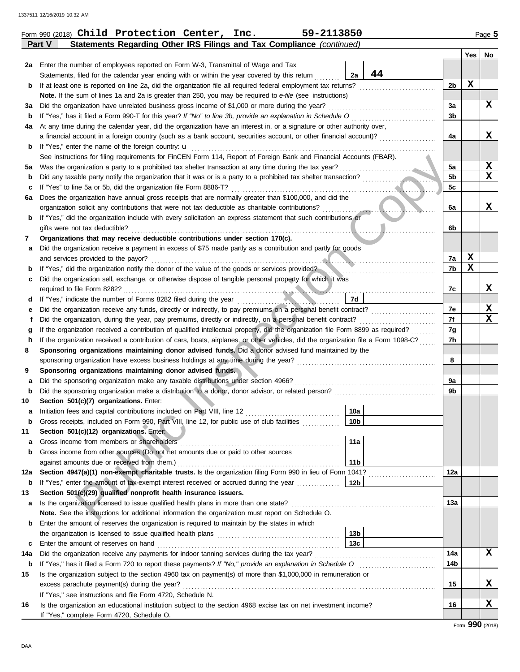|             | Statements Regarding Other IRS Filings and Tax Compliance (continued)<br><b>Part V</b>                                                                                                               |     |            |             |
|-------------|------------------------------------------------------------------------------------------------------------------------------------------------------------------------------------------------------|-----|------------|-------------|
|             |                                                                                                                                                                                                      |     | Yes        | No.         |
|             | 2a Enter the number of employees reported on Form W-3, Transmittal of Wage and Tax                                                                                                                   |     |            |             |
|             | 44<br>Statements, filed for the calendar year ending with or within the year covered by this return<br>2a                                                                                            |     |            |             |
| b           | If at least one is reported on line 2a, did the organization file all required federal employment tax returns?                                                                                       | 2b  | X          |             |
|             | <b>Note.</b> If the sum of lines 1a and 2a is greater than 250, you may be required to e-file (see instructions)                                                                                     |     |            |             |
| за          | Did the organization have unrelated business gross income of \$1,000 or more during the year?                                                                                                        | За  |            | x           |
| b           | If "Yes," has it filed a Form 990-T for this year? If "No" to line 3b, provide an explanation in Schedule O                                                                                          | 3b  |            |             |
| 4a          | At any time during the calendar year, did the organization have an interest in, or a signature or other authority over,                                                                              |     |            |             |
|             | a financial account in a foreign country (such as a bank account, securities account, or other financial account)?                                                                                   | 4a  |            | х           |
| b           | If "Yes," enter the name of the foreign country: <b>u</b>                                                                                                                                            |     |            |             |
|             | See instructions for filing requirements for FinCEN Form 114, Report of Foreign Bank and Financial Accounts (FBAR).                                                                                  |     |            |             |
| 5а          | Was the organization a party to a prohibited tax shelter transaction at any time during the tax year?                                                                                                | 5a  |            | X           |
| b           |                                                                                                                                                                                                      | 5b  |            | $\mathbf x$ |
| с           | If "Yes" to line 5a or 5b, did the organization file Form 8886-T?                                                                                                                                    | 5c  |            |             |
| 6а          | Does the organization have annual gross receipts that are normally greater than \$100,000, and did the                                                                                               |     |            |             |
|             | organization solicit any contributions that were not tax deductible as charitable contributions?                                                                                                     | 6a  |            | x           |
| b           | If "Yes," did the organization include with every solicitation an express statement that such contributions or                                                                                       |     |            |             |
|             | gifts were not tax deductible?                                                                                                                                                                       | 6b  |            |             |
| 7           | Organizations that may receive deductible contributions under section 170(c).                                                                                                                        |     |            |             |
| а           | Did the organization receive a payment in excess of \$75 made partly as a contribution and partly for goods                                                                                          |     |            |             |
|             | and services provided to the payor?                                                                                                                                                                  | 7a  | X          |             |
| b           | If "Yes," did the organization notify the donor of the value of the goods or services provided?                                                                                                      | 7b  | х          |             |
| c           | Did the organization sell, exchange, or otherwise dispose of tangible personal property for which it was                                                                                             |     |            |             |
|             |                                                                                                                                                                                                      | 7c  |            | X           |
| a           | 7d                                                                                                                                                                                                   |     |            |             |
| е           |                                                                                                                                                                                                      | 7e  |            | х           |
| Ť           | Did the organization, during the year, pay premiums, directly or indirectly, on a personal benefit contract?                                                                                         | 7f  |            | $\mathbf x$ |
| g           | If the organization received a contribution of qualified intellectual property, did the organization file Form 8899 as required?                                                                     | 7g  |            |             |
| h           | If the organization received a contribution of cars, boats, airplanes, or other vehicles, did the organization file a Form 1098-C?                                                                   | 7h  |            |             |
| 8           | Sponsoring organizations maintaining donor advised funds. Did a donor advised fund maintained by the                                                                                                 |     |            |             |
|             | sponsoring organization have excess business holdings at any time during the year?<br>and a complete the contract of the complete the complete the complete the complete the complete the complete t | 8   |            |             |
| 9           | Sponsoring organizations maintaining donor advised funds.                                                                                                                                            |     |            |             |
| а           | Did the sponsoring organization make any taxable distributions under section 4966?                                                                                                                   | 9a  |            |             |
| $\mathbf b$ |                                                                                                                                                                                                      | 9b  |            |             |
| 10          | Section 501(c)(7) organizations. Enter:                                                                                                                                                              |     |            |             |
| а           | 10a<br>Initiation fees and capital contributions included on Part VIII, line 12                                                                                                                      |     |            |             |
|             | 10 <sub>b</sub><br>Gross receipts, included on Form 990, Part VIII, line 12, for public use of club facilities                                                                                       |     |            |             |
| 11          | Section 501(c)(12) organizations. Enter:                                                                                                                                                             |     |            |             |
| а           | Gross income from members or shareholders<br>11a                                                                                                                                                     |     |            |             |
| b           | Gross income from other sources (Do not net amounts due or paid to other sources                                                                                                                     |     |            |             |
|             | against amounts due or received from them.)<br>11 <sub>b</sub>                                                                                                                                       |     |            |             |
| 12a         | Section 4947(a)(1) non-exempt charitable trusts. Is the organization filing Form 990 in lieu of Form 1041?                                                                                           | 12a |            |             |
| b           |                                                                                                                                                                                                      |     |            |             |
| 13          | Section 501(c)(29) qualified nonprofit health insurance issuers.                                                                                                                                     |     |            |             |
| a           | Is the organization licensed to issue qualified health plans in more than one state?                                                                                                                 | 13а |            |             |
|             | Note. See the instructions for additional information the organization must report on Schedule O.                                                                                                    |     |            |             |
| b           | Enter the amount of reserves the organization is required to maintain by the states in which                                                                                                         |     |            |             |
|             | 13b                                                                                                                                                                                                  |     |            |             |
| c           | 13 <sub>c</sub><br>Enter the amount of reserves on hand                                                                                                                                              |     |            |             |
| 14a         | Did the organization receive any payments for indoor tanning services during the tax year?                                                                                                           | 14a |            | x           |
| b           |                                                                                                                                                                                                      | 14b |            |             |
| 15          | Is the organization subject to the section 4960 tax on payment(s) of more than \$1,000,000 in remuneration or                                                                                        |     |            |             |
|             | excess parachute payment(s) during the year?                                                                                                                                                         | 15  |            | x           |
|             | If "Yes," see instructions and file Form 4720, Schedule N.                                                                                                                                           |     |            |             |
| 16          | Is the organization an educational institution subject to the section 4968 excise tax on net investment income?                                                                                      | 16  |            | X           |
|             | If "Yes," complete Form 4720, Schedule O.                                                                                                                                                            |     |            |             |
|             |                                                                                                                                                                                                      |     | <b>000</b> |             |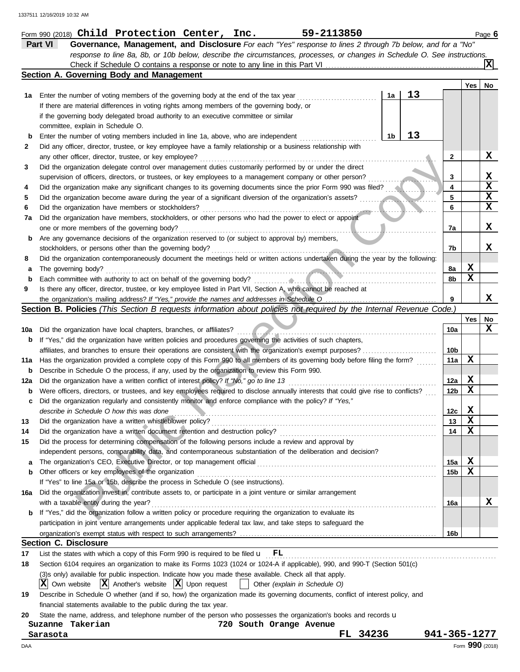|     | 59-2113850<br>Form 990 (2018) $Child$ Protection Center, Inc.                                                                       |                 |             | Page 6          |
|-----|-------------------------------------------------------------------------------------------------------------------------------------|-----------------|-------------|-----------------|
|     | Part VI<br>Governance, Management, and Disclosure For each "Yes" response to lines 2 through 7b below, and for a "No"               |                 |             |                 |
|     | response to line 8a, 8b, or 10b below, describe the circumstances, processes, or changes in Schedule O. See instructions.           |                 |             |                 |
|     |                                                                                                                                     |                 |             | IХ              |
|     | Section A. Governing Body and Management                                                                                            |                 |             |                 |
|     |                                                                                                                                     |                 | Yes         | No              |
| 1а  | 13<br>1a<br>Enter the number of voting members of the governing body at the end of the tax year                                     |                 |             |                 |
|     | If there are material differences in voting rights among members of the governing body, or                                          |                 |             |                 |
|     | if the governing body delegated broad authority to an executive committee or similar                                                |                 |             |                 |
|     | committee, explain in Schedule O.                                                                                                   |                 |             |                 |
| b   | 13<br>1 <sub>b</sub><br>Enter the number of voting members included in line 1a, above, who are independent                          |                 |             |                 |
|     |                                                                                                                                     |                 |             |                 |
| 2   | Did any officer, director, trustee, or key employee have a family relationship or a business relationship with                      |                 |             | X               |
|     | any other officer, director, trustee, or key employee?                                                                              | $\mathbf{2}$    |             |                 |
| 3   | Did the organization delegate control over management duties customarily performed by or under the direct                           |                 |             |                 |
|     | supervision of officers, directors, or trustees, or key employees to a management company or other person?                          | 3               |             | X               |
| 4   | Did the organization make any significant changes to its governing documents since the prior Form 990 was filed?                    | 4               |             | $\mathbf x$     |
| 5   | Did the organization become aware during the year of a significant diversion of the organization's assets?                          | 5               |             | $\mathbf x$     |
| 6   | Did the organization have members or stockholders?                                                                                  | 6               |             | X               |
| 7a  | Did the organization have members, stockholders, or other persons who had the power to elect or appoint                             |                 |             |                 |
|     | one or more members of the governing body?                                                                                          | 7a              |             | X               |
| b   | Are any governance decisions of the organization reserved to (or subject to approval by) members,                                   |                 |             |                 |
|     | stockholders, or persons other than the governing body?                                                                             | 7b              |             | x               |
| 8   | Did the organization contemporaneously document the meetings held or written actions undertaken during the year by the following:   |                 |             |                 |
| а   | The governing body?                                                                                                                 | 8а              | х           |                 |
| b   | Each committee with authority to act on behalf of the governing body?                                                               | 8b              | X           |                 |
| 9   | Is there any officer, director, trustee, or key employee listed in Part VII, Section A, who cannot be reached at                    |                 |             |                 |
|     |                                                                                                                                     | 9               |             | X               |
|     | <b>Section B. Policies</b> (This Section B requests information about policies not required by the Internal Revenue Code.)          |                 |             |                 |
|     |                                                                                                                                     |                 | Yes         | No              |
| 10a | Did the organization have local chapters, branches, or affiliates?                                                                  | 10a             |             | x               |
| b   | If "Yes," did the organization have written policies and procedures governing the activities of such chapters,                      |                 |             |                 |
|     | affiliates, and branches to ensure their operations are consistent with the organization's exempt purposes?                         | 10b             |             |                 |
| 11a | Has the organization provided a complete copy of this Form 990 to all members of its governing body before filing the form?         | 11a             | X           |                 |
| b   | Describe in Schedule O the process, if any, used by the organization to review this Form 990.                                       |                 |             |                 |
|     |                                                                                                                                     |                 | X           |                 |
| 12a | Did the organization have a written conflict of interest policy? If "No," go to line 13                                             | 12a             | X           |                 |
| b   | Were officers, directors, or trustees, and key employees required to disclose annually interests that could give rise to conflicts? | 12 <sub>b</sub> |             |                 |
| с   | Did the organization regularly and consistently monitor and enforce compliance with the policy? If "Yes,"                           |                 |             |                 |
|     | describe in Schedule O how this was done                                                                                            | 12 <sub>c</sub> | X           |                 |
| 13  | Did the organization have a written whistleblower policy?                                                                           | 13              | $\mathbf x$ |                 |
| 14  | Did the organization have a written document retention and destruction policy?                                                      | 14              | х           |                 |
| 15  | Did the process for determining compensation of the following persons include a review and approval by                              |                 |             |                 |
|     | independent persons, comparability data, and contemporaneous substantiation of the deliberation and decision?                       |                 |             |                 |
| а   | The organization's CEO, Executive Director, or top management official                                                              | 15a             | X           |                 |
| b   | Other officers or key employees of the organization                                                                                 | 15b             | х           |                 |
|     | If "Yes" to line 15a or 15b, describe the process in Schedule O (see instructions).                                                 |                 |             |                 |
| 16a | Did the organization invest in, contribute assets to, or participate in a joint venture or similar arrangement                      |                 |             |                 |
|     | with a taxable entity during the year?                                                                                              | 16a             |             | х               |
|     | If "Yes," did the organization follow a written policy or procedure requiring the organization to evaluate its                      |                 |             |                 |
|     | participation in joint venture arrangements under applicable federal tax law, and take steps to safeguard the                       |                 |             |                 |
|     |                                                                                                                                     | 16b             |             |                 |
|     | <b>Section C. Disclosure</b>                                                                                                        |                 |             |                 |
| 17  | List the states with which a copy of this Form 990 is required to be filed $\mathbf{u}$ $\mathbf{FL}$                               |                 |             |                 |
| 18  | Section 6104 requires an organization to make its Forms 1023 (1024 or 1024-A if applicable), 990, and 990-T (Section 501(c)         |                 |             |                 |
|     | (3)s only) available for public inspection. Indicate how you made these available. Check all that apply.                            |                 |             |                 |
|     | X Own website<br>$ \mathbf{X} $ Another's website $ \mathbf{X} $ Upon request<br>Other (explain in Schedule O)<br>$\mathbf{1}$      |                 |             |                 |
|     |                                                                                                                                     |                 |             |                 |
| 19  | Describe in Schedule O whether (and if so, how) the organization made its governing documents, conflict of interest policy, and     |                 |             |                 |
|     | financial statements available to the public during the tax year.                                                                   |                 |             |                 |
| 20  | State the name, address, and telephone number of the person who possesses the organization's books and records u                    |                 |             |                 |
|     | Suzanne Takerian<br>720 South Orange Avenue                                                                                         |                 |             |                 |
|     | FL 34236<br>Sarasota                                                                                                                | 941-365-1277    |             |                 |
| DAA |                                                                                                                                     |                 |             | Form 990 (2018) |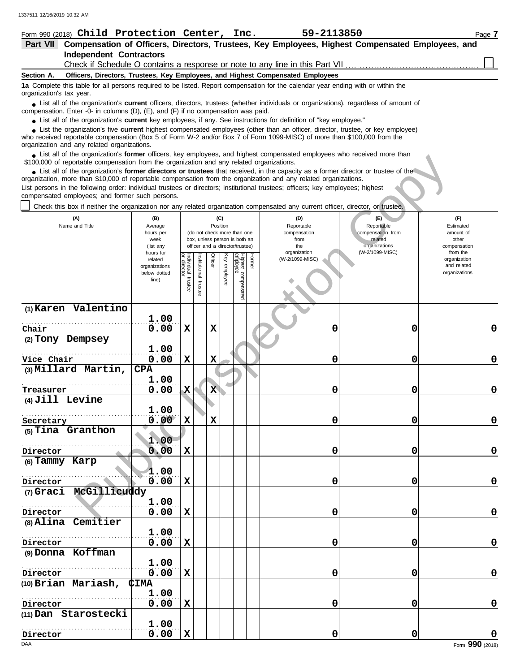| Form 990 (2018) Child Protection Center, Inc.                                                                                                                                                                          |                       |              |              |                         |              |                                                              |        | 59-2113850                                                                      |                              | Page 7                   |  |  |  |  |
|------------------------------------------------------------------------------------------------------------------------------------------------------------------------------------------------------------------------|-----------------------|--------------|--------------|-------------------------|--------------|--------------------------------------------------------------|--------|---------------------------------------------------------------------------------|------------------------------|--------------------------|--|--|--|--|
| Part VII Compensation of Officers, Directors, Trustees, Key Employees, Highest Compensated Employees, and                                                                                                              |                       |              |              |                         |              |                                                              |        |                                                                                 |                              |                          |  |  |  |  |
| <b>Independent Contractors</b>                                                                                                                                                                                         |                       |              |              |                         |              |                                                              |        |                                                                                 |                              |                          |  |  |  |  |
|                                                                                                                                                                                                                        |                       |              |              |                         |              |                                                              |        | Check if Schedule O contains a response or note to any line in this Part VII    |                              |                          |  |  |  |  |
| Section A.                                                                                                                                                                                                             |                       |              |              |                         |              |                                                              |        | Officers, Directors, Trustees, Key Employees, and Highest Compensated Employees |                              |                          |  |  |  |  |
| 1a Complete this table for all persons required to be listed. Report compensation for the calendar year ending with or within the<br>organization's tax year.                                                          |                       |              |              |                         |              |                                                              |        |                                                                                 |                              |                          |  |  |  |  |
| • List all of the organization's current officers, directors, trustees (whether individuals or organizations), regardless of amount of                                                                                 |                       |              |              |                         |              |                                                              |        |                                                                                 |                              |                          |  |  |  |  |
| compensation. Enter -0- in columns (D), (E), and (F) if no compensation was paid.<br>• List all of the organization's current key employees, if any. See instructions for definition of "key employee."                |                       |              |              |                         |              |                                                              |        |                                                                                 |                              |                          |  |  |  |  |
| List the organization's five current highest compensated employees (other than an officer, director, trustee, or key employee)                                                                                         |                       |              |              |                         |              |                                                              |        |                                                                                 |                              |                          |  |  |  |  |
| who received reportable compensation (Box 5 of Form W-2 and/or Box 7 of Form 1099-MISC) of more than \$100,000 from the<br>organization and any related organizations.                                                 |                       |              |              |                         |              |                                                              |        |                                                                                 |                              |                          |  |  |  |  |
| • List all of the organization's former officers, key employees, and highest compensated employees who received more than<br>\$100,000 of reportable compensation from the organization and any related organizations. |                       |              |              |                         |              |                                                              |        |                                                                                 |                              |                          |  |  |  |  |
| • List all of the organization's former directors or trustees that received, in the capacity as a former director or trustee of the                                                                                    |                       |              |              |                         |              |                                                              |        |                                                                                 |                              |                          |  |  |  |  |
| organization, more than \$10,000 of reportable compensation from the organization and any related organizations.                                                                                                       |                       |              |              |                         |              |                                                              |        |                                                                                 |                              |                          |  |  |  |  |
| List persons in the following order: individual trustees or directors; institutional trustees; officers; key employees; highest                                                                                        |                       |              |              |                         |              |                                                              |        |                                                                                 |                              |                          |  |  |  |  |
| compensated employees; and former such persons.<br>Check this box if neither the organization nor any related organization compensated any current officer, director, or trustee.                                      |                       |              |              |                         |              |                                                              |        |                                                                                 |                              |                          |  |  |  |  |
|                                                                                                                                                                                                                        |                       |              |              |                         |              |                                                              |        |                                                                                 |                              |                          |  |  |  |  |
| (A)<br>Name and Title                                                                                                                                                                                                  | (B)<br>Average        |              |              | Position                | (C)          |                                                              |        | (D)<br>Reportable                                                               | $(\mathsf{E})$<br>Reportable | (F)<br>Estimated         |  |  |  |  |
|                                                                                                                                                                                                                        | hours per             |              |              |                         |              | (do not check more than one<br>box, unless person is both an |        | compensation                                                                    | compensation from            | amount of                |  |  |  |  |
|                                                                                                                                                                                                                        | week<br>(list any     |              |              |                         |              | officer and a director/trustee)                              |        | from<br>the                                                                     | related<br>organizations     | other<br>compensation    |  |  |  |  |
|                                                                                                                                                                                                                        | hours for<br>related  |              |              | Officer                 |              |                                                              |        | organization<br>(W-2/1099-MISC)                                                 | (W-2/1099-MISC)              | from the<br>organization |  |  |  |  |
|                                                                                                                                                                                                                        | organizations         | Individual 1 | nstitutional |                         | Key employee |                                                              | Former |                                                                                 |                              | and related              |  |  |  |  |
|                                                                                                                                                                                                                        | below dotted<br>line) |              |              |                         |              |                                                              |        |                                                                                 |                              | organizations            |  |  |  |  |
|                                                                                                                                                                                                                        |                       | trustee      | trustee      |                         |              | Highest compensated<br>employee                              |        |                                                                                 |                              |                          |  |  |  |  |
|                                                                                                                                                                                                                        |                       |              |              |                         |              |                                                              |        |                                                                                 |                              |                          |  |  |  |  |
| (1) Karen Valentino                                                                                                                                                                                                    |                       |              |              |                         |              |                                                              |        |                                                                                 |                              |                          |  |  |  |  |
| Chair                                                                                                                                                                                                                  | 1.00<br>0.00          | $\mathbf x$  |              | $\mathbf x$             |              |                                                              |        | 0                                                                               | 0                            | 0                        |  |  |  |  |
| (2) Tony Dempsey                                                                                                                                                                                                       |                       |              |              |                         |              |                                                              |        |                                                                                 |                              |                          |  |  |  |  |
|                                                                                                                                                                                                                        | 1.00                  |              |              |                         |              |                                                              |        |                                                                                 |                              |                          |  |  |  |  |
| Vice Chair                                                                                                                                                                                                             | 0.00                  | $\mathbf x$  |              | X                       |              |                                                              |        | 0                                                                               | 0                            | 0                        |  |  |  |  |
| (3) Millard Martin,                                                                                                                                                                                                    | <b>CPA</b>            |              |              |                         |              |                                                              |        |                                                                                 |                              |                          |  |  |  |  |
|                                                                                                                                                                                                                        | 1.00                  |              |              |                         |              |                                                              |        |                                                                                 |                              |                          |  |  |  |  |
| Treasurer                                                                                                                                                                                                              | 0.00                  | $\mathbf x$  |              | $\overline{\mathbf{x}}$ |              |                                                              |        | 0                                                                               | 0                            | 0                        |  |  |  |  |
| (4) Jill Levine                                                                                                                                                                                                        |                       |              |              |                         |              |                                                              |        |                                                                                 |                              |                          |  |  |  |  |
| Secretary                                                                                                                                                                                                              | 1.00<br>0.00          | $\mathbf x$  |              | X                       |              |                                                              |        | 0                                                                               | 0                            | 0                        |  |  |  |  |
| (5) Tina Granthon                                                                                                                                                                                                      |                       |              |              |                         |              |                                                              |        |                                                                                 |                              |                          |  |  |  |  |
|                                                                                                                                                                                                                        | 1.00                  |              |              |                         |              |                                                              |        |                                                                                 |                              |                          |  |  |  |  |
| Director                                                                                                                                                                                                               | 0.00                  | $\mathbf x$  |              |                         |              |                                                              |        | 0                                                                               | 0                            | 0                        |  |  |  |  |
| (6) Tammy Karp                                                                                                                                                                                                         |                       |              |              |                         |              |                                                              |        |                                                                                 |                              |                          |  |  |  |  |
|                                                                                                                                                                                                                        | 1.00                  |              |              |                         |              |                                                              |        |                                                                                 |                              |                          |  |  |  |  |
| Director                                                                                                                                                                                                               | 0.00                  | $\mathbf x$  |              |                         |              |                                                              |        | 0                                                                               | 0                            | 0                        |  |  |  |  |
| (7) Graci McGillicuddy                                                                                                                                                                                                 |                       |              |              |                         |              |                                                              |        |                                                                                 |                              |                          |  |  |  |  |
|                                                                                                                                                                                                                        | 1.00<br>0.00          | $\mathbf x$  |              |                         |              |                                                              |        | 0                                                                               | 0                            | 0                        |  |  |  |  |
| Director<br>(8) Alina Cemitier                                                                                                                                                                                         |                       |              |              |                         |              |                                                              |        |                                                                                 |                              |                          |  |  |  |  |
|                                                                                                                                                                                                                        | 1.00                  |              |              |                         |              |                                                              |        |                                                                                 |                              |                          |  |  |  |  |
| Director                                                                                                                                                                                                               | 0.00                  | X            |              |                         |              |                                                              |        | 0                                                                               | 0                            | 0                        |  |  |  |  |
| (9) Donna Koffman                                                                                                                                                                                                      |                       |              |              |                         |              |                                                              |        |                                                                                 |                              |                          |  |  |  |  |
|                                                                                                                                                                                                                        | 1.00                  |              |              |                         |              |                                                              |        |                                                                                 |                              |                          |  |  |  |  |
| Director                                                                                                                                                                                                               | 0.00                  | $\mathbf x$  |              |                         |              |                                                              |        | 0                                                                               | 0                            | 0                        |  |  |  |  |
| (10) Brian Mariash,                                                                                                                                                                                                    | <b>CIMA</b>           |              |              |                         |              |                                                              |        |                                                                                 |                              |                          |  |  |  |  |
|                                                                                                                                                                                                                        | 1.00                  |              |              |                         |              |                                                              |        |                                                                                 |                              |                          |  |  |  |  |
| Director                                                                                                                                                                                                               | 0.00                  | $\mathbf x$  |              |                         |              |                                                              |        | 0                                                                               | 0                            | 0                        |  |  |  |  |
| (11) Dan Starostecki                                                                                                                                                                                                   |                       |              |              |                         |              |                                                              |        |                                                                                 |                              |                          |  |  |  |  |
|                                                                                                                                                                                                                        | 1.00                  |              |              |                         |              |                                                              |        |                                                                                 |                              |                          |  |  |  |  |
| Director                                                                                                                                                                                                               | 0.00                  | $\mathbf x$  |              |                         |              |                                                              |        | 0                                                                               | 0                            | $\mathbf 0$              |  |  |  |  |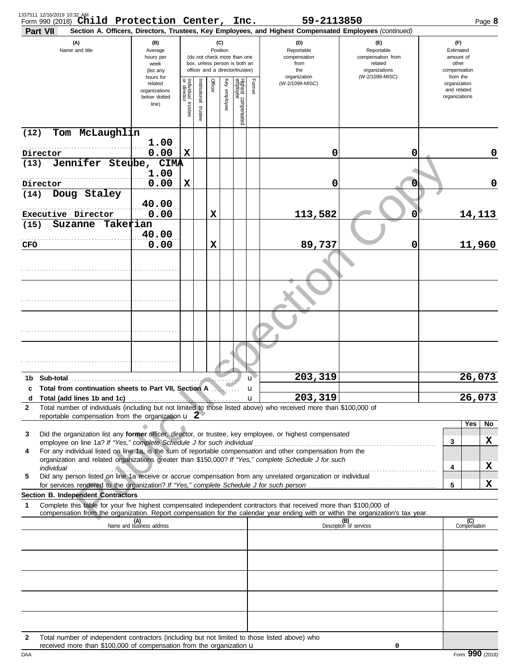| Form 990 (2018) Child Protection Center, Inc.<br>Part VII                                                                                                                            |                                                                |                                                                                                                    |                       |             |              |                                 |              | 59-2113850<br>Section A. Officers, Directors, Trustees, Key Employees, and Highest Compensated Employees (continued) |                                                                                       |   | Page 8                                                             |
|--------------------------------------------------------------------------------------------------------------------------------------------------------------------------------------|----------------------------------------------------------------|--------------------------------------------------------------------------------------------------------------------|-----------------------|-------------|--------------|---------------------------------|--------------|----------------------------------------------------------------------------------------------------------------------|---------------------------------------------------------------------------------------|---|--------------------------------------------------------------------|
| (A)<br>Name and title                                                                                                                                                                | (B)<br>Average<br>hours per<br>week<br>(list any               | (C)<br>Position<br>(do not check more than one<br>box, unless person is both an<br>officer and a director/trustee) |                       |             |              |                                 |              | (D)<br>Reportable<br>compensation<br>from<br>the<br>organization                                                     | (E)<br>Reportable<br>compensation from<br>related<br>organizations<br>(W-2/1099-MISC) |   | (F)<br>Estimated<br>amount of<br>other<br>compensation<br>from the |
|                                                                                                                                                                                      | hours for<br>related<br>organizations<br>below dotted<br>line) | Individual 1<br>trustee                                                                                            | Institutional trustee | Officer     | Key employee | Highest compensated<br>employee | Former       | (W-2/1099-MISC)                                                                                                      |                                                                                       |   | organization<br>and related<br>organizations                       |
| Tom McLaughlin<br>(12)                                                                                                                                                               |                                                                |                                                                                                                    |                       |             |              |                                 |              |                                                                                                                      |                                                                                       |   |                                                                    |
| Director                                                                                                                                                                             | 1.00<br>0.00                                                   | $\mathbf x$                                                                                                        |                       |             |              |                                 |              | 0                                                                                                                    | 0                                                                                     |   | $\mathbf 0$                                                        |
| Jennifer Steube, CIMA<br>(13)                                                                                                                                                        |                                                                |                                                                                                                    |                       |             |              |                                 |              |                                                                                                                      |                                                                                       |   |                                                                    |
| Director                                                                                                                                                                             | 1.00<br>0.00                                                   | $\mathbf x$                                                                                                        |                       |             |              |                                 |              | 0                                                                                                                    | 0                                                                                     |   | 0                                                                  |
| Doug Staley<br>(14)                                                                                                                                                                  |                                                                |                                                                                                                    |                       |             |              |                                 |              |                                                                                                                      |                                                                                       |   |                                                                    |
|                                                                                                                                                                                      | 40.00                                                          |                                                                                                                    |                       |             |              |                                 |              |                                                                                                                      |                                                                                       |   |                                                                    |
| Executive Director<br>Suzanne Takerian<br>(15)                                                                                                                                       | 0.00                                                           |                                                                                                                    |                       | $\mathbf x$ |              |                                 |              | 113,582                                                                                                              | 0                                                                                     |   | 14,113                                                             |
| CFO                                                                                                                                                                                  | 40.00<br>0.00                                                  |                                                                                                                    |                       | $\mathbf x$ |              |                                 |              | 89,737                                                                                                               | 0                                                                                     |   | 11,960                                                             |
|                                                                                                                                                                                      |                                                                |                                                                                                                    |                       |             |              |                                 |              |                                                                                                                      |                                                                                       |   |                                                                    |
|                                                                                                                                                                                      |                                                                |                                                                                                                    |                       |             |              |                                 |              |                                                                                                                      |                                                                                       |   |                                                                    |
|                                                                                                                                                                                      |                                                                |                                                                                                                    |                       |             |              |                                 |              |                                                                                                                      |                                                                                       |   |                                                                    |
|                                                                                                                                                                                      |                                                                |                                                                                                                    |                       |             |              |                                 |              |                                                                                                                      |                                                                                       |   |                                                                    |
|                                                                                                                                                                                      |                                                                |                                                                                                                    |                       |             |              |                                 | $\mathbf{u}$ | 203,319                                                                                                              |                                                                                       |   | 26,073                                                             |
| c Total from continuation sheets to Part VII, Section A                                                                                                                              |                                                                |                                                                                                                    |                       |             |              |                                 |              |                                                                                                                      |                                                                                       |   |                                                                    |
| d<br>Total number of individuals (including but not limited to those listed above) who received more than \$100,000 of<br>$\mathbf{2}$                                               |                                                                |                                                                                                                    |                       |             |              |                                 |              | 203,319                                                                                                              |                                                                                       |   | $\overline{2}6,073$                                                |
| reportable compensation from the organization $\mathbf u$ 2                                                                                                                          |                                                                |                                                                                                                    |                       |             |              |                                 |              |                                                                                                                      |                                                                                       |   |                                                                    |
| Did the organization list any former officer, director, or trustee, key employee, or highest compensated<br>3                                                                        |                                                                |                                                                                                                    |                       |             |              |                                 |              |                                                                                                                      |                                                                                       |   | Yes<br>No                                                          |
| For any individual listed on line 1a, is the sum of reportable compensation and other compensation from the<br>4                                                                     |                                                                |                                                                                                                    |                       |             |              |                                 |              |                                                                                                                      |                                                                                       | 3 | X                                                                  |
| organization and related organizations greater than \$150,000? If "Yes," complete Schedule J for such                                                                                |                                                                |                                                                                                                    |                       |             |              |                                 |              |                                                                                                                      |                                                                                       |   | X                                                                  |
| Did any person listed on line 1a receive or accrue compensation from any unrelated organization or individual<br>5                                                                   |                                                                |                                                                                                                    |                       |             |              |                                 |              |                                                                                                                      |                                                                                       | 4 |                                                                    |
| Section B. Independent Contractors                                                                                                                                                   |                                                                |                                                                                                                    |                       |             |              |                                 |              |                                                                                                                      |                                                                                       | 5 | x                                                                  |
| 1<br>Complete this table for your five highest compensated independent contractors that received more than \$100,000 of                                                              |                                                                |                                                                                                                    |                       |             |              |                                 |              |                                                                                                                      |                                                                                       |   |                                                                    |
| compensation from the organization. Report compensation for the calendar year ending with or within the organization's tax year.                                                     | (A)<br>Name and business address                               |                                                                                                                    |                       |             |              |                                 |              |                                                                                                                      | (B)<br>Description of services                                                        |   | (C)<br>Compensation                                                |
|                                                                                                                                                                                      |                                                                |                                                                                                                    |                       |             |              |                                 |              |                                                                                                                      |                                                                                       |   |                                                                    |
|                                                                                                                                                                                      |                                                                |                                                                                                                    |                       |             |              |                                 |              |                                                                                                                      |                                                                                       |   |                                                                    |
|                                                                                                                                                                                      |                                                                |                                                                                                                    |                       |             |              |                                 |              |                                                                                                                      |                                                                                       |   |                                                                    |
|                                                                                                                                                                                      |                                                                |                                                                                                                    |                       |             |              |                                 |              |                                                                                                                      |                                                                                       |   |                                                                    |
|                                                                                                                                                                                      |                                                                |                                                                                                                    |                       |             |              |                                 |              |                                                                                                                      |                                                                                       |   |                                                                    |
| Total number of independent contractors (including but not limited to those listed above) who<br>2<br>received more than \$100,000 of compensation from the organization $\mathbf u$ |                                                                |                                                                                                                    |                       |             |              |                                 |              |                                                                                                                      | 0                                                                                     |   |                                                                    |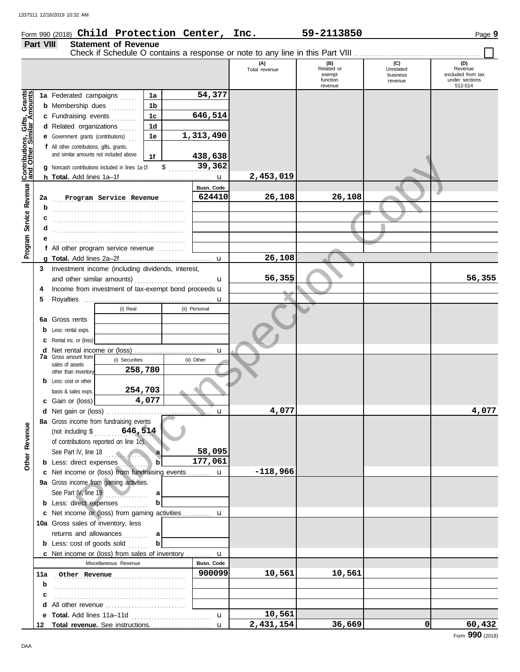## Form 990 (2018) Page **9 Child Protection Center, Inc. 59-2113850**

#### **Part VIII Statement of Revenue**

|                                                           |     |                                                                                     |                |                |    |               | (A)<br>Total revenue | (B)<br>Related or<br>exempt<br>function<br>revenue | (C)<br>Unrelated<br>business<br>revenue | (D)<br>Revenue<br>excluded from tax<br>under sections<br>512-514 |
|-----------------------------------------------------------|-----|-------------------------------------------------------------------------------------|----------------|----------------|----|---------------|----------------------|----------------------------------------------------|-----------------------------------------|------------------------------------------------------------------|
|                                                           |     | 1a Federated campaigns                                                              |                | 1a             |    | 54,377        |                      |                                                    |                                         |                                                                  |
| Contributions, Gifts, Grants<br>and Other Similar Amounts |     | <b>b</b> Membership dues <i></i> .                                                  |                | 1b             |    |               |                      |                                                    |                                         |                                                                  |
|                                                           |     | c Fundraising events                                                                |                | 1 <sub>c</sub> |    | 646,514       |                      |                                                    |                                         |                                                                  |
|                                                           |     |                                                                                     |                | 1 <sub>d</sub> |    |               |                      |                                                    |                                         |                                                                  |
|                                                           |     | d Related organizations                                                             |                |                |    |               |                      |                                                    |                                         |                                                                  |
|                                                           |     | <b>e</b> Government grants (contributions)                                          |                | 1e             |    | 1,313,490     |                      |                                                    |                                         |                                                                  |
|                                                           |     | f All other contributions, gifts, grants,<br>and similar amounts not included above |                |                |    |               |                      |                                                    |                                         |                                                                  |
|                                                           |     |                                                                                     |                | 1f             |    | 438,638       |                      |                                                    |                                         |                                                                  |
|                                                           |     | g Noncash contributions included in lines 1a-1f:                                    |                |                | \$ | 39,362        |                      |                                                    |                                         |                                                                  |
|                                                           |     |                                                                                     |                |                |    |               | 2,453,019            |                                                    |                                         |                                                                  |
|                                                           |     |                                                                                     |                |                |    | Busn. Code    |                      |                                                    |                                         |                                                                  |
|                                                           | 2a  | Program Service Revenue                                                             |                |                |    | 624410        | 26,108               | 26,108                                             |                                         |                                                                  |
|                                                           | b   |                                                                                     |                |                |    |               |                      |                                                    |                                         |                                                                  |
|                                                           |     |                                                                                     |                |                |    |               |                      |                                                    |                                         |                                                                  |
|                                                           | d   |                                                                                     |                |                |    |               |                      |                                                    |                                         |                                                                  |
|                                                           |     |                                                                                     |                |                |    |               |                      |                                                    |                                         |                                                                  |
| Program Service Revenue                                   |     | f All other program service revenue                                                 |                |                |    |               |                      |                                                    |                                         |                                                                  |
|                                                           |     |                                                                                     |                |                |    |               | 26,108               |                                                    |                                         |                                                                  |
|                                                           | 3   | Investment income (including dividends, interest,                                   |                |                |    |               |                      |                                                    |                                         |                                                                  |
|                                                           |     |                                                                                     |                |                |    | u             | 56,355               |                                                    |                                         | 56,355                                                           |
|                                                           | 4   | Income from investment of tax-exempt bond proceeds u                                |                |                |    |               |                      |                                                    |                                         |                                                                  |
|                                                           | 5   |                                                                                     |                |                |    |               |                      |                                                    |                                         |                                                                  |
|                                                           |     |                                                                                     | (i) Real       |                |    | (ii) Personal |                      |                                                    |                                         |                                                                  |
|                                                           | 6а  | Gross rents                                                                         |                |                |    |               |                      |                                                    |                                         |                                                                  |
|                                                           | b   | Less: rental exps.                                                                  |                |                |    |               |                      |                                                    |                                         |                                                                  |
|                                                           | с   | Rental inc. or (loss)                                                               |                |                |    |               |                      |                                                    |                                         |                                                                  |
|                                                           | d   |                                                                                     |                |                |    | u             |                      |                                                    |                                         |                                                                  |
|                                                           |     | <b>7a</b> Gross amount from<br>sales of assets                                      | (i) Securities |                |    | (ii) Other    |                      |                                                    |                                         |                                                                  |
|                                                           |     | 258,780<br>other than inventory                                                     |                |                |    |               |                      |                                                    |                                         |                                                                  |
|                                                           |     | <b>b</b> Less: cost or other                                                        |                |                |    |               |                      |                                                    |                                         |                                                                  |
|                                                           |     | basis & sales exps.                                                                 |                | 254,703        |    |               |                      |                                                    |                                         |                                                                  |
|                                                           | с   | Gain or (loss)                                                                      |                | 4,077          |    |               |                      |                                                    |                                         |                                                                  |
|                                                           |     | Net gain or (loss)                                                                  |                |                |    | $\mathbf{u}$  | 4,077                |                                                    |                                         | 4,077                                                            |
| ≗                                                         |     | 8a Gross income from fundraising events                                             |                |                |    |               |                      |                                                    |                                         |                                                                  |
|                                                           |     | 646,514<br>(not including \$                                                        |                |                |    |               |                      |                                                    |                                         |                                                                  |
|                                                           |     | of contributions reported on line 1c).                                              |                |                |    |               |                      |                                                    |                                         |                                                                  |
|                                                           |     | See Part IV, line 18                                                                |                |                |    | 58,095        |                      |                                                    |                                         |                                                                  |
| Other Reven                                               |     | <b>b</b> Less: direct expenses                                                      |                |                |    | 177,061       |                      |                                                    |                                         |                                                                  |
|                                                           |     | c Net income or (loss) from fundraising events  u                                   |                |                |    |               | $-118,966$           |                                                    |                                         |                                                                  |
|                                                           |     | 9a Gross income from gaming activities.                                             |                |                |    |               |                      |                                                    |                                         |                                                                  |
|                                                           |     | See Part IV, line 19                                                                | an mari        | a              |    |               |                      |                                                    |                                         |                                                                  |
|                                                           |     | <b>b</b> Less: direct expenses                                                      |                | b              |    |               |                      |                                                    |                                         |                                                                  |
|                                                           |     | c Net income or (loss) from gaming activities  u                                    |                |                |    |               |                      |                                                    |                                         |                                                                  |
|                                                           |     | <b>10a</b> Gross sales of inventory, less                                           |                |                |    |               |                      |                                                    |                                         |                                                                  |
|                                                           |     | returns and allowances                                                              |                | a              |    |               |                      |                                                    |                                         |                                                                  |
|                                                           |     | <b>b</b> Less: cost of goods sold                                                   |                | b              |    |               |                      |                                                    |                                         |                                                                  |
|                                                           |     | <b>c</b> Net income or (loss) from sales of inventory $\mathbf{u}$                  |                |                |    |               |                      |                                                    |                                         |                                                                  |
|                                                           |     | Miscellaneous Revenue                                                               |                |                |    | Busn. Code    |                      |                                                    |                                         |                                                                  |
|                                                           | 11a | Other Revenue                                                                       |                |                |    | 900099        | 10,561               | 10,561                                             |                                         |                                                                  |
|                                                           | b   |                                                                                     |                |                |    |               |                      |                                                    |                                         |                                                                  |
|                                                           | c   |                                                                                     |                |                |    |               |                      |                                                    |                                         |                                                                  |
|                                                           | d   | All other revenue                                                                   |                |                |    |               |                      |                                                    |                                         |                                                                  |
|                                                           | е   |                                                                                     |                |                |    | $\mathbf{u}$  | 10,561               |                                                    |                                         |                                                                  |
|                                                           | 12  | Total revenue. See instructions.                                                    |                |                |    | $\mathbf{u}$  | 2,431,154            | 36,669                                             | 0                                       | 60,432                                                           |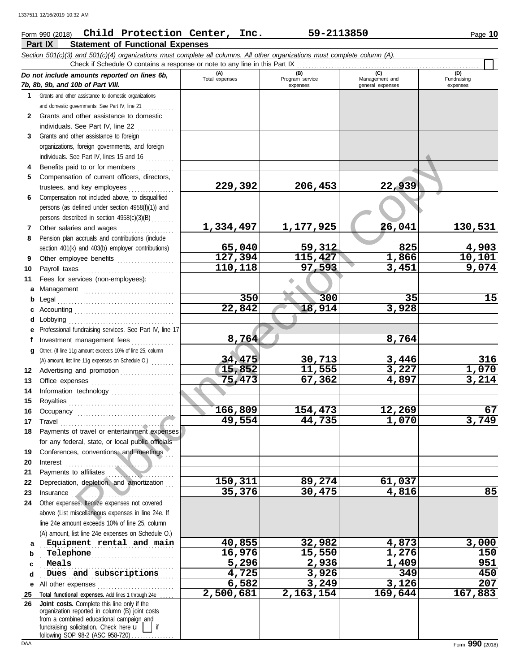#### **Part IX Statement of Functional Expenses** Form 990 (2018) Page **10 Child Protection Center, Inc. 59-2113850**

|              | Section 501(c)(3) and 501(c)(4) organizations must complete all columns. All other organizations must complete column (A). |                       |                        |                       |                    |
|--------------|----------------------------------------------------------------------------------------------------------------------------|-----------------------|------------------------|-----------------------|--------------------|
|              | Check if Schedule O contains a response or note to any line in this Part IX                                                |                       |                        |                       |                    |
|              | Do not include amounts reported on lines 6b,                                                                               | (A)<br>Total expenses | (B)<br>Program service | (C)<br>Management and | (D)<br>Fundraising |
|              | 7b, 8b, 9b, and 10b of Part VIII.                                                                                          |                       | expenses               | general expenses      | expenses           |
| 1            | Grants and other assistance to domestic organizations                                                                      |                       |                        |                       |                    |
|              | and domestic governments. See Part IV, line 21                                                                             |                       |                        |                       |                    |
| $\mathbf{2}$ | Grants and other assistance to domestic                                                                                    |                       |                        |                       |                    |
|              | individuals. See Part IV, line 22                                                                                          |                       |                        |                       |                    |
| 3            | Grants and other assistance to foreign<br>organizations, foreign governments, and foreign                                  |                       |                        |                       |                    |
|              | individuals. See Part IV, lines 15 and 16                                                                                  |                       |                        |                       |                    |
| 4            | Benefits paid to or for members                                                                                            |                       |                        |                       |                    |
| 5            | Compensation of current officers, directors,                                                                               |                       |                        |                       |                    |
|              | trustees, and key employees                                                                                                | 229,392               | 206,453                | 22,939                |                    |
| 6            | Compensation not included above, to disqualified                                                                           |                       |                        |                       |                    |
|              | persons (as defined under section 4958(f)(1)) and                                                                          |                       |                        |                       |                    |
|              | persons described in section 4958(c)(3)(B)                                                                                 |                       |                        |                       |                    |
| 7            | Other salaries and wages<br>.                                                                                              | 1,334,497             | 1,177,925              | 26,041                | 130,531            |
| 8            | Pension plan accruals and contributions (include                                                                           |                       |                        |                       |                    |
|              | section 401(k) and 403(b) employer contributions)                                                                          | 65,040                | 59,312                 | 825                   | <u>4,903</u>       |
| 9            |                                                                                                                            | 127,394               | 115,427                | 1,866                 | 10,101             |
| 10           |                                                                                                                            | 110,118               | 97,593                 | 3,451                 | 9,074              |
| 11           | Fees for services (non-employees):                                                                                         |                       |                        |                       |                    |
| a            |                                                                                                                            |                       |                        |                       |                    |
| b            | Legal                                                                                                                      | 350                   | 300                    | 35                    | 15                 |
| c            |                                                                                                                            | 22,842                | 18,914                 | 3,928                 |                    |
| d            | Lobbying                                                                                                                   |                       |                        |                       |                    |
| е            | Professional fundraising services. See Part IV, line 17                                                                    |                       |                        |                       |                    |
| f            | Investment management fees<br><u>.</u><br>1986 - Paul Barbara, president                                                   | 8,764                 |                        | 8,764                 |                    |
| a            | Other. (If line 11g amount exceeds 10% of line 25, column                                                                  |                       |                        |                       |                    |
|              | (A) amount, list line 11g expenses on Schedule O.)                                                                         | 34,475                | 30,713                 | 3,446                 | 316                |
| 12           | Advertising and promotion                                                                                                  | 15,852                | 11,555                 | 3,227                 | 1,070              |
| 13           |                                                                                                                            | 75,473                | 67,362                 | 4,897                 | 3,214              |
| 14           | Information technology                                                                                                     |                       |                        |                       |                    |
| 15           | Royalties                                                                                                                  |                       |                        |                       |                    |
| 16           | Occupancy                                                                                                                  | 166,809               | 154,473                | 12,269                | 67<br>3,749        |
| 17           | Travel                                                                                                                     | 49,554                | 44,735                 | 1,070                 |                    |
|              | 18 Payments of travel or entertainment expenses                                                                            |                       |                        |                       |                    |
| 19           | for any federal, state, or local public officials<br>Conferences, conventions, and meetings                                |                       |                        |                       |                    |
| 20           | Interest                                                                                                                   |                       |                        |                       |                    |
| 21           | Payments to affiliates                                                                                                     |                       |                        |                       |                    |
| 22           | Depreciation, depletion, and amortization                                                                                  | 150,311               | 89,274                 | 61,037                |                    |
| 23           | Insurance                                                                                                                  | 35,376                | 30,475                 | 4,816                 | 85                 |
| 24           | Other expenses. Itemize expenses not covered                                                                               |                       |                        |                       |                    |
|              | above (List miscellaneous expenses in line 24e. If                                                                         |                       |                        |                       |                    |
|              | line 24e amount exceeds 10% of line 25, column                                                                             |                       |                        |                       |                    |
|              | (A) amount, list line 24e expenses on Schedule O.)                                                                         |                       |                        |                       |                    |
| a            | Equipment rental and main                                                                                                  | 40,855                | 32,982                 | 4,873                 | 3,000              |
| b            | Telephone                                                                                                                  | 16,976                | 15,550                 | 1,276                 | 150                |
| C            | Meals                                                                                                                      | 5,296                 | 2,936                  | 1,409                 | 951                |
| d            | Dues and subscriptions                                                                                                     | 4,725                 | 3,926                  | 349                   | 450                |
| е            | All other expenses                                                                                                         | 6,582                 | 3,249                  | 3,126                 | 207                |
| 25           | Total functional expenses. Add lines 1 through 24e                                                                         | 2,500,681             | 2,163,154              | 169,644               | 167,883            |
| 26           | Joint costs. Complete this line only if the<br>organization reported in column (B) joint costs                             |                       |                        |                       |                    |
|              | from a combined educational campaign and                                                                                   |                       |                        |                       |                    |
|              | fundraising solicitation. Check here u                                                                                     |                       |                        |                       |                    |

following SOP 98-2 (ASC 958-720) . . . . . . . . . . . . .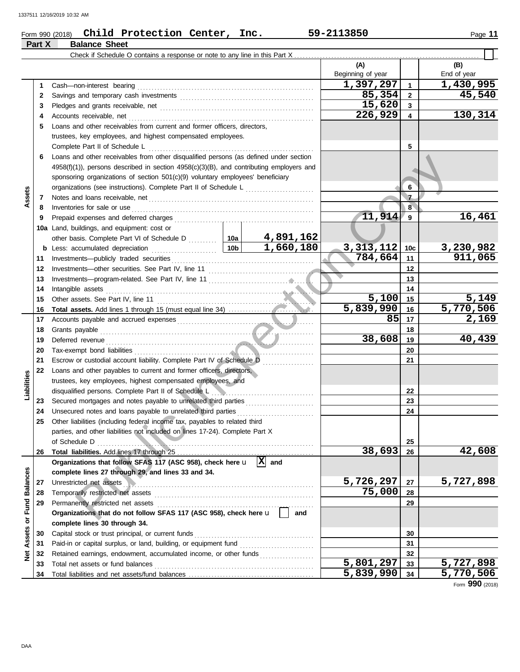#### Form 990 (2018) Page **11 Child Protection Center, Inc. 59-2113850 Part X Balance Sheet**

|                                |    | Check if Schedule O contains a response or note to any line in this Part $X$ , $\ldots$ , $\ldots$ , $\ldots$ , $\ldots$ , $\ldots$ , $\ldots$ , $\ldots$ , $\ldots$ , $\ldots$ |                    |                        |                 |             |
|--------------------------------|----|---------------------------------------------------------------------------------------------------------------------------------------------------------------------------------|--------------------|------------------------|-----------------|-------------|
|                                |    |                                                                                                                                                                                 |                    | (A)                    |                 | (B)         |
|                                |    |                                                                                                                                                                                 |                    | Beginning of year      |                 | End of year |
|                                | 1  |                                                                                                                                                                                 |                    | 1,397,297              | $\mathbf{1}$    | 1,430,995   |
|                                | 2  |                                                                                                                                                                                 |                    | 85,354                 | $\overline{2}$  | 45,540      |
|                                | 3  |                                                                                                                                                                                 |                    | 15,620                 | 3               |             |
|                                | 4  | Accounts receivable, net                                                                                                                                                        |                    | 226,929                | 4               | 130,314     |
|                                | 5  | Loans and other receivables from current and former officers, directors,                                                                                                        |                    |                        |                 |             |
|                                |    | trustees, key employees, and highest compensated employees.                                                                                                                     |                    |                        |                 |             |
|                                |    | Complete Part II of Schedule L                                                                                                                                                  |                    |                        | 5               |             |
|                                | 6  | Loans and other receivables from other disqualified persons (as defined under section                                                                                           |                    |                        |                 |             |
|                                |    | $4958(f)(1)$ ), persons described in section $4958(c)(3)(B)$ , and contributing employers and                                                                                   |                    |                        |                 |             |
|                                |    | sponsoring organizations of section 501(c)(9) voluntary employees' beneficiary                                                                                                  |                    |                        |                 |             |
|                                |    | organizations (see instructions). Complete Part II of Schedule L                                                                                                                |                    |                        | 6               |             |
| Assets                         | 7  |                                                                                                                                                                                 |                    |                        | $\overline{7}$  |             |
|                                | 8  | Inventories for sale or use                                                                                                                                                     |                    |                        | 8 <sup>°</sup>  |             |
|                                | 9  | Prepaid expenses and deferred charges                                                                                                                                           |                    | 11,914                 | 9               | 16,461      |
|                                |    | 10a Land, buildings, and equipment: cost or                                                                                                                                     |                    |                        |                 |             |
|                                |    |                                                                                                                                                                                 | <u>4,891,162</u>   |                        |                 |             |
|                                |    | $\frac{1}{10b}$<br><b>b</b> Less: accumulated depreciation                                                                                                                      | 1,660,180          | 3, 313, 112            | 10 <sub>c</sub> | 3,230,982   |
|                                | 11 |                                                                                                                                                                                 |                    | 784,664                | 11              | 911,065     |
|                                | 12 |                                                                                                                                                                                 |                    |                        | 12              |             |
|                                | 13 |                                                                                                                                                                                 |                    |                        | 13              |             |
|                                | 14 | Intangible assets                                                                                                                                                               |                    |                        | 14              |             |
|                                | 15 | Other assets. See Part IV, line 11                                                                                                                                              |                    | 5,100                  | 15              | 5,149       |
|                                | 16 |                                                                                                                                                                                 |                    | $\overline{5,839,990}$ | 16              | 5,770,506   |
|                                | 17 |                                                                                                                                                                                 |                    | 85                     | 17              | 2,169       |
|                                | 18 | Grants payable                                                                                                                                                                  |                    |                        | 18              |             |
|                                | 19 | Deferred revenue                                                                                                                                                                |                    | 38,608                 | 19              | 40,439      |
|                                | 20 |                                                                                                                                                                                 |                    |                        | 20              |             |
|                                | 21 | Escrow or custodial account liability. Complete Part IV of Schedule D                                                                                                           | .                  |                        | 21              |             |
|                                | 22 | Loans and other payables to current and former officers, directors,                                                                                                             |                    |                        |                 |             |
| Liabilities                    |    | trustees, key employees, highest compensated employees, and                                                                                                                     |                    |                        |                 |             |
|                                |    | disqualified persons. Complete Part II of Schedule L                                                                                                                            |                    |                        | 22              |             |
|                                | 23 | Secured mortgages and notes payable to unrelated third parties [[[[[[[[[[[[[[[[[[[[[[[[[[[[[]]]]]]]]                                                                            |                    |                        | 23              |             |
|                                | 24 | Unsecured notes and loans payable to unrelated third parties                                                                                                                    |                    |                        | 24              |             |
|                                | 25 | Other liabilities (including federal income tax, payables to related third                                                                                                      |                    |                        |                 |             |
|                                |    | parties, and other liabilities not included on lines 17-24). Complete Part X                                                                                                    |                    |                        |                 |             |
|                                | 26 | of Schedule D                                                                                                                                                                   |                    | 38,693                 | 25<br>26        | 42,608      |
|                                |    | Organizations that follow SFAS 117 (ASC 958), check here u                                                                                                                      | $\overline{X}$ and |                        |                 |             |
|                                |    | complete lines 27 through 29, and lines 33 and 34.                                                                                                                              |                    |                        |                 |             |
|                                | 27 | Unrestricted net assets                                                                                                                                                         |                    | 5,726,297              | 27              | 5,727,898   |
|                                | 28 | Temporarily restricted net assets                                                                                                                                               |                    | 75,000                 | 28              |             |
|                                | 29 | Permanently restricted net assets                                                                                                                                               |                    |                        | 29              |             |
|                                |    | Organizations that do not follow SFAS 117 (ASC 958), check here u                                                                                                               | and                |                        |                 |             |
|                                |    | complete lines 30 through 34.                                                                                                                                                   |                    |                        |                 |             |
| <b>Assets or Fund Balances</b> | 30 | Capital stock or trust principal, or current funds                                                                                                                              |                    |                        | 30              |             |
|                                | 31 | Paid-in or capital surplus, or land, building, or equipment fund                                                                                                                |                    |                        | 31              |             |
| $\frac{1}{2}$                  | 32 | Retained earnings, endowment, accumulated income, or other funds                                                                                                                |                    |                        | 32              |             |
|                                | 33 | Total net assets or fund balances                                                                                                                                               |                    | $\overline{5,801,297}$ | 33              | 5,727,898   |
|                                | 34 |                                                                                                                                                                                 |                    | 5,839,990              | 34              | 5,770,506   |

Form **990** (2018)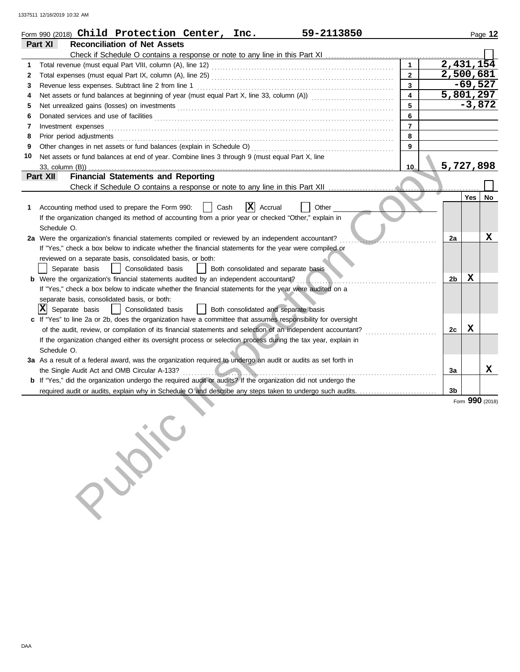|    | Form 990 (2018) $\mathtt{Children}$ Protection Center, Inc.<br>59-2113850                                            |                         |                        |           | Page 12         |
|----|----------------------------------------------------------------------------------------------------------------------|-------------------------|------------------------|-----------|-----------------|
|    | Part XI<br><b>Reconciliation of Net Assets</b>                                                                       |                         |                        |           |                 |
|    |                                                                                                                      |                         |                        |           |                 |
| 1  |                                                                                                                      | $\mathbf{1}$            | $\overline{2,431,154}$ |           |                 |
| 2  |                                                                                                                      | $\overline{2}$          | 2,500,681              |           |                 |
| 3  | Revenue less expenses. Subtract line 2 from line 1                                                                   | 3                       |                        | $-69,527$ |                 |
| 4  |                                                                                                                      | 4                       | 5,801,297              |           |                 |
| 5  |                                                                                                                      | 5                       |                        | $-3,872$  |                 |
| 6  |                                                                                                                      | 6                       |                        |           |                 |
| 7  | Investment expenses                                                                                                  | $\overline{\mathbf{r}}$ |                        |           |                 |
| 8  | Prior period adjustments                                                                                             | 8                       |                        |           |                 |
| 9  |                                                                                                                      | 9                       |                        |           |                 |
| 10 | Net assets or fund balances at end of year. Combine lines 3 through 9 (must equal Part X, line                       |                         | 5,727,898              |           |                 |
|    | <b>Financial Statements and Reporting</b><br>Part XII                                                                | 10 <sub>1</sub>         |                        |           |                 |
|    |                                                                                                                      |                         |                        |           |                 |
|    | Check if Schedule O contains a response or note to any line in this Part XII                                         |                         |                        | Yes       |                 |
|    | $ {\bf X} $<br>Cash<br>Accrual<br>Other                                                                              |                         |                        |           | No.             |
| 1  | Accounting method used to prepare the Form 990:                                                                      |                         |                        |           |                 |
|    | If the organization changed its method of accounting from a prior year or checked "Other," explain in<br>Schedule O. |                         |                        |           |                 |
|    | 2a Were the organization's financial statements compiled or reviewed by an independent accountant?                   |                         |                        |           | х               |
|    | If "Yes," check a box below to indicate whether the financial statements for the year were compiled or               |                         | 2a                     |           |                 |
|    | reviewed on a separate basis, consolidated basis, or both:                                                           |                         |                        |           |                 |
|    | Separate basis<br>Consolidated basis<br>Both consolidated and separate basis                                         |                         |                        |           |                 |
|    | <b>b</b> Were the organization's financial statements audited by an independent accountant?                          |                         | 2b                     | х         |                 |
|    | If "Yes," check a box below to indicate whether the financial statements for the year were audited on a              |                         |                        |           |                 |
|    | separate basis, consolidated basis, or both:                                                                         |                         |                        |           |                 |
|    | ΙXΙ<br>Both consolidated and separate basis<br>Separate basis<br>Consolidated basis                                  |                         |                        |           |                 |
|    | c If "Yes" to line 2a or 2b, does the organization have a committee that assumes responsibility for oversight        |                         |                        |           |                 |
|    | of the audit, review, or compilation of its financial statements and selection of an independent accountant?         |                         | 2c                     | x         |                 |
|    | If the organization changed either its oversight process or selection process during the tax year, explain in        |                         |                        |           |                 |
|    | Schedule O.                                                                                                          |                         |                        |           |                 |
|    | 3a As a result of a federal award, was the organization required to undergo an audit or audits as set forth in       |                         |                        |           |                 |
|    | the Single Audit Act and OMB Circular A-133?                                                                         |                         | За                     |           | x               |
|    | b If "Yes," did the organization undergo the required audit or audits? If the organization did not undergo the       |                         |                        |           |                 |
|    | required audit or audits, explain why in Schedule O and describe any steps taken to undergo such audits.             |                         | 3b                     |           |                 |
|    |                                                                                                                      |                         |                        |           | Form 990 (2018) |
|    |                                                                                                                      |                         |                        |           |                 |
|    |                                                                                                                      |                         |                        |           |                 |
|    |                                                                                                                      |                         |                        |           |                 |
|    |                                                                                                                      |                         |                        |           |                 |
|    |                                                                                                                      |                         |                        |           |                 |
|    |                                                                                                                      |                         |                        |           |                 |
|    | Circula.<br>undergo the requ<br><u>xplain why in Schedule O and</u>                                                  |                         |                        |           |                 |
|    |                                                                                                                      |                         |                        |           |                 |
|    |                                                                                                                      |                         |                        |           |                 |
|    |                                                                                                                      |                         |                        |           |                 |
|    |                                                                                                                      |                         |                        |           |                 |
|    |                                                                                                                      |                         |                        |           |                 |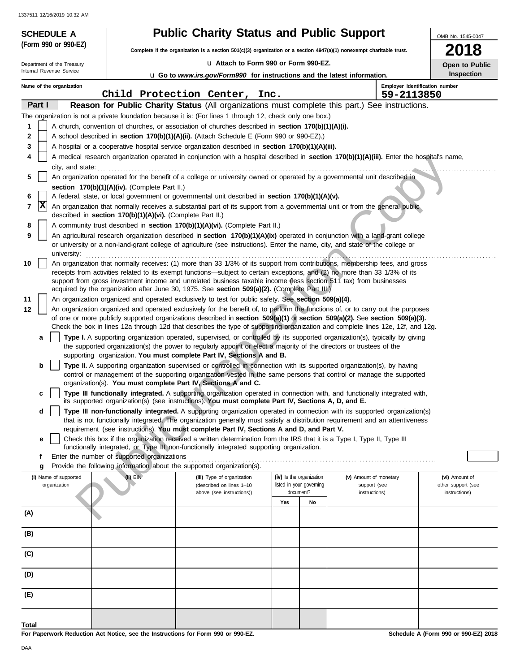| <b>SCHEDULE A</b>                                                                                                                            |                                                            | <b>Public Charity Status and Public Support</b>                                                                                                                                                                                                                |                                                      |    |                                        | OMB No. 1545-0047                    |
|----------------------------------------------------------------------------------------------------------------------------------------------|------------------------------------------------------------|----------------------------------------------------------------------------------------------------------------------------------------------------------------------------------------------------------------------------------------------------------------|------------------------------------------------------|----|----------------------------------------|--------------------------------------|
| (Form 990 or 990-EZ)<br>Complete if the organization is a section 501(c)(3) organization or a section 4947(a)(1) nonexempt charitable trust. |                                                            |                                                                                                                                                                                                                                                                |                                                      |    |                                        | 2018                                 |
| La Attach to Form 990 or Form 990-EZ.<br>Department of the Treasury                                                                          |                                                            |                                                                                                                                                                                                                                                                |                                                      |    |                                        | Open to Public                       |
| Internal Revenue Service                                                                                                                     |                                                            | <b>u</b> Go to www.irs.gov/Form990 for instructions and the latest information.                                                                                                                                                                                |                                                      |    |                                        | Inspection                           |
| Name of the organization                                                                                                                     |                                                            |                                                                                                                                                                                                                                                                |                                                      |    |                                        | Employer identification number       |
| Part I                                                                                                                                       |                                                            | Child Protection Center,<br>Inc.<br>Reason for Public Charity Status (All organizations must complete this part.) See instructions.                                                                                                                            |                                                      |    | 59-2113850                             |                                      |
|                                                                                                                                              |                                                            | The organization is not a private foundation because it is: (For lines 1 through 12, check only one box.)                                                                                                                                                      |                                                      |    |                                        |                                      |
| 1                                                                                                                                            |                                                            | A church, convention of churches, or association of churches described in section 170(b)(1)(A)(i).                                                                                                                                                             |                                                      |    |                                        |                                      |
| 2                                                                                                                                            |                                                            | A school described in section 170(b)(1)(A)(ii). (Attach Schedule E (Form 990 or 990-EZ).)                                                                                                                                                                      |                                                      |    |                                        |                                      |
| 3<br>4                                                                                                                                       |                                                            | A hospital or a cooperative hospital service organization described in section 170(b)(1)(A)(iii).<br>A medical research organization operated in conjunction with a hospital described in section 170(b)(1)(A)(iii). Enter the hospital's name,                |                                                      |    |                                        |                                      |
| city, and state:                                                                                                                             |                                                            |                                                                                                                                                                                                                                                                |                                                      |    |                                        |                                      |
| 5                                                                                                                                            |                                                            | An organization operated for the benefit of a college or university owned or operated by a governmental unit described in                                                                                                                                      |                                                      |    |                                        |                                      |
| 6                                                                                                                                            | section 170(b)(1)(A)(iv). (Complete Part II.)              | A federal, state, or local government or governmental unit described in section 170(b)(1)(A)(v).                                                                                                                                                               |                                                      |    |                                        |                                      |
| x <br>7                                                                                                                                      |                                                            | An organization that normally receives a substantial part of its support from a governmental unit or from the general public                                                                                                                                   |                                                      |    |                                        |                                      |
|                                                                                                                                              | described in section 170(b)(1)(A)(vi). (Complete Part II.) |                                                                                                                                                                                                                                                                |                                                      |    |                                        |                                      |
| 8<br>9                                                                                                                                       |                                                            | A community trust described in section 170(b)(1)(A)(vi). (Complete Part II.)<br>An agricultural research organization described in section 170(b)(1)(A)(ix) operated in conjunction with a land-grant college                                                  |                                                      |    |                                        |                                      |
|                                                                                                                                              |                                                            | or university or a non-land-grant college of agriculture (see instructions). Enter the name, city, and state of the college or                                                                                                                                 |                                                      |    |                                        |                                      |
| university:<br>10                                                                                                                            |                                                            | An organization that normally receives: (1) more than 33 1/3% of its support from contributions, membership fees, and gross                                                                                                                                    |                                                      |    |                                        |                                      |
|                                                                                                                                              |                                                            | receipts from activities related to its exempt functions—subject to certain exceptions, and (2) no more than 33 1/3% of its                                                                                                                                    |                                                      |    |                                        |                                      |
|                                                                                                                                              |                                                            | support from gross investment income and unrelated business taxable income (less section 511 tax) from businesses<br>acquired by the organization after June 30, 1975. See section 509(a)(2). (Complete Part III.)                                             |                                                      |    |                                        |                                      |
| 11                                                                                                                                           |                                                            | An organization organized and operated exclusively to test for public safety. See section 509(a)(4).                                                                                                                                                           |                                                      |    |                                        |                                      |
| 12                                                                                                                                           |                                                            | An organization organized and operated exclusively for the benefit of, to perform the functions of, or to carry out the purposes                                                                                                                               |                                                      |    |                                        |                                      |
|                                                                                                                                              |                                                            | of one or more publicly supported organizations described in section 509(a)(1) or section 509(a)(2). See section 509(a)(3).<br>Check the box in lines 12a through 12d that describes the type of supporting organization and complete lines 12e, 12f, and 12g. |                                                      |    |                                        |                                      |
| а                                                                                                                                            |                                                            | Type I. A supporting organization operated, supervised, or controlled by its supported organization(s), typically by giving                                                                                                                                    |                                                      |    |                                        |                                      |
|                                                                                                                                              |                                                            | the supported organization(s) the power to regularly appoint or elect a majority of the directors or trustees of the<br>supporting organization. You must complete Part IV, Sections A and B.                                                                  |                                                      |    |                                        |                                      |
| b                                                                                                                                            |                                                            | Type II. A supporting organization supervised or controlled in connection with its supported organization(s), by having                                                                                                                                        |                                                      |    |                                        |                                      |
|                                                                                                                                              |                                                            | control or management of the supporting organization vested in the same persons that control or manage the supported                                                                                                                                           |                                                      |    |                                        |                                      |
| c                                                                                                                                            |                                                            | organization(s). You must complete Part IV, Sections A and C.<br>Type III functionally integrated. A supporting organization operated in connection with, and functionally integrated with,                                                                    |                                                      |    |                                        |                                      |
|                                                                                                                                              |                                                            | its supported organization(s) (see instructions). You must complete Part IV, Sections A, D, and E.                                                                                                                                                             |                                                      |    |                                        |                                      |
| d                                                                                                                                            |                                                            | Type III non-functionally integrated. A supporting organization operated in connection with its supported organization(s)<br>that is not functionally integrated. The organization generally must satisfy a distribution requirement and an attentiveness      |                                                      |    |                                        |                                      |
|                                                                                                                                              |                                                            | requirement (see instructions). You must complete Part IV, Sections A and D, and Part V.                                                                                                                                                                       |                                                      |    |                                        |                                      |
| е                                                                                                                                            |                                                            | Check this box if the organization received a written determination from the IRS that it is a Type I, Type II, Type III<br>functionally integrated, or Type III non-functionally integrated supporting organization.                                           |                                                      |    |                                        |                                      |
| f                                                                                                                                            | Enter the number of supported organizations                |                                                                                                                                                                                                                                                                |                                                      |    |                                        |                                      |
| g                                                                                                                                            |                                                            | Provide the following information about the supported organization(s).                                                                                                                                                                                         |                                                      |    |                                        |                                      |
| (i) Name of supported<br>organization                                                                                                        | $(ii)$ $EIN$                                               | (iii) Type of organization<br>(described on lines 1-10                                                                                                                                                                                                         | (iv) Is the organization<br>listed in your governing |    | (v) Amount of monetary<br>support (see | (vi) Amount of<br>other support (see |
|                                                                                                                                              |                                                            | above (see instructions))                                                                                                                                                                                                                                      | document?                                            |    | instructions)                          | instructions)                        |
| (A)                                                                                                                                          |                                                            |                                                                                                                                                                                                                                                                | Yes                                                  | No |                                        |                                      |
|                                                                                                                                              |                                                            |                                                                                                                                                                                                                                                                |                                                      |    |                                        |                                      |
| (B)                                                                                                                                          |                                                            |                                                                                                                                                                                                                                                                |                                                      |    |                                        |                                      |
| (C)                                                                                                                                          |                                                            |                                                                                                                                                                                                                                                                |                                                      |    |                                        |                                      |
|                                                                                                                                              |                                                            |                                                                                                                                                                                                                                                                |                                                      |    |                                        |                                      |
| (D)                                                                                                                                          |                                                            |                                                                                                                                                                                                                                                                |                                                      |    |                                        |                                      |
| (E)                                                                                                                                          |                                                            |                                                                                                                                                                                                                                                                |                                                      |    |                                        |                                      |
|                                                                                                                                              |                                                            |                                                                                                                                                                                                                                                                |                                                      |    |                                        |                                      |
| Total                                                                                                                                        |                                                            | 000E                                                                                                                                                                                                                                                           |                                                      |    |                                        |                                      |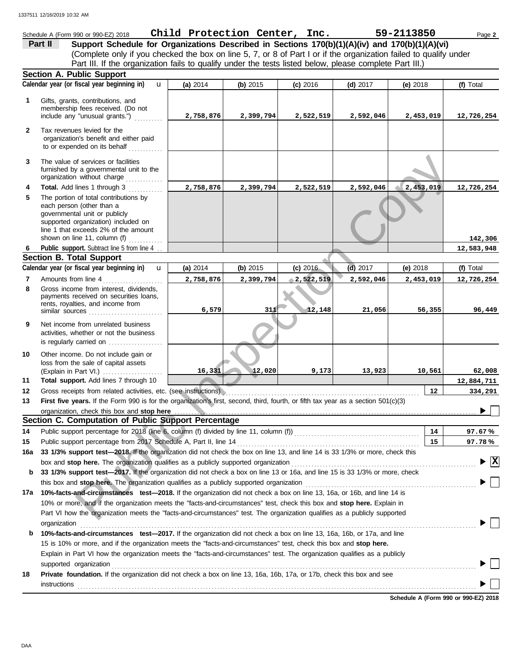|              | Schedule A (Form 990 or 990-EZ) 2018                                                                                                                                                                                           |           |           | Child Protection Center, Inc. |            | 59-2113850       | Page 2                                   |
|--------------|--------------------------------------------------------------------------------------------------------------------------------------------------------------------------------------------------------------------------------|-----------|-----------|-------------------------------|------------|------------------|------------------------------------------|
|              | Support Schedule for Organizations Described in Sections 170(b)(1)(A)(iv) and 170(b)(1)(A)(vi)<br>Part II                                                                                                                      |           |           |                               |            |                  |                                          |
|              | (Complete only if you checked the box on line 5, 7, or 8 of Part I or if the organization failed to qualify under                                                                                                              |           |           |                               |            |                  |                                          |
|              | Part III. If the organization fails to qualify under the tests listed below, please complete Part III.)                                                                                                                        |           |           |                               |            |                  |                                          |
|              | <b>Section A. Public Support</b>                                                                                                                                                                                               |           |           |                               |            |                  |                                          |
|              | Calendar year (or fiscal year beginning in)<br>$\mathbf{u}$                                                                                                                                                                    | (a) 2014  | (b) 2015  | $(c)$ 2016                    | $(d)$ 2017 | (e) $2018$       | (f) Total                                |
|              |                                                                                                                                                                                                                                |           |           |                               |            |                  |                                          |
| 1            | Gifts, grants, contributions, and<br>membership fees received. (Do not                                                                                                                                                         |           |           |                               |            |                  |                                          |
|              | include any "unusual grants.")                                                                                                                                                                                                 | 2,758,876 | 2,399,794 | 2,522,519                     | 2,592,046  | 2,453,019        | 12,726,254                               |
| $\mathbf{2}$ | Tax revenues levied for the                                                                                                                                                                                                    |           |           |                               |            |                  |                                          |
|              | organization's benefit and either paid                                                                                                                                                                                         |           |           |                               |            |                  |                                          |
|              | to or expended on its behalf                                                                                                                                                                                                   |           |           |                               |            |                  |                                          |
| 3            | The value of services or facilities                                                                                                                                                                                            |           |           |                               |            |                  |                                          |
|              | furnished by a governmental unit to the                                                                                                                                                                                        |           |           |                               |            |                  |                                          |
|              | organization without charge                                                                                                                                                                                                    |           |           |                               |            |                  |                                          |
| 4            | Total. Add lines 1 through 3                                                                                                                                                                                                   | 2,758,876 | 2,399,794 | 2,522,519                     | 2,592,046  | 2,453,019        | 12,726,254                               |
| 5            | The portion of total contributions by                                                                                                                                                                                          |           |           |                               |            |                  |                                          |
|              | each person (other than a<br>governmental unit or publicly                                                                                                                                                                     |           |           |                               |            |                  |                                          |
|              | supported organization) included on                                                                                                                                                                                            |           |           |                               |            |                  |                                          |
|              | line 1 that exceeds 2% of the amount                                                                                                                                                                                           |           |           |                               |            |                  |                                          |
|              | shown on line 11, column (f) $\ldots$                                                                                                                                                                                          |           |           |                               |            |                  | 142,306                                  |
| 6            | Public support. Subtract line 5 from line 4.                                                                                                                                                                                   |           |           |                               |            |                  | 12,583,948                               |
|              | <b>Section B. Total Support</b>                                                                                                                                                                                                |           |           |                               |            |                  |                                          |
|              | Calendar year (or fiscal year beginning in)<br>$\mathbf{u}$                                                                                                                                                                    | (a) 2014  | (b) 2015  | (c) 2016                      | $(d)$ 2017 | (e) $2018$       | (f) Total                                |
| 7            | Amounts from line 4                                                                                                                                                                                                            | 2,758,876 | 2,399,794 | 2,522,519                     | 2,592,046  | 2,453,019        | 12,726,254                               |
| 8            | Gross income from interest, dividends,<br>payments received on securities loans,                                                                                                                                               |           |           |                               |            |                  |                                          |
|              | rents, royalties, and income from                                                                                                                                                                                              |           |           |                               |            |                  |                                          |
|              |                                                                                                                                                                                                                                | 6,579     | 311       | 12,148                        | 21,056     | 56,355           | 96,449                                   |
| 9            | Net income from unrelated business                                                                                                                                                                                             |           |           |                               |            |                  |                                          |
|              | activities, whether or not the business                                                                                                                                                                                        |           |           |                               |            |                  |                                          |
|              | is regularly carried on                                                                                                                                                                                                        |           |           |                               |            |                  |                                          |
| 10           | Other income. Do not include gain or                                                                                                                                                                                           |           |           |                               |            |                  |                                          |
|              | loss from the sale of capital assets                                                                                                                                                                                           |           |           |                               |            |                  |                                          |
|              | (Explain in Part VI.) $\ldots$ , $\ldots$ , $\ldots$                                                                                                                                                                           | 16,331    | 12,020    | 9,173                         | 13,923     | 10,561           | 62,008                                   |
| 11           | Total support. Add lines 7 through 10                                                                                                                                                                                          |           |           |                               |            |                  | 12,884,711                               |
| 12           | Gross receipts from related activities, etc. (see instructions)                                                                                                                                                                |           |           |                               |            | 12 <sup>12</sup> | 334,291                                  |
| 13           | First five years. If the Form 990 is for the organization's first, second, third, fourth, or fifth tax year as a section 501(c)(3)                                                                                             |           |           |                               |            |                  |                                          |
|              | organization, check this box and stop here<br>Section C. Computation of Public Support Percentage                                                                                                                              |           |           |                               |            |                  |                                          |
| 14           |                                                                                                                                                                                                                                |           |           |                               |            | 14               | 97.67%                                   |
| 15           |                                                                                                                                                                                                                                |           |           |                               |            | 15               | 97.78%                                   |
| 16a          | 33 1/3% support test-2018. If the organization did not check the box on line 13, and line 14 is 33 1/3% or more, check this                                                                                                    |           |           |                               |            |                  |                                          |
|              | box and stop here. The organization qualifies as a publicly supported organization [11] content content to the organization [11] content and stop here. The organization [11] and stop here are all of the stop or an all of t |           |           |                               |            |                  | $\blacktriangleright$ $\boxed{\text{X}}$ |
| b            | 33 1/3% support test-2017. If the organization did not check a box on line 13 or 16a, and line 15 is 33 1/3% or more, check                                                                                                    |           |           |                               |            |                  |                                          |
|              |                                                                                                                                                                                                                                |           |           |                               |            |                  |                                          |
| 17a          | 10%-facts-and-circumstances test-2018. If the organization did not check a box on line 13, 16a, or 16b, and line 14 is                                                                                                         |           |           |                               |            |                  |                                          |
|              | 10% or more, and if the organization meets the "facts-and-circumstances" test, check this box and stop here. Explain in                                                                                                        |           |           |                               |            |                  |                                          |
|              | Part VI how the organization meets the "facts-and-circumstances" test. The organization qualifies as a publicly supported                                                                                                      |           |           |                               |            |                  |                                          |
|              | organization                                                                                                                                                                                                                   |           |           |                               |            |                  |                                          |
| b            | 10%-facts-and-circumstances test-2017. If the organization did not check a box on line 13, 16a, 16b, or 17a, and line                                                                                                          |           |           |                               |            |                  |                                          |
|              | 15 is 10% or more, and if the organization meets the "facts-and-circumstances" test, check this box and stop here.                                                                                                             |           |           |                               |            |                  |                                          |
|              | Explain in Part VI how the organization meets the "facts-and-circumstances" test. The organization qualifies as a publicly                                                                                                     |           |           |                               |            |                  |                                          |
|              | supported organization contains a construction of the contact of the contact of the contact or contact or contact or contact or contact or contact or contact or contact or contact or contact or contact or contact or contac |           |           |                               |            |                  |                                          |
| 18           | Private foundation. If the organization did not check a box on line 13, 16a, 16b, 17a, or 17b, check this box and see                                                                                                          |           |           |                               |            |                  |                                          |
|              | instructions                                                                                                                                                                                                                   |           |           |                               |            |                  |                                          |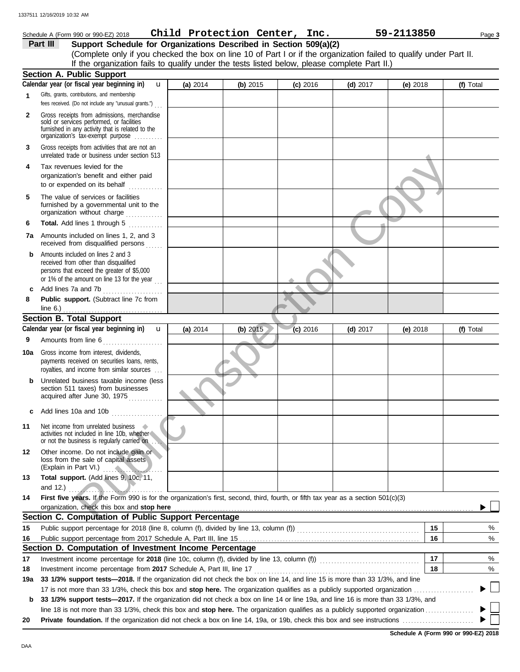#### Schedule A (Form 990 or 990-EZ) 2018 Page **3 Child Protection Center, Inc. 59-2113850 Part III Support Schedule for Organizations Described in Section 509(a)(2)** (Complete only if you checked the box on line 10 of Part I or if the organization failed to qualify under Part II. If the organization fails to qualify under the tests listed below, please complete Part II.) **Section A. Public Support Calendar year (or fiscal year beginning in)**  u **(a)** 2014 **(b)** 2015 **(c)** 2016 **(d)** 2017 **(e)** 2018 **(f)** Total Gifts, grants, contributions, and membership **1** fees received. (Do not include any "unusual grants.") . . . **2** Gross receipts from admissions, merchandise sold or services performed, or facilities furnished in any activity that is related to the organization's tax-exempt purpose .......... **3** Gross receipts from activities that are not an unrelated trade or business under section 513 Public Islam have determined the property of the copy and the copy of the copy of the copy of the copy of the copy of the copy of the copy of the copy of the copy of the copy of the copy of the copy of the copy of the copy **4** Tax revenues levied for the organization's benefit and either paid to or expended on its behalf when  $\cdots$ **5** The value of services or facilities furnished by a governmental unit to the organization without charge .............. **Total.** Add lines 1 through 5 **6 7a** Amounts included on lines 1, 2, and 3 received from disqualified persons **b** Amounts included on lines 2 and 3 received from other than disqualified persons that exceed the greater of \$5,000 or 1% of the amount on line 13 for the year  $\ldots$ **c** Add lines 7a and 7b . . . . . . . . . . . . . . . . . . . . . **8 Public support.** (Subtract line 7c from line 6.) . . . . . . . . . . . . . . . . . . . . . . . . . . . . . . . . . . . **Section B. Total Support Calendar year (or fiscal year beginning in)**  u **(a)** 2014 **(b)** 2015 **(c)** 2016 **(d)** 2017 **(e)** 2018 **(f)** Total Amounts from line 6 . . . . . . . . . . . . . . . . . . . . . **9 10a** Gross income from interest, dividends, payments received on securities loans, rents, royalties, and income from similar sources . . . **b** Unrelated business taxable income (less section 511 taxes) from businesses acquired after June 30, 1975 **c** Add lines 10a and 10b **11** Net income from unrelated business Net fricume from uniquode business<br>activities not included in line 10b, whether or not the business is regularly carried on **12** Other income. Do not include gain or loss from the sale of capital assets (Explain in Part VI.) . . . . . . . . . . . . . . . . . . . . . **13 <b>Total support.** (Add lines 9, 10c, 11, and 12.) and 12.) . . . . . . . . . . . . . . . . . . . . . . . . . . . . . . . . . **14 First five years.** If the Form 990 is for the organization's first, second, third, fourth, or fifth tax year as a section 501(c)(3) organization, check this box and stop here **Section C. Computation of Public Support Percentage**  $\frac{1}{2}$ **15 15** Public support percentage for 2018 (line 8, column (f), divided by line 13, column (f))  $\ldots$ **16** Public support percentage from 2017 Schedule A, Part III, line 15 . . . . . . . . . . . . . . . . . . . . . . . . . . . . . . . . . . . . . . . . . . . . . . . . . . . . . . . . . . . . . . . % **16 Section D. Computation of Investment Income Percentage 17 17** % Investment income percentage for **2018** (line 10c, column (f), divided by line 13, column (f))  $\ldots$ Investment income percentage from **2017** Schedule A, Part III, line 17 . . . . . . . . . . . . . . . . . . . . . . . . . . . . . . . . . . . . . . . . . . . . . . . . . . . . . . . . . . **18** % **18 19a 33 1/3% support tests—2018.** If the organization did not check the box on line 14, and line 15 is more than 33 1/3%, and line 17 is not more than 33 1/3%, check this box and **stop here.** The organization qualifies as a publicly supported organization . . . . . . . . . . . . . . . . . . . . . ▶ **b 33 1/3% support tests—2017.** If the organization did not check a box on line 14 or line 19a, and line 16 is more than 33 1/3%, and line 18 is not more than 33 1/3%, check this box and **stop here.** The organization qualifies as a publicly supported organization . . . . . . . . . . . . . . . . . **20 Private foundation.** If the organization did not check a box on line 14, 19a, or 19b, check this box and see instructions . . . . . . . . . . . . . . . . . . . . . . . . .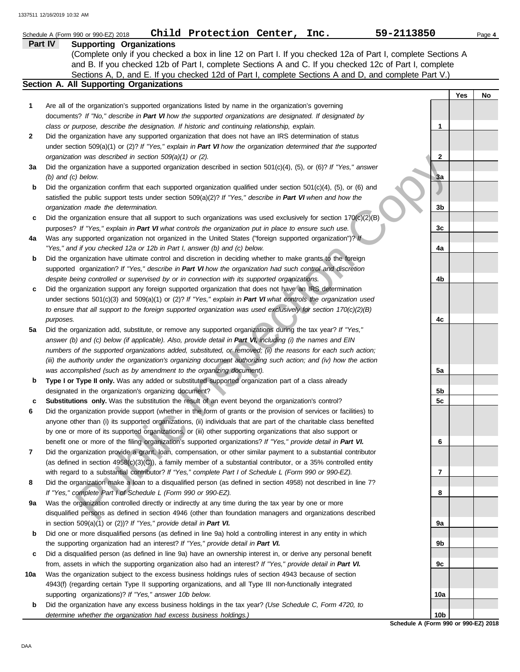|     | Child Protection Center, Inc.<br>59-2113850<br>Schedule A (Form 990 or 990-EZ) 2018                                      |     |     | Page 4 |
|-----|--------------------------------------------------------------------------------------------------------------------------|-----|-----|--------|
|     | Part IV<br><b>Supporting Organizations</b>                                                                               |     |     |        |
|     | (Complete only if you checked a box in line 12 on Part I. If you checked 12a of Part I, complete Sections A              |     |     |        |
|     | and B. If you checked 12b of Part I, complete Sections A and C. If you checked 12c of Part I, complete                   |     |     |        |
|     | Sections A, D, and E. If you checked 12d of Part I, complete Sections A and D, and complete Part V.)                     |     |     |        |
|     | Section A. All Supporting Organizations                                                                                  |     |     |        |
|     |                                                                                                                          |     | Yes | No     |
| 1   | Are all of the organization's supported organizations listed by name in the organization's governing                     |     |     |        |
|     | documents? If "No," describe in Part VI how the supported organizations are designated. If designated by                 |     |     |        |
|     | class or purpose, describe the designation. If historic and continuing relationship, explain.                            | 1   |     |        |
| 2   | Did the organization have any supported organization that does not have an IRS determination of status                   |     |     |        |
|     | under section 509(a)(1) or (2)? If "Yes," explain in Part VI how the organization determined that the supported          |     |     |        |
|     | organization was described in section 509(a)(1) or (2).                                                                  | 2   |     |        |
| За  | Did the organization have a supported organization described in section $501(c)(4)$ , (5), or (6)? If "Yes," answer      |     |     |        |
|     | $(b)$ and $(c)$ below.                                                                                                   | 3a  |     |        |
| b   | Did the organization confirm that each supported organization qualified under section $501(c)(4)$ , $(5)$ , or $(6)$ and |     |     |        |
|     | satisfied the public support tests under section 509(a)(2)? If "Yes," describe in Part VI when and how the               |     |     |        |
|     | organization made the determination.                                                                                     | 3b  |     |        |
| c   | Did the organization ensure that all support to such organizations was used exclusively for section $170(c)(2)(B)$       |     |     |        |
|     | purposes? If "Yes," explain in Part VI what controls the organization put in place to ensure such use.                   | 3c  |     |        |
| 4a  | Was any supported organization not organized in the United States ("foreign supported organization")? If                 |     |     |        |
|     | "Yes," and if you checked 12a or 12b in Part I, answer (b) and (c) below.                                                | 4a  |     |        |
| b   | Did the organization have ultimate control and discretion in deciding whether to make grants to the foreign              |     |     |        |
|     | supported organization? If "Yes," describe in Part VI how the organization had such control and discretion               |     |     |        |
|     | despite being controlled or supervised by or in connection with its supported organizations.                             | 4b  |     |        |
| c   | Did the organization support any foreign supported organization that does not have an IRS determination                  |     |     |        |
|     | under sections $501(c)(3)$ and $509(a)(1)$ or (2)? If "Yes," explain in Part VI what controls the organization used      |     |     |        |
|     | to ensure that all support to the foreign supported organization was used exclusively for section $170(c)(2)(B)$         |     |     |        |
|     | purposes.                                                                                                                | 4с  |     |        |
| 5a  | Did the organization add, substitute, or remove any supported organizations during the tax year? If "Yes,"               |     |     |        |
|     | answer (b) and (c) below (if applicable). Also, provide detail in Part VI, including (i) the names and EIN               |     |     |        |
|     | numbers of the supported organizations added, substituted, or removed; (ii) the reasons for each such action;            |     |     |        |
|     | (iii) the authority under the organization's organizing document authorizing such action; and (iv) how the action        |     |     |        |
|     | was accomplished (such as by amendment to the organizing document).                                                      | 5a  |     |        |
| b   | Type I or Type II only. Was any added or substituted supported organization part of a class already                      |     |     |        |
|     | designated in the organization's organizing document?                                                                    | 5b  |     |        |
| с   | Substitutions only. Was the substitution the result of an event beyond the organization's control?                       | 5c  |     |        |
| 6   | Did the organization provide support (whether in the form of grants or the provision of services or facilities) to       |     |     |        |
|     | anyone other than (i) its supported organizations, (ii) individuals that are part of the charitable class benefited      |     |     |        |
|     | by one or more of its supported organizations, or (iii) other supporting organizations that also support or              |     |     |        |
|     | benefit one or more of the filing organization's supported organizations? If "Yes," provide detail in Part VI.           | 6   |     |        |
| 7   | Did the organization provide a grant, loan, compensation, or other similar payment to a substantial contributor          |     |     |        |
|     | (as defined in section 4958(c)(3)(C)), a family member of a substantial contributor, or a 35% controlled entity          |     |     |        |
|     | with regard to a substantial contributor? If "Yes," complete Part I of Schedule L (Form 990 or 990-EZ).                  | 7   |     |        |
| 8   | Did the organization make a loan to a disqualified person (as defined in section 4958) not described in line 7?          |     |     |        |
|     | If "Yes," complete Part I of Schedule L (Form 990 or 990-EZ).                                                            | 8   |     |        |
| 9a  | Was the organization controlled directly or indirectly at any time during the tax year by one or more                    |     |     |        |
|     | disqualified persons as defined in section 4946 (other than foundation managers and organizations described              |     |     |        |
|     | in section $509(a)(1)$ or (2))? If "Yes," provide detail in Part VI.                                                     | 9а  |     |        |
| b   | Did one or more disqualified persons (as defined in line 9a) hold a controlling interest in any entity in which          |     |     |        |
|     | the supporting organization had an interest? If "Yes," provide detail in Part VI.                                        | 9b  |     |        |
| c   | Did a disqualified person (as defined in line 9a) have an ownership interest in, or derive any personal benefit          |     |     |        |
|     | from, assets in which the supporting organization also had an interest? If "Yes," provide detail in Part VI.             | 9с  |     |        |
| 10a | Was the organization subject to the excess business holdings rules of section 4943 because of section                    |     |     |        |
|     | 4943(f) (regarding certain Type II supporting organizations, and all Type III non-functionally integrated                |     |     |        |
|     | supporting organizations)? If "Yes," answer 10b below.                                                                   | 10a |     |        |
| b   | Did the organization have any excess business holdings in the tax year? (Use Schedule C, Form 4720, to                   |     |     |        |
|     | determine whether the organization had excess business holdings.)                                                        | 10b |     |        |
|     |                                                                                                                          |     |     |        |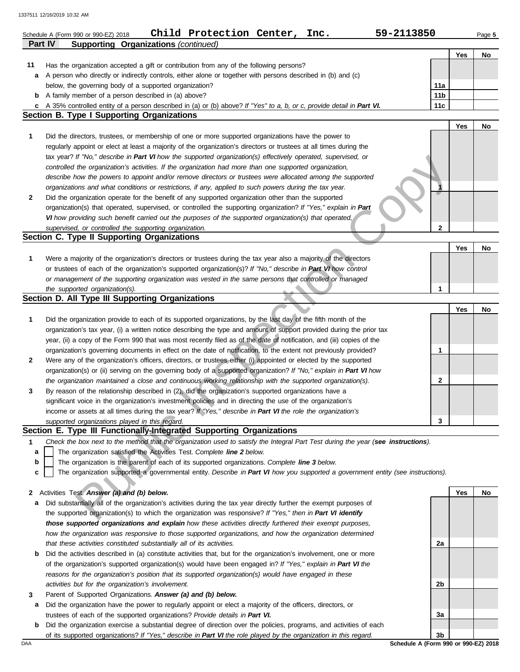|         | 59-2113850<br>Child Protection Center,<br>Inc.<br>Schedule A (Form 990 or 990-EZ) 2018                                            |                 |     | Page 5 |
|---------|-----------------------------------------------------------------------------------------------------------------------------------|-----------------|-----|--------|
| Part IV | <b>Supporting Organizations (continued)</b>                                                                                       |                 |     |        |
|         |                                                                                                                                   |                 | Yes | No     |
| 11      | Has the organization accepted a gift or contribution from any of the following persons?                                           |                 |     |        |
| а       | A person who directly or indirectly controls, either alone or together with persons described in (b) and (c)                      |                 |     |        |
|         | below, the governing body of a supported organization?                                                                            | 11a             |     |        |
|         | <b>b</b> A family member of a person described in (a) above?                                                                      | 11 <sub>b</sub> |     |        |
| c       | A 35% controlled entity of a person described in (a) or (b) above? If "Yes" to a, b, or c, provide detail in Part VI.             | 11c             |     |        |
|         | <b>Section B. Type I Supporting Organizations</b>                                                                                 |                 |     |        |
|         |                                                                                                                                   |                 | Yes | No     |
| 1       | Did the directors, trustees, or membership of one or more supported organizations have the power to                               |                 |     |        |
|         | regularly appoint or elect at least a majority of the organization's directors or trustees at all times during the                |                 |     |        |
|         | tax year? If "No," describe in Part VI how the supported organization(s) effectively operated, supervised, or                     |                 |     |        |
|         | controlled the organization's activities. If the organization had more than one supported organization,                           |                 |     |        |
|         | describe how the powers to appoint and/or remove directors or trustees were allocated among the supported                         |                 |     |        |
|         | organizations and what conditions or restrictions, if any, applied to such powers during the tax year.                            |                 |     |        |
| 2       | Did the organization operate for the benefit of any supported organization other than the supported                               |                 |     |        |
|         | organization(s) that operated, supervised, or controlled the supporting organization? If "Yes," explain in Part                   |                 |     |        |
|         | VI how providing such benefit carried out the purposes of the supported organization(s) that operated,                            |                 |     |        |
|         | supervised, or controlled the supporting organization.                                                                            | $\mathbf{2}$    |     |        |
|         | <b>Section C. Type II Supporting Organizations</b>                                                                                |                 |     |        |
|         |                                                                                                                                   |                 | Yes | No     |
| 1       | Were a majority of the organization's directors or trustees during the tax year also a majority of the directors                  |                 |     |        |
|         | or trustees of each of the organization's supported organization(s)? If "No," describe in Part VI how control                     |                 |     |        |
|         | or management of the supporting organization was vested in the same persons that controlled or managed                            |                 |     |        |
|         | the supported organization(s).                                                                                                    | 1               |     |        |
|         | <b>Section D. All Type III Supporting Organizations</b>                                                                           |                 |     |        |
|         |                                                                                                                                   |                 | Yes | No     |
| 1       | Did the organization provide to each of its supported organizations, by the last day of the fifth month of the                    |                 |     |        |
|         | organization's tax year, (i) a written notice describing the type and amount of support provided during the prior tax             |                 |     |        |
|         | year, (ii) a copy of the Form 990 that was most recently filed as of the date of notification, and (iii) copies of the            |                 |     |        |
|         | organization's governing documents in effect on the date of notification, to the extent not previously provided?                  | 1               |     |        |
| 2       | Were any of the organization's officers, directors, or trustees either (i) appointed or elected by the supported                  |                 |     |        |
|         | organization(s) or (ii) serving on the governing body of a supported organization? If "No," explain in Part VI how                |                 |     |        |
|         | the organization maintained a close and continuous working relationship with the supported organization(s).                       | $\mathbf{2}$    |     |        |
| 3       | By reason of the relationship described in (2), did the organization's supported organizations have a                             |                 |     |        |
|         | significant voice in the organization's investment policies and in directing the use of the organization's                        |                 |     |        |
|         | income or assets at all times during the tax year? If "Yes," describe in Part VI the role the organization's                      |                 |     |        |
|         | supported organizations played in this regard.                                                                                    | 3               |     |        |
|         | Section E. Type III Functionally-Integrated Supporting Organizations                                                              |                 |     |        |
| 1       | Check the box next to the method that the organization used to satisfy the Integral Part Test during the year (see instructions). |                 |     |        |
| a       | The organization satisfied the Activities Test. Complete line 2 below.                                                            |                 |     |        |
| b       | The organization is the parent of each of its supported organizations. Complete line 3 below.                                     |                 |     |        |
| c       | The organization supported a governmental entity. Describe in Part VI how you supported a government entity (see instructions).   |                 |     |        |
|         |                                                                                                                                   |                 |     |        |
| 2       | Activities Test. Answer (a) and (b) below.                                                                                        |                 | Yes | No     |
| а       | Did substantially all of the organization's activities during the tax year directly further the exempt purposes of                |                 |     |        |
|         | the supported organization(s) to which the organization was responsive? If "Yes," then in Part VI identify                        |                 |     |        |
|         | those supported organizations and explain how these activities directly furthered their exempt purposes,                          |                 |     |        |
|         | how the organization was responsive to those supported organizations, and how the organization determined                         |                 |     |        |

- **b** Did the activities described in (a) constitute activities that, but for the organization's involvement, one or more *that these activities constituted substantially all of its activities.*
- of the organization's supported organization(s) would have been engaged in? *If "Yes," explain in Part VI the reasons for the organization's position that its supported organization(s) would have engaged in these activities but for the organization's involvement.*
- **3** Parent of Supported Organizations. *Answer (a) and (b) below.*
	- **a** Did the organization have the power to regularly appoint or elect a majority of the officers, directors, or trustees of each of the supported organizations? *Provide details in Part VI.*
- DAA **Schedule A (Form 990 or 990-EZ) 2018 b** Did the organization exercise a substantial degree of direction over the policies, programs, and activities of each of its supported organizations? *If "Yes," describe in Part VI the role played by the organization in this regard.*

**3b**

**2a**

**2b**

**3a**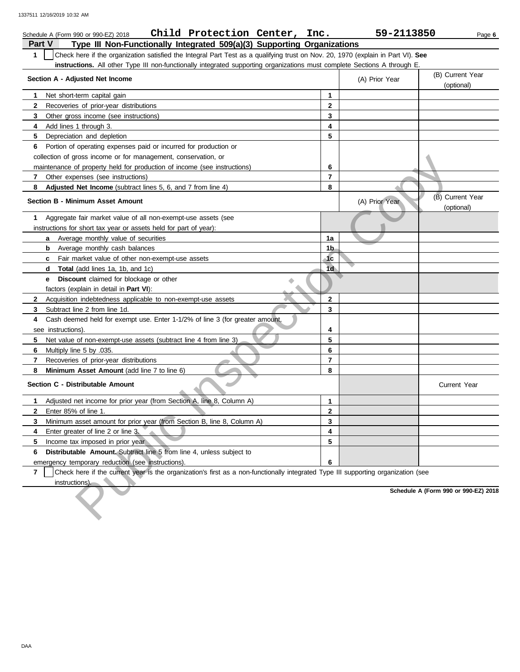|               | Child Protection Center, Inc.<br>Schedule A (Form 990 or 990-EZ) 2018                                                             |                         | 59-2113850     | Page 6                               |
|---------------|-----------------------------------------------------------------------------------------------------------------------------------|-------------------------|----------------|--------------------------------------|
| <b>Part V</b> | Type III Non-Functionally Integrated 509(a)(3) Supporting Organizations                                                           |                         |                |                                      |
| 1             | Check here if the organization satisfied the Integral Part Test as a qualifying trust on Nov. 20, 1970 (explain in Part VI). See  |                         |                |                                      |
|               | instructions. All other Type III non-functionally integrated supporting organizations must complete Sections A through E.         |                         |                |                                      |
|               | Section A - Adjusted Net Income                                                                                                   |                         | (A) Prior Year | (B) Current Year<br>(optional)       |
| 1.            | Net short-term capital gain                                                                                                       | 1                       |                |                                      |
| $\mathbf{2}$  | Recoveries of prior-year distributions                                                                                            | $\mathbf{2}$            |                |                                      |
| 3             | Other gross income (see instructions)                                                                                             | 3                       |                |                                      |
| 4             | Add lines 1 through 3.                                                                                                            | 4                       |                |                                      |
| 5             | Depreciation and depletion                                                                                                        | 5                       |                |                                      |
| 6             | Portion of operating expenses paid or incurred for production or                                                                  |                         |                |                                      |
|               | collection of gross income or for management, conservation, or                                                                    |                         |                |                                      |
|               | maintenance of property held for production of income (see instructions)                                                          | 6                       |                |                                      |
| 7             | Other expenses (see instructions)                                                                                                 | $\overline{\mathbf{r}}$ |                |                                      |
| 8             | Adjusted Net Income (subtract lines 5, 6, and 7 from line 4)                                                                      | 8                       |                |                                      |
|               | <b>Section B - Minimum Asset Amount</b>                                                                                           |                         | (A) Prior Year | (B) Current Year                     |
|               |                                                                                                                                   |                         |                | (optional)                           |
| 1             | Aggregate fair market value of all non-exempt-use assets (see                                                                     |                         |                |                                      |
|               | instructions for short tax year or assets held for part of year):                                                                 |                         |                |                                      |
|               | Average monthly value of securities<br>a                                                                                          | 1a                      |                |                                      |
|               | Average monthly cash balances<br>b                                                                                                | 1b                      |                |                                      |
|               | Fair market value of other non-exempt-use assets<br>$\mathbf{c}$                                                                  | 1 <sub>c</sub>          |                |                                      |
|               | Total (add lines 1a, 1b, and 1c)<br>d                                                                                             | 1 <sub>d</sub>          |                |                                      |
|               | Discount claimed for blockage or other<br>е                                                                                       |                         |                |                                      |
|               | factors (explain in detail in Part VI):                                                                                           |                         |                |                                      |
| $\mathbf{2}$  | Acquisition indebtedness applicable to non-exempt-use assets                                                                      | $\mathbf{2}$            |                |                                      |
| 3             | Subtract line 2 from line 1d.                                                                                                     | 3                       |                |                                      |
| 4             | Cash deemed held for exempt use. Enter 1-1/2% of line 3 (for greater amount,                                                      |                         |                |                                      |
|               | see instructions).                                                                                                                | 4                       |                |                                      |
| 5.            | Net value of non-exempt-use assets (subtract line 4 from line 3)                                                                  | 5                       |                |                                      |
| 6             | Multiply line 5 by .035.                                                                                                          | 6                       |                |                                      |
| 7             | Recoveries of prior-year distributions                                                                                            | $\overline{\mathbf{r}}$ |                |                                      |
| 8             | Minimum Asset Amount (add line 7 to line 6)                                                                                       | 8                       |                |                                      |
|               | Section C - Distributable Amount                                                                                                  |                         |                | <b>Current Year</b>                  |
| 1             | Adjusted net income for prior year (from Section A, line 8, Column A)                                                             | 1                       |                |                                      |
| 2             | Enter 85% of line 1.                                                                                                              | 2                       |                |                                      |
| 3             | Minimum asset amount for prior year (from Section B, line 8, Column A)                                                            | 3                       |                |                                      |
| 4             | Enter greater of line 2 or line 3.                                                                                                | 4                       |                |                                      |
| 5             | Income tax imposed in prior year                                                                                                  | 5                       |                |                                      |
| 6             | Distributable Amount. Subtract line 5 from line 4, unless subject to                                                              |                         |                |                                      |
|               | emergency temporary reduction (see instructions).                                                                                 | 6                       |                |                                      |
| 7             | Check here if the current year is the organization's first as a non-functionally integrated Type III supporting organization (see |                         |                |                                      |
|               | instructions).                                                                                                                    |                         |                |                                      |
|               |                                                                                                                                   |                         |                | Schedule A (Form 990 or 990-EZ) 2018 |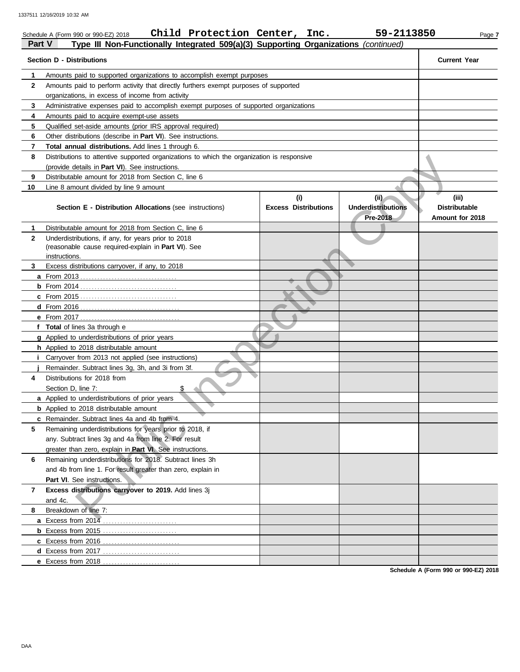|               | Child Protection Center,<br>Schedule A (Form 990 or 990-EZ) 2018                           |                                    | Inc. | 59-2113850                                    | Page 7                                           |
|---------------|--------------------------------------------------------------------------------------------|------------------------------------|------|-----------------------------------------------|--------------------------------------------------|
| <b>Part V</b> | Type III Non-Functionally Integrated 509(a)(3) Supporting Organizations (continued)        |                                    |      |                                               |                                                  |
|               | <b>Section D - Distributions</b>                                                           |                                    |      |                                               | <b>Current Year</b>                              |
| 1             | Amounts paid to supported organizations to accomplish exempt purposes                      |                                    |      |                                               |                                                  |
| $\mathbf{2}$  | Amounts paid to perform activity that directly furthers exempt purposes of supported       |                                    |      |                                               |                                                  |
|               | organizations, in excess of income from activity                                           |                                    |      |                                               |                                                  |
| 3             | Administrative expenses paid to accomplish exempt purposes of supported organizations      |                                    |      |                                               |                                                  |
| 4             | Amounts paid to acquire exempt-use assets                                                  |                                    |      |                                               |                                                  |
| 5             | Qualified set-aside amounts (prior IRS approval required)                                  |                                    |      |                                               |                                                  |
| 6             | Other distributions (describe in Part VI). See instructions.                               |                                    |      |                                               |                                                  |
| 7             | Total annual distributions. Add lines 1 through 6.                                         |                                    |      |                                               |                                                  |
| 8             | Distributions to attentive supported organizations to which the organization is responsive |                                    |      |                                               |                                                  |
|               | (provide details in Part VI). See instructions.                                            |                                    |      |                                               |                                                  |
| 9             | Distributable amount for 2018 from Section C, line 6                                       |                                    |      |                                               |                                                  |
| 10            | Line 8 amount divided by line 9 amount                                                     |                                    |      |                                               |                                                  |
|               | <b>Section E - Distribution Allocations (see instructions)</b>                             | (i)<br><b>Excess Distributions</b> |      | (ii)<br><b>Underdistributions</b><br>Pre-2018 | (iii)<br><b>Distributable</b><br>Amount for 2018 |
| 1             | Distributable amount for 2018 from Section C, line 6                                       |                                    |      |                                               |                                                  |
| $\mathbf{2}$  | Underdistributions, if any, for years prior to 2018                                        |                                    |      |                                               |                                                  |
|               | (reasonable cause required-explain in Part VI). See                                        |                                    |      |                                               |                                                  |
|               | instructions.                                                                              |                                    |      |                                               |                                                  |
| 3             | Excess distributions carryover, if any, to 2018                                            |                                    |      |                                               |                                                  |
|               |                                                                                            |                                    |      |                                               |                                                  |
|               | b From 2014 <u></u>                                                                        |                                    |      |                                               |                                                  |
|               |                                                                                            |                                    |      |                                               |                                                  |
|               |                                                                                            |                                    |      |                                               |                                                  |
|               | f Total of lines 3a through e                                                              |                                    |      |                                               |                                                  |
|               | g Applied to underdistributions of prior years                                             |                                    |      |                                               |                                                  |
|               | h Applied to 2018 distributable amount                                                     |                                    |      |                                               |                                                  |
|               | <i>i</i> Carryover from 2013 not applied (see instructions)                                |                                    |      |                                               |                                                  |
|               | Remainder. Subtract lines 3q, 3h, and 3i from 3f.                                          |                                    |      |                                               |                                                  |
| 4             | Distributions for 2018 from                                                                |                                    |      |                                               |                                                  |
|               | Section D, line 7:<br>S                                                                    |                                    |      |                                               |                                                  |
|               | a Applied to underdistributions of prior years                                             |                                    |      |                                               |                                                  |
|               | <b>b</b> Applied to 2018 distributable amount                                              |                                    |      |                                               |                                                  |
|               | c Remainder. Subtract lines 4a and 4b from 4.                                              |                                    |      |                                               |                                                  |
| 5             | Remaining underdistributions for years prior to 2018, if                                   |                                    |      |                                               |                                                  |
|               | any. Subtract lines 3g and 4a from line 2. For result                                      |                                    |      |                                               |                                                  |
|               | greater than zero, explain in Part VI. See instructions.                                   |                                    |      |                                               |                                                  |
| 6             | Remaining underdistributions for 2018. Subtract lines 3h                                   |                                    |      |                                               |                                                  |
|               | and 4b from line 1. For result greater than zero, explain in                               |                                    |      |                                               |                                                  |
|               | Part VI. See instructions.                                                                 |                                    |      |                                               |                                                  |
| 7             | Excess distributions carryover to 2019. Add lines 3j                                       |                                    |      |                                               |                                                  |
|               | and 4c.                                                                                    |                                    |      |                                               |                                                  |
| 8             | Breakdown of line 7:                                                                       |                                    |      |                                               |                                                  |
|               | a Excess from 2014                                                                         |                                    |      |                                               |                                                  |
|               | <b>b</b> Excess from 2015                                                                  |                                    |      |                                               |                                                  |
|               | <b>c</b> Excess from $2016$ .                                                              |                                    |      |                                               |                                                  |
|               | d Excess from 2017                                                                         |                                    |      |                                               |                                                  |
|               | e Excess from 2018                                                                         |                                    |      |                                               |                                                  |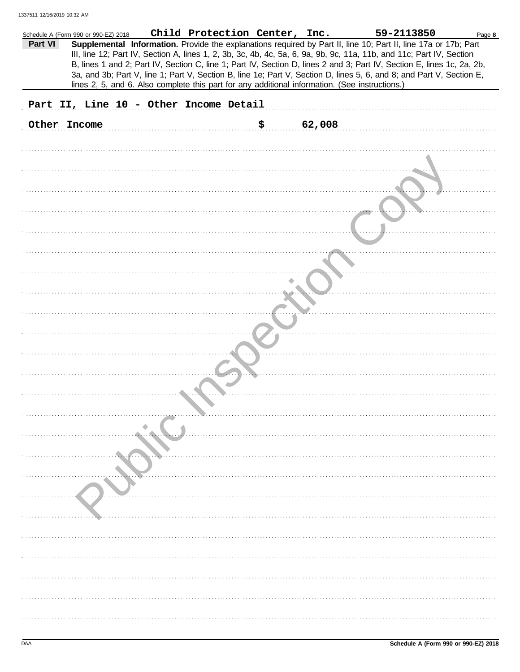|         | Schedule A (Form 990 or 990-EZ) 2018 | Child Protection Center, Inc.                                                                  |     |        | 59-2113850                                                                                                             | Page 8 |
|---------|--------------------------------------|------------------------------------------------------------------------------------------------|-----|--------|------------------------------------------------------------------------------------------------------------------------|--------|
| Part VI |                                      |                                                                                                |     |        | Supplemental Information. Provide the explanations required by Part II, line 10; Part II, line 17a or 17b; Part        |        |
|         |                                      |                                                                                                |     |        | III, line 12; Part IV, Section A, lines 1, 2, 3b, 3c, 4b, 4c, 5a, 6, 9a, 9b, 9c, 11a, 11b, and 11c; Part IV, Section   |        |
|         |                                      |                                                                                                |     |        |                                                                                                                        |        |
|         |                                      |                                                                                                |     |        | B, lines 1 and 2; Part IV, Section C, line 1; Part IV, Section D, lines 2 and 3; Part IV, Section E, lines 1c, 2a, 2b, |        |
|         |                                      |                                                                                                |     |        | 3a, and 3b; Part V, line 1; Part V, Section B, line 1e; Part V, Section D, lines 5, 6, and 8; and Part V, Section E,   |        |
|         |                                      | lines 2, 5, and 6. Also complete this part for any additional information. (See instructions.) |     |        |                                                                                                                        |        |
|         |                                      |                                                                                                |     |        |                                                                                                                        |        |
|         |                                      | Part II, Line 10 - Other Income Detail                                                         |     |        |                                                                                                                        |        |
|         |                                      |                                                                                                |     |        |                                                                                                                        |        |
|         |                                      |                                                                                                |     |        |                                                                                                                        |        |
|         | Other Income                         |                                                                                                | \$. | 62,008 |                                                                                                                        |        |
|         |                                      |                                                                                                |     |        |                                                                                                                        |        |
|         |                                      |                                                                                                |     |        |                                                                                                                        |        |
|         |                                      |                                                                                                |     |        |                                                                                                                        |        |
|         |                                      |                                                                                                |     |        |                                                                                                                        |        |
|         |                                      |                                                                                                |     |        |                                                                                                                        |        |
|         |                                      |                                                                                                |     |        |                                                                                                                        |        |
|         |                                      |                                                                                                |     |        |                                                                                                                        |        |
|         |                                      |                                                                                                |     |        |                                                                                                                        |        |
|         |                                      |                                                                                                |     |        |                                                                                                                        |        |
|         |                                      |                                                                                                |     |        |                                                                                                                        |        |
|         |                                      |                                                                                                |     |        |                                                                                                                        |        |
|         |                                      |                                                                                                |     |        |                                                                                                                        |        |
|         |                                      |                                                                                                |     |        |                                                                                                                        |        |
|         |                                      |                                                                                                |     |        |                                                                                                                        |        |
|         |                                      |                                                                                                |     |        |                                                                                                                        |        |
|         |                                      |                                                                                                |     |        |                                                                                                                        |        |
|         |                                      |                                                                                                |     |        |                                                                                                                        |        |
|         |                                      |                                                                                                |     |        |                                                                                                                        |        |
|         |                                      |                                                                                                |     |        |                                                                                                                        |        |
|         |                                      |                                                                                                |     |        |                                                                                                                        |        |
|         |                                      |                                                                                                |     |        |                                                                                                                        |        |
|         |                                      |                                                                                                |     |        |                                                                                                                        |        |
|         |                                      |                                                                                                |     |        |                                                                                                                        |        |
|         |                                      |                                                                                                |     |        |                                                                                                                        |        |
|         |                                      |                                                                                                |     |        |                                                                                                                        |        |
|         |                                      |                                                                                                |     |        |                                                                                                                        |        |
|         |                                      |                                                                                                |     |        |                                                                                                                        |        |
|         |                                      |                                                                                                |     |        |                                                                                                                        |        |
|         |                                      |                                                                                                |     |        |                                                                                                                        |        |
|         |                                      |                                                                                                |     |        |                                                                                                                        |        |
|         |                                      |                                                                                                |     |        |                                                                                                                        |        |
|         |                                      |                                                                                                |     |        |                                                                                                                        |        |
|         |                                      |                                                                                                |     |        |                                                                                                                        |        |
|         |                                      |                                                                                                |     |        |                                                                                                                        |        |
|         |                                      |                                                                                                |     |        |                                                                                                                        |        |
|         |                                      |                                                                                                |     |        |                                                                                                                        |        |
|         |                                      |                                                                                                |     |        |                                                                                                                        |        |
|         |                                      |                                                                                                |     |        |                                                                                                                        |        |
|         |                                      |                                                                                                |     |        |                                                                                                                        |        |
|         |                                      |                                                                                                |     |        |                                                                                                                        |        |
|         |                                      |                                                                                                |     |        |                                                                                                                        |        |
|         |                                      |                                                                                                |     |        |                                                                                                                        |        |
|         |                                      |                                                                                                |     |        |                                                                                                                        |        |
|         |                                      |                                                                                                |     |        |                                                                                                                        |        |
|         |                                      |                                                                                                |     |        |                                                                                                                        |        |
|         |                                      |                                                                                                |     |        |                                                                                                                        |        |
|         |                                      |                                                                                                |     |        |                                                                                                                        |        |
|         |                                      |                                                                                                |     |        |                                                                                                                        |        |
|         |                                      |                                                                                                |     |        |                                                                                                                        |        |
|         |                                      |                                                                                                |     |        |                                                                                                                        |        |
|         |                                      |                                                                                                |     |        |                                                                                                                        |        |
|         |                                      |                                                                                                |     |        |                                                                                                                        |        |
|         |                                      |                                                                                                |     |        |                                                                                                                        |        |
|         |                                      |                                                                                                |     |        |                                                                                                                        |        |
|         |                                      |                                                                                                |     |        |                                                                                                                        |        |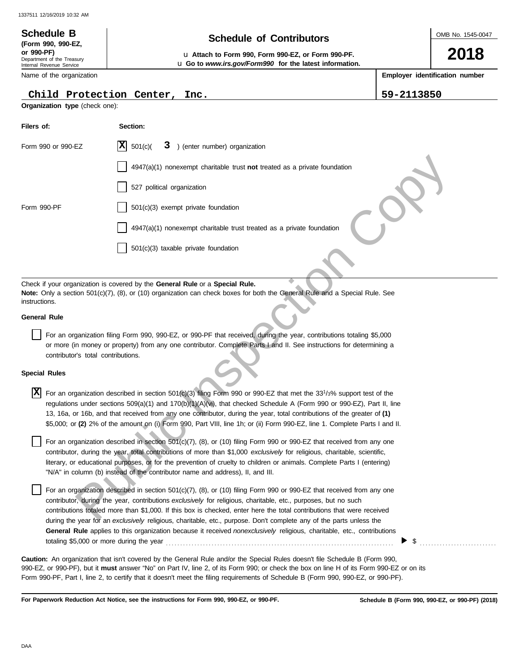### **Schedule of Contributors Schedule B**

**2018**

**or 990-PF)** u **Attach to Form 990, Form 990-EZ, or Form 990-PF.** u **Go to** *www.irs.gov/Form990* **for the latest information.**

**Employer identification number**

|  |  |  | Name of the organization |
|--|--|--|--------------------------|
|--|--|--|--------------------------|

Department of the Treasury Internal Revenue Service

**(Form 990, 990-EZ,**

#### **Child Protection Center, Inc. 59-2113850**

**Organization type** (check one):

| Filers of:                                                                                                                                                                                                                                                                                                                                                                                                                                                                                                                                                                                                                                                                                                                                                           | Section:                                                                                                                                                                                                                                                                                                                                                                                                                                                                       |  |  |  |  |
|----------------------------------------------------------------------------------------------------------------------------------------------------------------------------------------------------------------------------------------------------------------------------------------------------------------------------------------------------------------------------------------------------------------------------------------------------------------------------------------------------------------------------------------------------------------------------------------------------------------------------------------------------------------------------------------------------------------------------------------------------------------------|--------------------------------------------------------------------------------------------------------------------------------------------------------------------------------------------------------------------------------------------------------------------------------------------------------------------------------------------------------------------------------------------------------------------------------------------------------------------------------|--|--|--|--|
| Form 990 or 990-EZ                                                                                                                                                                                                                                                                                                                                                                                                                                                                                                                                                                                                                                                                                                                                                   | ΙXΙ<br>501(c)<br>3 ) (enter number) organization                                                                                                                                                                                                                                                                                                                                                                                                                               |  |  |  |  |
|                                                                                                                                                                                                                                                                                                                                                                                                                                                                                                                                                                                                                                                                                                                                                                      | $4947(a)(1)$ nonexempt charitable trust not treated as a private foundation                                                                                                                                                                                                                                                                                                                                                                                                    |  |  |  |  |
|                                                                                                                                                                                                                                                                                                                                                                                                                                                                                                                                                                                                                                                                                                                                                                      | 527 political organization                                                                                                                                                                                                                                                                                                                                                                                                                                                     |  |  |  |  |
| Form 990-PF                                                                                                                                                                                                                                                                                                                                                                                                                                                                                                                                                                                                                                                                                                                                                          | 501(c)(3) exempt private foundation                                                                                                                                                                                                                                                                                                                                                                                                                                            |  |  |  |  |
|                                                                                                                                                                                                                                                                                                                                                                                                                                                                                                                                                                                                                                                                                                                                                                      | 4947(a)(1) nonexempt charitable trust treated as a private foundation                                                                                                                                                                                                                                                                                                                                                                                                          |  |  |  |  |
|                                                                                                                                                                                                                                                                                                                                                                                                                                                                                                                                                                                                                                                                                                                                                                      | 501(c)(3) taxable private foundation                                                                                                                                                                                                                                                                                                                                                                                                                                           |  |  |  |  |
| instructions.                                                                                                                                                                                                                                                                                                                                                                                                                                                                                                                                                                                                                                                                                                                                                        | Check if your organization is covered by the General Rule or a Special Rule.<br>Note: Only a section 501(c)(7), (8), or (10) organization can check boxes for both the General Rule and a Special Rule. See                                                                                                                                                                                                                                                                    |  |  |  |  |
| <b>General Rule</b>                                                                                                                                                                                                                                                                                                                                                                                                                                                                                                                                                                                                                                                                                                                                                  |                                                                                                                                                                                                                                                                                                                                                                                                                                                                                |  |  |  |  |
| contributor's total contributions.                                                                                                                                                                                                                                                                                                                                                                                                                                                                                                                                                                                                                                                                                                                                   | For an organization filing Form 990, 990-EZ, or 990-PF that received, during the year, contributions totaling \$5,000<br>or more (in money or property) from any one contributor. Complete Parts I and II. See instructions for determining a                                                                                                                                                                                                                                  |  |  |  |  |
| <b>Special Rules</b>                                                                                                                                                                                                                                                                                                                                                                                                                                                                                                                                                                                                                                                                                                                                                 |                                                                                                                                                                                                                                                                                                                                                                                                                                                                                |  |  |  |  |
| X <br>For an organization described in section 501(c)(3) filing Form 990 or 990-EZ that met the 331/3% support test of the<br>regulations under sections 509(a)(1) and 170(b)(1)(A)(vi), that checked Schedule A (Form 990 or 990-EZ), Part II, line<br>13, 16a, or 16b, and that received from any one contributor, during the year, total contributions of the greater of (1)<br>\$5,000; or (2) 2% of the amount on (i) Form 990, Part VIII, line 1h; or (ii) Form 990-EZ, line 1. Complete Parts I and II.<br>For an organization described in section 501(c)(7), (8), or (10) filing Form 990 or 990-EZ that received from any one<br>contributor, during the year, total contributions of more than \$1,000 exclusively for religious, charitable, scientific, |                                                                                                                                                                                                                                                                                                                                                                                                                                                                                |  |  |  |  |
|                                                                                                                                                                                                                                                                                                                                                                                                                                                                                                                                                                                                                                                                                                                                                                      | literary, or educational purposes, or for the prevention of cruelty to children or animals. Complete Parts I (entering)<br>"N/A" in column (b) instead of the contributor name and address), II, and III.                                                                                                                                                                                                                                                                      |  |  |  |  |
|                                                                                                                                                                                                                                                                                                                                                                                                                                                                                                                                                                                                                                                                                                                                                                      | For an organization described in section 501(c)(7), (8), or (10) filing Form 990 or 990-EZ that received from any one<br>contributor, during the year, contributions exclusively for religious, charitable, etc., purposes, but no such<br>contributions totaled more than \$1,000. If this box is checked, enter here the total contributions that were received<br>a concelho an accelerate del sistema de adaptato del composto. Dante accelera anos el tipo papa contrario |  |  |  |  |

#### **General Rule**

#### **Special Rules**

| $\mathbf{X}$ For an organization described in section 501(c)(3) filing Form 990 or 990-EZ that met the 33 <sup>1</sup> /3% support test of the |
|------------------------------------------------------------------------------------------------------------------------------------------------|
| regulations under sections 509(a)(1) and 170(b)(1)(A)(vi), that checked Schedule A (Form 990 or 990-EZ), Part II, line                         |
| 13, 16a, or 16b, and that received from any one contributor, during the year, total contributions of the greater of (1)                        |
| \$5,000; or (2) 2% of the amount on (i) Form 990, Part VIII, line 1h; or (ii) Form 990-EZ, line 1. Complete Parts I and II.                    |

For an organization described in section 501(c)(7), (8), or (10) filing Form 990 or 990-EZ that received from any one contributor, during the year, contributions *exclusively* for religious, charitable, etc., purposes, but no such contributions totaled more than \$1,000. If this box is checked, enter here the total contributions that were received during the year for an *exclusively* religious, charitable, etc., purpose. Don't complete any of the parts unless the **General Rule** applies to this organization because it received *nonexclusively* religious, charitable, etc., contributions totaling \$5,000 or more during the year . . . . . . . . . . . . . . . . . . . . . . . . . . . . . . . . . . . . . . . . . . . . . . . . . . . . . . . . . . . . . . . . . . . . . . . . . . . . . . . .

990-EZ, or 990-PF), but it **must** answer "No" on Part IV, line 2, of its Form 990; or check the box on line H of its Form 990-EZ or on its Form 990-PF, Part I, line 2, to certify that it doesn't meet the filing requirements of Schedule B (Form 990, 990-EZ, or 990-PF). **Caution:** An organization that isn't covered by the General Rule and/or the Special Rules doesn't file Schedule B (Form 990,

**For Paperwork Reduction Act Notice, see the instructions for Form 990, 990-EZ, or 990-PF.**

 $\mathfrak s$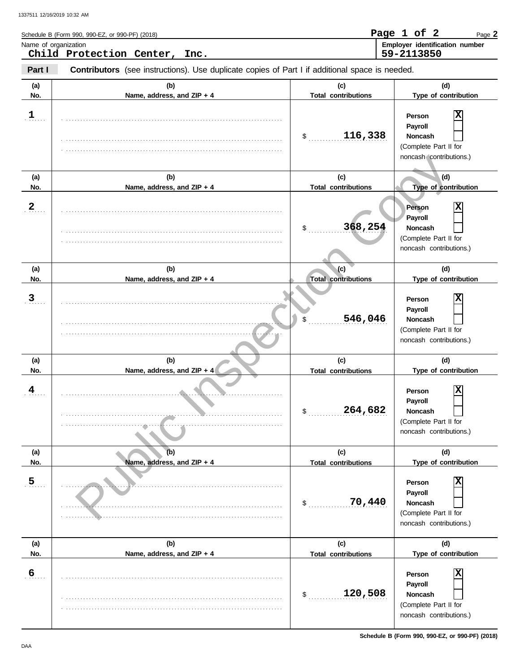|                         | Schedule B (Form 990, 990-EZ, or 990-PF) (2018)                                                |                                             | Page 1 of 2<br>Page 2                                                                                         |
|-------------------------|------------------------------------------------------------------------------------------------|---------------------------------------------|---------------------------------------------------------------------------------------------------------------|
| Name of organization    | Child Protection Center,<br>Inc.                                                               |                                             | Employer identification number<br>59-2113850                                                                  |
| Part I                  | Contributors (see instructions). Use duplicate copies of Part I if additional space is needed. |                                             |                                                                                                               |
| (a)<br>No.              | (b)<br>Name, address, and ZIP + 4                                                              | (c)<br><b>Total contributions</b>           | (d)<br>Type of contribution                                                                                   |
| $\frac{1}{n}$           |                                                                                                | 116,338<br>\$                               | х<br>Person<br>Payroll<br>Noncash<br>(Complete Part II for<br>noncash contributions.)                         |
| (a)<br>No.              | (b)<br>Name, address, and ZIP + 4                                                              | (c)<br><b>Total contributions</b>           | (d)<br>Type of contribution                                                                                   |
| $\frac{2}{\cdot}$       |                                                                                                | 368,254<br>\$                               | х<br>Person<br>Payroll<br>Noncash<br>(Complete Part II for<br>noncash contributions.)                         |
| (a)<br>No.              | (b)<br>Name, address, and ZIP + 4                                                              | (c)<br><b>Total contributions</b>           | (d)<br>Type of contribution                                                                                   |
| $\overline{3}$          |                                                                                                | 546,046                                     | Person<br>Payroll<br>Noncash<br>(Complete Part II for<br>noncash contributions.)                              |
| (a)<br>No.              | (b)<br>Name, address, and ZIP + 4                                                              | (c)<br><b>Total contributions</b>           | (d)<br>Type of contribution                                                                                   |
| $\overline{\mathbf{4}}$ |                                                                                                | 264,682<br>P.                               | x<br>Person<br>Payroll<br>Noncash<br>(Complete Part II for<br>noncash contributions.)                         |
| (a)<br>No.              | (b)<br>Name, address, and ZIP + 4                                                              | (c)<br><b>Total contributions</b>           | (d)<br>Type of contribution                                                                                   |
| $\overline{5}$          |                                                                                                | 70,440<br>\$                                | X<br>Person<br>Payroll<br>Noncash<br>(Complete Part II for<br>noncash contributions.)                         |
| (a)                     | (b)                                                                                            | (c)                                         | (d)                                                                                                           |
| No.<br>$6\overline{6}$  | Name, address, and ZIP + 4                                                                     | <b>Total contributions</b><br>120,508<br>\$ | Type of contribution<br>X<br>Person<br>Payroll<br>Noncash<br>(Complete Part II for<br>noncash contributions.) |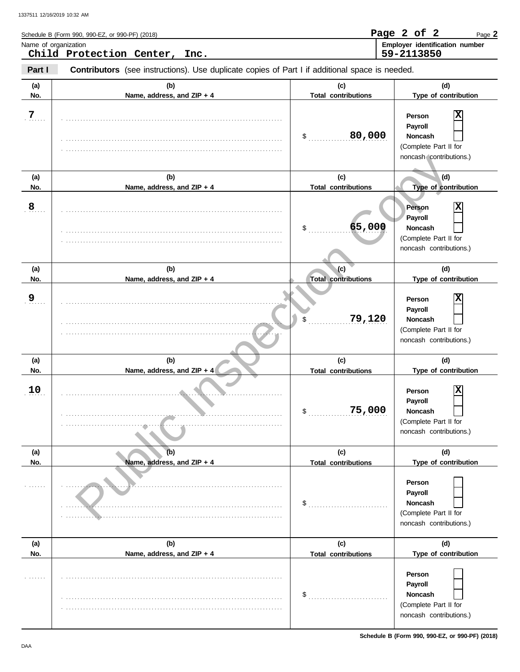|                      | Schedule B (Form 990, 990-EZ, or 990-PF) (2018)                                                |                                   | Page 2 of 2<br>Page 2                                                                   |
|----------------------|------------------------------------------------------------------------------------------------|-----------------------------------|-----------------------------------------------------------------------------------------|
| Name of organization | Child Protection Center, Inc.                                                                  |                                   | Employer identification number<br>59-2113850                                            |
| Part I               | Contributors (see instructions). Use duplicate copies of Part I if additional space is needed. |                                   |                                                                                         |
| (a)<br>No.           | (b)<br>Name, address, and ZIP + 4                                                              | (c)<br><b>Total contributions</b> | (d)<br>Type of contribution                                                             |
| 7                    |                                                                                                | 80,000<br>\$                      | Person<br>Payroll<br>Noncash<br>(Complete Part II for<br>noncash contributions.)        |
| (a)<br>No.           | (b)<br>Name, address, and ZIP + 4                                                              | (c)<br><b>Total contributions</b> | (d)<br>Type of contribution                                                             |
| 8                    |                                                                                                | 65,000<br>\$                      | х<br>Person<br>Payroll<br>Noncash<br>(Complete Part II for<br>noncash contributions.)   |
| (a)<br>No.           | (b)<br>Name, address, and ZIP + 4                                                              | (c)<br><b>Total contributions</b> | (d)<br>Type of contribution                                                             |
| 9                    |                                                                                                | 79,120                            | Person<br>Payroll<br>Noncash<br>(Complete Part II for<br>noncash contributions.)        |
| (a)<br>No.           | (b)<br>Name, address, and ZIP + 4                                                              | (c)<br><b>Total contributions</b> | (d)<br>Type of contribution                                                             |
| 10                   |                                                                                                | <u>75,000</u><br>$\mathsf{S}$     | X<br>Person<br>Payroll<br>Noncash<br>(Complete Part II for<br>noncash contributions.)   |
| (a)<br>No.           | (b)<br>Name, address, and ZIP + 4                                                              | (c)<br><b>Total contributions</b> | (d)<br>Type of contribution                                                             |
|                      |                                                                                                | \$                                | Person<br>Payroll<br><b>Noncash</b><br>(Complete Part II for<br>noncash contributions.) |
| (a)<br>No.           | (b)<br>Name, address, and ZIP + 4                                                              | (c)<br><b>Total contributions</b> | (d)<br>Type of contribution                                                             |
|                      |                                                                                                | \$                                | Person<br>Payroll<br>Noncash<br>(Complete Part II for<br>noncash contributions.)        |

**Schedule B (Form 990, 990-EZ, or 990-PF) (2018)**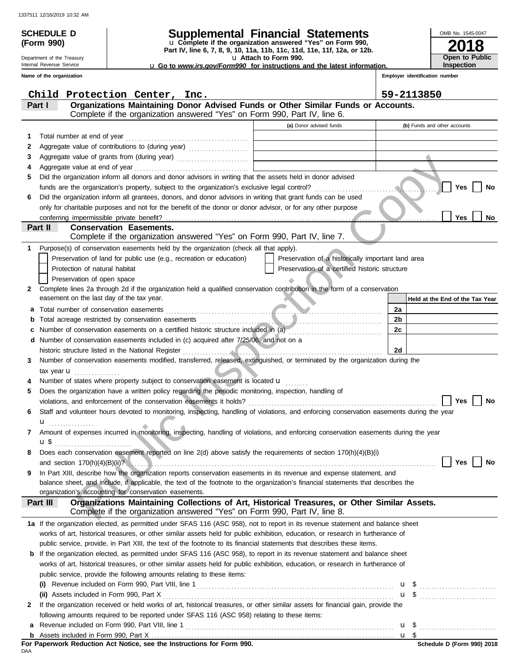Department of the Treasury Internal Revenue Service

**(Form 990)**

### **SCHEDULE D Supplemental Financial Statements**

**Part IV, line 6, 7, 8, 9, 10, 11a, 11b, 11c, 11d, 11e, 11f, 12a, or 12b.** u **Complete if the organization answered "Yes" on Form 990,**

u **Attach to Form 990.** 

u **Go to** *www.irs.gov/Form990* **for instructions and the latest information.**

|              | Name of the organization                                                                                                                                                 |                                                    | Employer identification number  |
|--------------|--------------------------------------------------------------------------------------------------------------------------------------------------------------------------|----------------------------------------------------|---------------------------------|
|              | Child Protection Center, Inc.                                                                                                                                            |                                                    | 59-2113850                      |
|              | Organizations Maintaining Donor Advised Funds or Other Similar Funds or Accounts.<br>Part I<br>Complete if the organization answered "Yes" on Form 990, Part IV, line 6. |                                                    |                                 |
|              |                                                                                                                                                                          | (a) Donor advised funds                            | (b) Funds and other accounts    |
| 1.           |                                                                                                                                                                          |                                                    |                                 |
| 2            | Aggregate value of contributions to (during year)                                                                                                                        |                                                    |                                 |
| 3            | Aggregate value of grants from (during year)                                                                                                                             | and the control of the control of                  |                                 |
|              |                                                                                                                                                                          |                                                    |                                 |
| 5            | Did the organization inform all donors and donor advisors in writing that the assets held in donor advised                                                               |                                                    |                                 |
|              | funds are the organization's property, subject to the organization's exclusive legal control?                                                                            |                                                    | Yes<br>No                       |
| 6            | Did the organization inform all grantees, donors, and donor advisors in writing that grant funds can be used                                                             |                                                    |                                 |
|              | only for charitable purposes and not for the benefit of the donor or donor advisor, or for any other purpose                                                             |                                                    |                                 |
|              | conferring impermissible private benefit?                                                                                                                                |                                                    | Yes<br>No                       |
|              | Part II<br><b>Conservation Easements.</b>                                                                                                                                |                                                    |                                 |
|              | Complete if the organization answered "Yes" on Form 990, Part IV, line 7.                                                                                                |                                                    |                                 |
| 1.           | Purpose(s) of conservation easements held by the organization (check all that apply).                                                                                    |                                                    |                                 |
|              | Preservation of land for public use (e.g., recreation or education)                                                                                                      | Preservation of a historically important land area |                                 |
|              | Protection of natural habitat                                                                                                                                            | Preservation of a certified historic structure     |                                 |
|              | Preservation of open space                                                                                                                                               |                                                    |                                 |
| 2            | Complete lines 2a through 2d if the organization held a qualified conservation contribution in the form of a conservation                                                |                                                    |                                 |
|              | easement on the last day of the tax year.                                                                                                                                |                                                    | Held at the End of the Tax Year |
|              |                                                                                                                                                                          |                                                    | 2a                              |
| а            |                                                                                                                                                                          |                                                    | 2b                              |
|              |                                                                                                                                                                          |                                                    | 2c                              |
|              | Number of conservation easements on a certified historic structure included in (a)                                                                                       |                                                    |                                 |
|              | Number of conservation easements included in (c) acquired after 7/25/06, and not on a                                                                                    |                                                    |                                 |
|              |                                                                                                                                                                          |                                                    | 2d                              |
| 3            | Number of conservation easements modified, transferred, released, extinguished, or terminated by the organization during the                                             |                                                    |                                 |
|              | tax year $\mathbf u$<br>Number of states where property subject to conservation easement is located u                                                                    |                                                    |                                 |
|              |                                                                                                                                                                          |                                                    |                                 |
| 5            | Does the organization have a written policy regarding the periodic monitoring, inspection, handling of                                                                   |                                                    | No<br>Yes                       |
|              |                                                                                                                                                                          |                                                    |                                 |
| 6            | Staff and volunteer hours devoted to monitoring, inspecting, handling of violations, and enforcing conservation easements during the year                                |                                                    |                                 |
|              | .<br>Amount of expenses incurred in monitoring, inspecting, handling of violations, and enforcing conservation easements during the year                                 |                                                    |                                 |
| 7            | u \$                                                                                                                                                                     |                                                    |                                 |
|              | Does each conservation easement reported on line 2(d) above satisfy the requirements of section 170(h)(4)(B)(i)                                                          |                                                    |                                 |
|              | and section $170(h)(4)(B)(ii)?$                                                                                                                                          |                                                    | Yes<br>No                       |
| 9            | In Part XIII, describe how the organization reports conservation easements in its revenue and expense statement, and                                                     |                                                    |                                 |
|              | balance sheet, and include, if applicable, the text of the footnote to the organization's financial statements that describes the                                        |                                                    |                                 |
|              | organization's accounting for conservation easements.                                                                                                                    |                                                    |                                 |
|              | Organizations Maintaining Collections of Art, Historical Treasures, or Other Similar Assets.<br>Part III                                                                 |                                                    |                                 |
|              | Complete if the organization answered "Yes" on Form 990, Part IV, line 8.                                                                                                |                                                    |                                 |
|              | 1a If the organization elected, as permitted under SFAS 116 (ASC 958), not to report in its revenue statement and balance sheet                                          |                                                    |                                 |
|              | works of art, historical treasures, or other similar assets held for public exhibition, education, or research in furtherance of                                         |                                                    |                                 |
|              | public service, provide, in Part XIII, the text of the footnote to its financial statements that describes these items.                                                  |                                                    |                                 |
|              | <b>b</b> If the organization elected, as permitted under SFAS 116 (ASC 958), to report in its revenue statement and balance sheet                                        |                                                    |                                 |
|              | works of art, historical treasures, or other similar assets held for public exhibition, education, or research in furtherance of                                         |                                                    |                                 |
|              | public service, provide the following amounts relating to these items:                                                                                                   |                                                    |                                 |
|              |                                                                                                                                                                          |                                                    | u \$                            |
|              | (ii) Assets included in Form 990, Part X                                                                                                                                 |                                                    | $\mathbf{u}$ \$                 |
| $\mathbf{2}$ | If the organization received or held works of art, historical treasures, or other similar assets for financial gain, provide the                                         |                                                    |                                 |
|              | following amounts required to be reported under SFAS 116 (ASC 958) relating to these items:                                                                              |                                                    |                                 |
|              | Revenue included on Form 990, Part VIII, line 1                                                                                                                          |                                                    | $u \$                           |

|     | For Paperwork Reduction Act Notice, see the Instructions for Form 990. |
|-----|------------------------------------------------------------------------|
| DAA |                                                                        |

<u>u \$</u>

**2018 Open to Public**

OMB No. 1545-0047

**Inspection**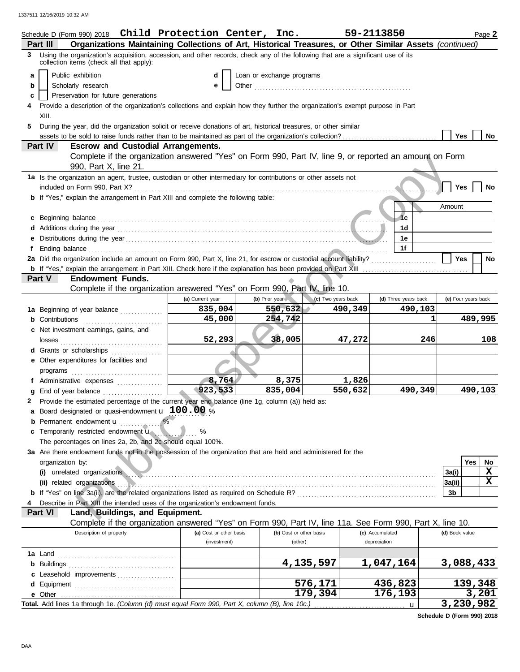|   |                                                                                                                                                                                                                              |                                             |  | Schedule D (Form 990) 2018  Child Protection Center, Inc.                                                                                                                                                                            |                                         |                                    |                    | 59-2113850                      | Page 2                 |  |  |  |  |  |
|---|------------------------------------------------------------------------------------------------------------------------------------------------------------------------------------------------------------------------------|---------------------------------------------|--|--------------------------------------------------------------------------------------------------------------------------------------------------------------------------------------------------------------------------------------|-----------------------------------------|------------------------------------|--------------------|---------------------------------|------------------------|--|--|--|--|--|
|   | Part III                                                                                                                                                                                                                     |                                             |  | Organizations Maintaining Collections of Art, Historical Treasures, or Other Similar Assets (continued)                                                                                                                              |                                         |                                    |                    |                                 |                        |  |  |  |  |  |
| 3 |                                                                                                                                                                                                                              | collection items (check all that apply):    |  | Using the organization's acquisition, accession, and other records, check any of the following that are a significant use of its                                                                                                     |                                         |                                    |                    |                                 |                        |  |  |  |  |  |
| a |                                                                                                                                                                                                                              | Public exhibition                           |  | d                                                                                                                                                                                                                                    |                                         | Loan or exchange programs          |                    |                                 |                        |  |  |  |  |  |
| b | Scholarly research<br>е                                                                                                                                                                                                      |                                             |  |                                                                                                                                                                                                                                      |                                         |                                    |                    |                                 |                        |  |  |  |  |  |
| c |                                                                                                                                                                                                                              | Preservation for future generations         |  |                                                                                                                                                                                                                                      |                                         |                                    |                    |                                 |                        |  |  |  |  |  |
|   |                                                                                                                                                                                                                              |                                             |  | Provide a description of the organization's collections and explain how they further the organization's exempt purpose in Part                                                                                                       |                                         |                                    |                    |                                 |                        |  |  |  |  |  |
|   | XIII.                                                                                                                                                                                                                        |                                             |  |                                                                                                                                                                                                                                      |                                         |                                    |                    |                                 |                        |  |  |  |  |  |
| 5 |                                                                                                                                                                                                                              |                                             |  |                                                                                                                                                                                                                                      |                                         |                                    |                    |                                 |                        |  |  |  |  |  |
|   | During the year, did the organization solicit or receive donations of art, historical treasures, or other similar<br>assets to be sold to raise funds rather than to be maintained as part of the organization's collection? |                                             |  |                                                                                                                                                                                                                                      |                                         |                                    |                    |                                 |                        |  |  |  |  |  |
|   | Part IV                                                                                                                                                                                                                      |                                             |  | <b>Escrow and Custodial Arrangements.</b>                                                                                                                                                                                            |                                         |                                    |                    |                                 |                        |  |  |  |  |  |
|   | Complete if the organization answered "Yes" on Form 990, Part IV, line 9, or reported an amount on Form<br>990, Part X, line 21.                                                                                             |                                             |  |                                                                                                                                                                                                                                      |                                         |                                    |                    |                                 |                        |  |  |  |  |  |
|   |                                                                                                                                                                                                                              |                                             |  | 1a Is the organization an agent, trustee, custodian or other intermediary for contributions or other assets not                                                                                                                      |                                         |                                    |                    |                                 |                        |  |  |  |  |  |
|   |                                                                                                                                                                                                                              |                                             |  |                                                                                                                                                                                                                                      |                                         |                                    |                    |                                 | <b>Yes</b><br>No       |  |  |  |  |  |
|   |                                                                                                                                                                                                                              |                                             |  | <b>b</b> If "Yes," explain the arrangement in Part XIII and complete the following table:                                                                                                                                            |                                         |                                    |                    |                                 |                        |  |  |  |  |  |
|   |                                                                                                                                                                                                                              |                                             |  |                                                                                                                                                                                                                                      |                                         |                                    |                    |                                 | Amount                 |  |  |  |  |  |
|   |                                                                                                                                                                                                                              |                                             |  | c Beginning balance <b>contract the contract of the contract of the contract of the contract of the contract of the contract of the contract of the contract of the contract of the contract of the contract of the contract of </b> |                                         |                                    |                    | 1 <sub>c</sub>                  |                        |  |  |  |  |  |
|   |                                                                                                                                                                                                                              |                                             |  |                                                                                                                                                                                                                                      |                                         |                                    |                    | 1 <sub>d</sub>                  |                        |  |  |  |  |  |
|   |                                                                                                                                                                                                                              |                                             |  | Distributions during the year contact the contact of the set of the set of the set of the set of the set of the set of the set of the set of the set of the set of the set of the set of the set of the set of the set of the        |                                         |                                    |                    | 1e                              |                        |  |  |  |  |  |
|   |                                                                                                                                                                                                                              |                                             |  | Ending balance commutation and contact the contract of the contract of the commutation of the commutation of the contract of the contract of the contract of the contract of the contract of the contract of the contract of t       |                                         |                                    |                    | 1f                              |                        |  |  |  |  |  |
|   |                                                                                                                                                                                                                              |                                             |  | 2a Did the organization include an amount on Form 990, Part X, line 21, for escrow or custodial account liability?                                                                                                                   |                                         |                                    |                    |                                 | <b>Yes</b><br>No       |  |  |  |  |  |
|   |                                                                                                                                                                                                                              |                                             |  |                                                                                                                                                                                                                                      |                                         |                                    |                    |                                 |                        |  |  |  |  |  |
|   | <b>Part V</b>                                                                                                                                                                                                                | <b>Endowment Funds.</b>                     |  |                                                                                                                                                                                                                                      |                                         |                                    |                    |                                 |                        |  |  |  |  |  |
|   |                                                                                                                                                                                                                              |                                             |  | Complete if the organization answered "Yes" on Form 990, Part IV, line 10.                                                                                                                                                           |                                         |                                    |                    |                                 |                        |  |  |  |  |  |
|   |                                                                                                                                                                                                                              |                                             |  | (a) Current year                                                                                                                                                                                                                     |                                         | (b) Prior year                     | (c) Two years back | (d) Three years back            | (e) Four years back    |  |  |  |  |  |
|   |                                                                                                                                                                                                                              | 1a Beginning of year balance                |  | 835,004                                                                                                                                                                                                                              |                                         | 550,632                            | 490,349            | 490,103                         |                        |  |  |  |  |  |
|   |                                                                                                                                                                                                                              | <b>b</b> Contributions <b>contributions</b> |  | 45,000                                                                                                                                                                                                                               |                                         | 254,742                            |                    |                                 | 1<br>489,995           |  |  |  |  |  |
|   |                                                                                                                                                                                                                              | c Net investment earnings, gains, and       |  |                                                                                                                                                                                                                                      |                                         |                                    |                    |                                 |                        |  |  |  |  |  |
|   |                                                                                                                                                                                                                              |                                             |  | 52,293                                                                                                                                                                                                                               |                                         | 38,005                             | 47,272             |                                 | 246<br>108             |  |  |  |  |  |
|   |                                                                                                                                                                                                                              | d Grants or scholarships                    |  |                                                                                                                                                                                                                                      |                                         |                                    |                    |                                 |                        |  |  |  |  |  |
|   |                                                                                                                                                                                                                              | e Other expenditures for facilities and     |  |                                                                                                                                                                                                                                      |                                         |                                    |                    |                                 |                        |  |  |  |  |  |
|   |                                                                                                                                                                                                                              | programs                                    |  |                                                                                                                                                                                                                                      |                                         |                                    |                    |                                 |                        |  |  |  |  |  |
|   |                                                                                                                                                                                                                              | f Administrative expenses                   |  |                                                                                                                                                                                                                                      | 8,764                                   | 8,375                              | 1,826              |                                 |                        |  |  |  |  |  |
|   |                                                                                                                                                                                                                              | End of year balance                         |  | 923,533                                                                                                                                                                                                                              |                                         | 835,004                            | 550,632            | 490,349                         | 490,103                |  |  |  |  |  |
|   |                                                                                                                                                                                                                              |                                             |  | Provide the estimated percentage of the current year end balance (line 1g, column (a)) held as:                                                                                                                                      |                                         |                                    |                    |                                 |                        |  |  |  |  |  |
|   |                                                                                                                                                                                                                              |                                             |  | a Board designated or quasi-endowment u 100.00 %                                                                                                                                                                                     |                                         |                                    |                    |                                 |                        |  |  |  |  |  |
|   |                                                                                                                                                                                                                              |                                             |  |                                                                                                                                                                                                                                      |                                         |                                    |                    |                                 |                        |  |  |  |  |  |
|   |                                                                                                                                                                                                                              | c Temporarily restricted endowment u        |  | %                                                                                                                                                                                                                                    |                                         |                                    |                    |                                 |                        |  |  |  |  |  |
|   |                                                                                                                                                                                                                              |                                             |  | The percentages on lines 2a, 2b, and 2c should equal 100%.                                                                                                                                                                           |                                         |                                    |                    |                                 |                        |  |  |  |  |  |
|   |                                                                                                                                                                                                                              |                                             |  | 3a Are there endowment funds not in the possession of the organization that are held and administered for the                                                                                                                        |                                         |                                    |                    |                                 |                        |  |  |  |  |  |
|   | organization by:                                                                                                                                                                                                             |                                             |  |                                                                                                                                                                                                                                      |                                         |                                    |                    |                                 | Yes<br>No              |  |  |  |  |  |
|   |                                                                                                                                                                                                                              | (i) unrelated organizations                 |  |                                                                                                                                                                                                                                      |                                         |                                    |                    |                                 | X<br>3a(i)             |  |  |  |  |  |
|   |                                                                                                                                                                                                                              | (ii) related organizations                  |  |                                                                                                                                                                                                                                      |                                         |                                    |                    |                                 | $\mathbf x$<br> 3a(ii) |  |  |  |  |  |
|   |                                                                                                                                                                                                                              |                                             |  |                                                                                                                                                                                                                                      |                                         |                                    |                    |                                 | 3b                     |  |  |  |  |  |
|   |                                                                                                                                                                                                                              |                                             |  | Describe in Part XIII the intended uses of the organization's endowment funds.                                                                                                                                                       |                                         |                                    |                    |                                 |                        |  |  |  |  |  |
|   | Part VI                                                                                                                                                                                                                      |                                             |  | Land, Buildings, and Equipment.                                                                                                                                                                                                      |                                         |                                    |                    |                                 |                        |  |  |  |  |  |
|   |                                                                                                                                                                                                                              |                                             |  | Complete if the organization answered "Yes" on Form 990, Part IV, line 11a. See Form 990, Part X, line 10.                                                                                                                           |                                         |                                    |                    |                                 |                        |  |  |  |  |  |
|   |                                                                                                                                                                                                                              | Description of property                     |  |                                                                                                                                                                                                                                      | (a) Cost or other basis<br>(investment) | (b) Cost or other basis<br>(other) |                    | (c) Accumulated<br>depreciation | (d) Book value         |  |  |  |  |  |
|   |                                                                                                                                                                                                                              |                                             |  |                                                                                                                                                                                                                                      |                                         |                                    |                    |                                 |                        |  |  |  |  |  |
|   | <b>1a</b> Land                                                                                                                                                                                                               |                                             |  |                                                                                                                                                                                                                                      |                                         |                                    |                    |                                 | 3,088,433              |  |  |  |  |  |
|   |                                                                                                                                                                                                                              |                                             |  |                                                                                                                                                                                                                                      |                                         |                                    | 4,135,597          | 1,047,164                       |                        |  |  |  |  |  |
|   |                                                                                                                                                                                                                              | c Leasehold improvements                    |  |                                                                                                                                                                                                                                      |                                         |                                    | 576,171            | 436,823                         | 139,348                |  |  |  |  |  |
| d |                                                                                                                                                                                                                              |                                             |  |                                                                                                                                                                                                                                      |                                         |                                    | 179,394            | 176,193                         | 3,201                  |  |  |  |  |  |
|   | e Other                                                                                                                                                                                                                      |                                             |  | Total. Add lines 1a through 1e. (Column (d) must equal Form 990, Part X, column (B), line 10c.)                                                                                                                                      |                                         |                                    |                    |                                 | 3,230,982              |  |  |  |  |  |
|   |                                                                                                                                                                                                                              |                                             |  |                                                                                                                                                                                                                                      |                                         |                                    |                    | u                               |                        |  |  |  |  |  |

**Schedule D (Form 990) 2018**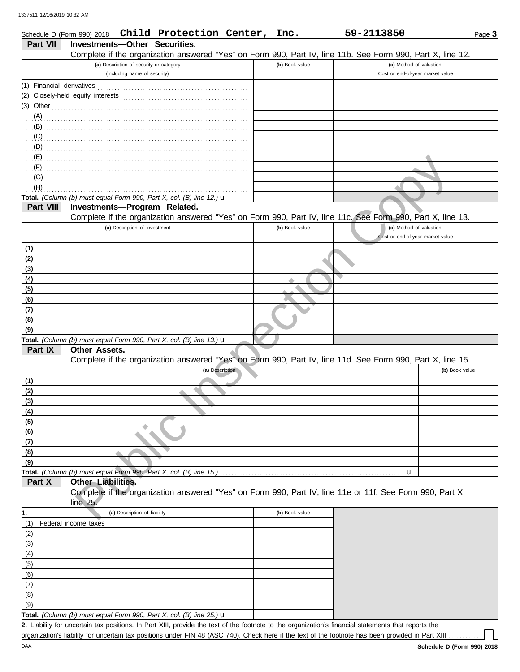| Schedule D (Form 990) 2018 |                                         | Child Protection Center,                                                       | Inc.           | 59-2113850                                                                                                 | Page 3         |
|----------------------------|-----------------------------------------|--------------------------------------------------------------------------------|----------------|------------------------------------------------------------------------------------------------------------|----------------|
| Part VII                   | Investments-Other Securities.           |                                                                                |                |                                                                                                            |                |
|                            |                                         |                                                                                |                | Complete if the organization answered "Yes" on Form 990, Part IV, line 11b. See Form 990, Part X, line 12. |                |
|                            | (a) Description of security or category |                                                                                | (b) Book value | (c) Method of valuation:                                                                                   |                |
|                            | (including name of security)            |                                                                                |                | Cost or end-of-year market value                                                                           |                |
| (1) Financial derivatives  |                                         |                                                                                |                |                                                                                                            |                |
|                            |                                         |                                                                                |                |                                                                                                            |                |
| $(3)$ Other                |                                         |                                                                                |                |                                                                                                            |                |
| (A)                        |                                         |                                                                                |                |                                                                                                            |                |
| (B)                        |                                         |                                                                                |                |                                                                                                            |                |
| (C)                        |                                         |                                                                                |                |                                                                                                            |                |
| (D)                        |                                         |                                                                                |                |                                                                                                            |                |
| (E)                        |                                         |                                                                                |                |                                                                                                            |                |
| (F)                        |                                         |                                                                                |                |                                                                                                            |                |
| (G)                        |                                         |                                                                                |                |                                                                                                            |                |
| (H)                        |                                         |                                                                                |                |                                                                                                            |                |
|                            |                                         | Total. (Column (b) must equal Form 990, Part X, col. (B) line 12.) $\mathbf u$ |                |                                                                                                            |                |
| Part VIII                  | Investments-Program Related.            |                                                                                |                |                                                                                                            |                |
|                            |                                         |                                                                                |                | Complete if the organization answered "Yes" on Form 990, Part IV, line 11c. See Form 990, Part X, line 13. |                |
|                            | (a) Description of investment           |                                                                                | (b) Book value | (c) Method of valuation:                                                                                   |                |
|                            |                                         |                                                                                |                | Cost or end-of-year market value                                                                           |                |
| (1)                        |                                         |                                                                                |                |                                                                                                            |                |
| (2)                        |                                         |                                                                                |                |                                                                                                            |                |
| (3)                        |                                         |                                                                                |                |                                                                                                            |                |
| (4)                        |                                         |                                                                                |                |                                                                                                            |                |
| (5)                        |                                         |                                                                                |                |                                                                                                            |                |
| (6)                        |                                         |                                                                                |                |                                                                                                            |                |
| (7)                        |                                         |                                                                                |                |                                                                                                            |                |
| (8)                        |                                         |                                                                                |                |                                                                                                            |                |
| (9)                        |                                         |                                                                                |                |                                                                                                            |                |
|                            |                                         | Total. (Column (b) must equal Form 990, Part X, col. (B) line 13.) $\mathbf u$ |                |                                                                                                            |                |
| Part IX                    | Other Assets.                           |                                                                                |                |                                                                                                            |                |
|                            |                                         |                                                                                |                | Complete if the organization answered "Yes" on Form 990, Part IV, line 11d. See Form 990, Part X, line 15. |                |
|                            |                                         | (a) Description                                                                |                |                                                                                                            | (b) Book value |
| (1)                        |                                         |                                                                                |                |                                                                                                            |                |
| (2)                        |                                         |                                                                                |                |                                                                                                            |                |
| (3)                        |                                         |                                                                                |                |                                                                                                            |                |
| (4)                        |                                         |                                                                                |                |                                                                                                            |                |
| (5)                        |                                         |                                                                                |                |                                                                                                            |                |
| (6)                        |                                         |                                                                                |                |                                                                                                            |                |
| (7)                        |                                         |                                                                                |                |                                                                                                            |                |
| (8)                        |                                         |                                                                                |                |                                                                                                            |                |
| (9)                        |                                         |                                                                                |                |                                                                                                            |                |
|                            |                                         | Total. (Column (b) must equal Form 990, Part X, col. (B) line 15.)             |                |                                                                                                            |                |
| Part X                     | Other Liabilities.                      |                                                                                |                | u                                                                                                          |                |
|                            |                                         |                                                                                |                | Complete if the organization answered "Yes" on Form 990, Part IV, line 11e or 11f. See Form 990, Part X,   |                |
|                            | line $25.$                              |                                                                                |                |                                                                                                            |                |
|                            | (a) Description of liability            |                                                                                | (b) Book value |                                                                                                            |                |
| 1.                         |                                         |                                                                                |                |                                                                                                            |                |
| (1)                        | Federal income taxes                    |                                                                                |                |                                                                                                            |                |
| (2)                        |                                         |                                                                                |                |                                                                                                            |                |
| (3)                        |                                         |                                                                                |                |                                                                                                            |                |
| (4)                        |                                         |                                                                                |                |                                                                                                            |                |
| (5)                        |                                         |                                                                                |                |                                                                                                            |                |
| (6)                        |                                         |                                                                                |                |                                                                                                            |                |
| (7)                        |                                         |                                                                                |                |                                                                                                            |                |
| (8)                        |                                         |                                                                                |                |                                                                                                            |                |

**Total.** *(Column (b) must equal Form 990, Part X, col. (B) line 25.)* u

Liability for uncertain tax positions. In Part XIII, provide the text of the footnote to the organization's financial statements that reports the **2.** organization's liability for uncertain tax positions under FIN 48 (ASC 740). Check here if the text of the footnote has been provided in Part XIII

 $(9)$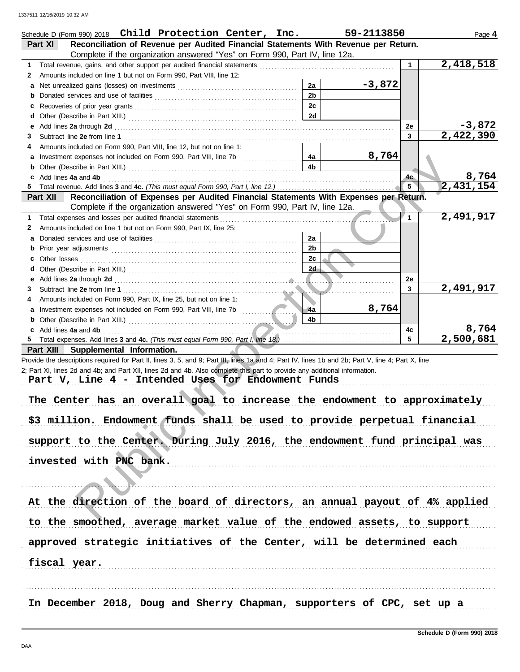|   | Schedule D (Form 990) 2018 Child Protection Center, Inc.                                                                                                                                                                            |                | 59-2113850 |              | Page 4    |
|---|-------------------------------------------------------------------------------------------------------------------------------------------------------------------------------------------------------------------------------------|----------------|------------|--------------|-----------|
|   | Reconciliation of Revenue per Audited Financial Statements With Revenue per Return.<br>Part XI                                                                                                                                      |                |            |              |           |
|   | Complete if the organization answered "Yes" on Form 990, Part IV, line 12a.                                                                                                                                                         |                |            |              |           |
|   |                                                                                                                                                                                                                                     |                |            | $\mathbf{1}$ | 2,418,518 |
| 2 | Amounts included on line 1 but not on Form 990, Part VIII, line 12:                                                                                                                                                                 |                |            |              |           |
| а |                                                                                                                                                                                                                                     | 2a             | $-3,872$   |              |           |
|   |                                                                                                                                                                                                                                     | 2 <sub>b</sub> |            |              |           |
|   |                                                                                                                                                                                                                                     | 2c             |            |              |           |
|   |                                                                                                                                                                                                                                     | 2d             |            |              |           |
| е | Add lines 2a through 2d [11] Annual Material Material Material Material Material Material Material Material Material Material Material Material Material Material Material Material Material Material Material Material Materi      |                |            | 2e           | $-3,872$  |
| 3 |                                                                                                                                                                                                                                     |                |            | 3            | 2,422,390 |
| 4 | Amounts included on Form 990, Part VIII, line 12, but not on line 1:                                                                                                                                                                |                |            |              |           |
|   |                                                                                                                                                                                                                                     | 4a             | 8,764      |              |           |
|   |                                                                                                                                                                                                                                     | 4b             |            |              |           |
| c | Add lines 4a and 4b <b>contract and 4b</b> and 4b and 4b and 4b and 4b and 4b and 4b and 4b and 4b and 4b and 4b and 4b and 4b and 4b and 4b and 4b and 4b and 4b and 4b and 4b and 4b and 4b and 4b and 4b and 4b and 4b and 4b an |                |            | 4с           | 8,764     |
|   |                                                                                                                                                                                                                                     |                |            | 5.           | 2,431,154 |
|   | Reconciliation of Expenses per Audited Financial Statements With Expenses per Return.<br>Part XII                                                                                                                                   |                |            |              |           |
|   | Complete if the organization answered "Yes" on Form 990, Part IV, line 12a.                                                                                                                                                         |                |            |              |           |
| 1 |                                                                                                                                                                                                                                     |                |            | $\mathbf{1}$ | 2,491,917 |
| 2 | Amounts included on line 1 but not on Form 990, Part IX, line 25:                                                                                                                                                                   |                |            |              |           |
| а |                                                                                                                                                                                                                                     | 2a             |            |              |           |
|   |                                                                                                                                                                                                                                     | 2 <sub>b</sub> |            |              |           |
|   |                                                                                                                                                                                                                                     | 2c             |            |              |           |
|   |                                                                                                                                                                                                                                     | $2d -$         |            |              |           |
|   |                                                                                                                                                                                                                                     |                |            | 2e           |           |
| 3 |                                                                                                                                                                                                                                     |                |            | 3            | 2,491,917 |
| 4 | Amounts included on Form 990, Part IX, line 25, but not on line 1:                                                                                                                                                                  |                |            |              |           |
|   |                                                                                                                                                                                                                                     | <b>4a</b>      | 8,764      |              |           |
|   |                                                                                                                                                                                                                                     | 4b             |            |              |           |
|   | c Add lines 4a and 4b (a) and the contract of the set of the set of the set of the set of the set of the set of the set of the set of the set of the set of the set of the set of the set of the set of the set of the set of       |                |            | 4с           | 8,764     |
| 5 |                                                                                                                                                                                                                                     |                |            | 5            | 2,500,681 |
|   | Part XIII Supplemental Information.                                                                                                                                                                                                 |                |            |              |           |
|   | Provide the descriptions required for Part II, lines 3, 5, and 9; Part III, lines 1a and 4; Part IV, lines 1b and 2b; Part V, line 4; Part X, line                                                                                  |                |            |              |           |
|   | 2; Part XI, lines 2d and 4b; and Part XII, lines 2d and 4b. Also complete this part to provide any additional information.                                                                                                          |                |            |              |           |
|   | Part V, Line 4 - Intended Uses for Endowment Funds                                                                                                                                                                                  |                |            |              |           |
|   |                                                                                                                                                                                                                                     |                |            |              |           |
|   | The Center has an overall goal to increase the endowment to approximately                                                                                                                                                           |                |            |              |           |
|   |                                                                                                                                                                                                                                     |                |            |              |           |
|   | \$3 million. Endowment funds shall be used to provide perpetual financial                                                                                                                                                           |                |            |              |           |
|   |                                                                                                                                                                                                                                     |                |            |              |           |
|   | support to the Center. During July 2016, the endowment fund principal was                                                                                                                                                           |                |            |              |           |
|   |                                                                                                                                                                                                                                     |                |            |              |           |
|   | invested with PNC bank.                                                                                                                                                                                                             |                |            |              |           |
|   |                                                                                                                                                                                                                                     |                |            |              |           |
|   |                                                                                                                                                                                                                                     |                |            |              |           |
|   |                                                                                                                                                                                                                                     |                |            |              |           |
|   | At the direction of the board of directors, an annual payout of 4% applied                                                                                                                                                          |                |            |              |           |
|   |                                                                                                                                                                                                                                     |                |            |              |           |
|   | to the smoothed, average market value of the endowed assets, to support                                                                                                                                                             |                |            |              |           |
|   |                                                                                                                                                                                                                                     |                |            |              |           |
|   | approved strategic initiatives of the Center, will be determined each                                                                                                                                                               |                |            |              |           |
|   |                                                                                                                                                                                                                                     |                |            |              |           |
|   | fiscal year.                                                                                                                                                                                                                        |                |            |              |           |
|   |                                                                                                                                                                                                                                     |                |            |              |           |
|   |                                                                                                                                                                                                                                     |                |            |              |           |
|   |                                                                                                                                                                                                                                     |                |            |              |           |
|   | In December 2018, Doug and Sherry Chapman, supporters of CPC, set up a                                                                                                                                                              |                |            |              |           |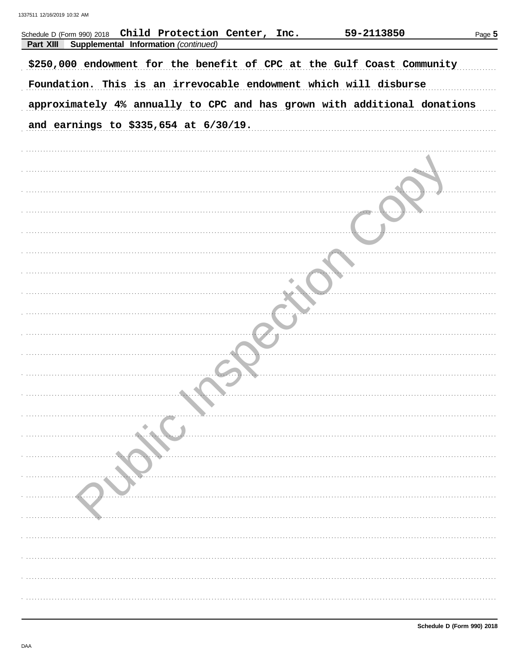| Schedule D (Form 990) 2018 Child Protection Center, Inc.                 | 59-2113850 | Page 5 |
|--------------------------------------------------------------------------|------------|--------|
| Supplemental Information (continued)<br>Part XIII                        |            |        |
| \$250,000 endowment for the benefit of CPC at the Gulf Coast Community   |            |        |
| Foundation. This is an irrevocable endowment which will disburse         |            |        |
| approximately 4% annually to CPC and has grown with additional donations |            |        |
| and earnings to \$335,654 at 6/30/19.                                    |            |        |
|                                                                          |            |        |
|                                                                          |            |        |
|                                                                          |            |        |
|                                                                          |            |        |
|                                                                          |            |        |
|                                                                          |            |        |
|                                                                          |            |        |
|                                                                          |            |        |
|                                                                          |            |        |
|                                                                          |            |        |
|                                                                          |            |        |
|                                                                          |            |        |
|                                                                          |            |        |
|                                                                          |            |        |
|                                                                          |            |        |
|                                                                          |            |        |
|                                                                          |            |        |
|                                                                          |            |        |
|                                                                          |            |        |
|                                                                          |            |        |
|                                                                          |            |        |
|                                                                          |            |        |
|                                                                          |            |        |
|                                                                          |            |        |
|                                                                          |            |        |
|                                                                          |            |        |
|                                                                          |            |        |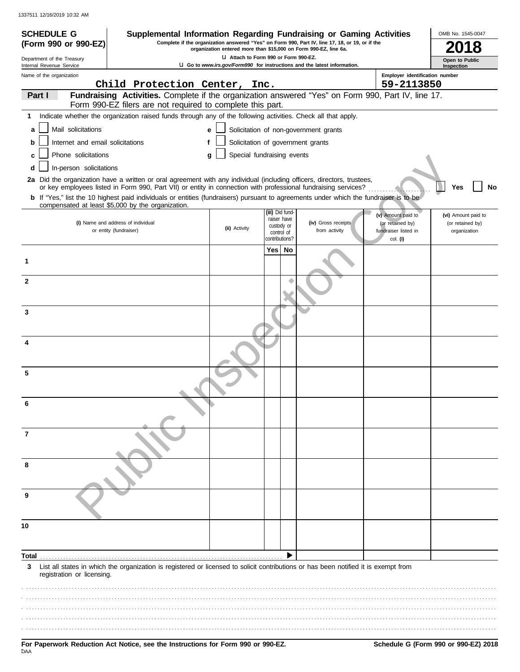| <b>SCHEDULE G</b>                                      | Supplemental Information Regarding Fundraising or Gaming Activities                                                                                                                                                                      |     |                                      |                          |                 |                                                                          |                                              | OMB No. 1545-0047                |
|--------------------------------------------------------|------------------------------------------------------------------------------------------------------------------------------------------------------------------------------------------------------------------------------------------|-----|--------------------------------------|--------------------------|-----------------|--------------------------------------------------------------------------|----------------------------------------------|----------------------------------|
| (Form 990 or 990-EZ)                                   | Complete if the organization answered "Yes" on Form 990, Part IV, line 17, 18, or 19, or if the                                                                                                                                          | 018 |                                      |                          |                 |                                                                          |                                              |                                  |
| Department of the Treasury<br>Internal Revenue Service |                                                                                                                                                                                                                                          |     | U Attach to Form 990 or Form 990-EZ. |                          |                 | U Go to www.irs.gov/Form990 for instructions and the latest information. |                                              | Open to Public                   |
| Name of the organization                               | Child Protection Center, Inc.                                                                                                                                                                                                            |     |                                      |                          |                 |                                                                          | Employer identification number<br>59-2113850 | Inspection                       |
| Part I                                                 | Fundraising Activities. Complete if the organization answered "Yes" on Form 990, Part IV, line 17.                                                                                                                                       |     |                                      |                          |                 |                                                                          |                                              |                                  |
|                                                        | Form 990-EZ filers are not required to complete this part.                                                                                                                                                                               |     |                                      |                          |                 |                                                                          |                                              |                                  |
| 1                                                      | Indicate whether the organization raised funds through any of the following activities. Check all that apply.                                                                                                                            |     |                                      |                          |                 |                                                                          |                                              |                                  |
| Mail solicitations<br>a                                |                                                                                                                                                                                                                                          | e   |                                      |                          |                 | Solicitation of non-government grants                                    |                                              |                                  |
| Internet and email solicitations<br>b                  | f                                                                                                                                                                                                                                        |     | Solicitation of government grants    |                          |                 |                                                                          |                                              |                                  |
| Phone solicitations<br>c                               |                                                                                                                                                                                                                                          | g   | Special fundraising events           |                          |                 |                                                                          |                                              |                                  |
| In-person solicitations<br>d                           |                                                                                                                                                                                                                                          |     |                                      |                          |                 |                                                                          |                                              |                                  |
|                                                        | 2a Did the organization have a written or oral agreement with any individual (including officers, directors, trustees,<br>or key employees listed in Form 990, Part VII) or entity in connection with professional fundraising services? |     |                                      |                          |                 |                                                                          |                                              | Yes<br>No                        |
|                                                        | b If "Yes," list the 10 highest paid individuals or entities (fundraisers) pursuant to agreements under which the fundraiser is to be<br>compensated at least \$5,000 by the organization.                                               |     |                                      |                          |                 |                                                                          |                                              |                                  |
|                                                        |                                                                                                                                                                                                                                          |     |                                      | raiser have              | (iii) Did fund- |                                                                          | (v) Amount paid to                           | (vi) Amount paid to              |
|                                                        | (i) Name and address of individual<br>or entity (fundraiser)                                                                                                                                                                             |     | (ii) Activity                        | custody or<br>control of |                 | (iv) Gross receipts<br>from activity                                     | (or retained by)<br>fundraiser listed in     | (or retained by)<br>organization |
|                                                        |                                                                                                                                                                                                                                          |     |                                      | contributions?           |                 |                                                                          | col. (i)                                     |                                  |
| 1                                                      |                                                                                                                                                                                                                                          |     |                                      | Yes   No                 |                 |                                                                          |                                              |                                  |
|                                                        |                                                                                                                                                                                                                                          |     |                                      |                          |                 |                                                                          |                                              |                                  |
| $\mathbf{2}$                                           |                                                                                                                                                                                                                                          |     |                                      |                          |                 |                                                                          |                                              |                                  |
| 3                                                      |                                                                                                                                                                                                                                          |     |                                      |                          |                 |                                                                          |                                              |                                  |
|                                                        |                                                                                                                                                                                                                                          |     |                                      |                          |                 |                                                                          |                                              |                                  |
|                                                        |                                                                                                                                                                                                                                          |     |                                      |                          |                 |                                                                          |                                              |                                  |
| 5                                                      |                                                                                                                                                                                                                                          |     |                                      |                          |                 |                                                                          |                                              |                                  |
| 6                                                      |                                                                                                                                                                                                                                          |     |                                      |                          |                 |                                                                          |                                              |                                  |
|                                                        |                                                                                                                                                                                                                                          |     |                                      |                          |                 |                                                                          |                                              |                                  |
| 7                                                      |                                                                                                                                                                                                                                          |     |                                      |                          |                 |                                                                          |                                              |                                  |
| 8                                                      |                                                                                                                                                                                                                                          |     |                                      |                          |                 |                                                                          |                                              |                                  |
|                                                        |                                                                                                                                                                                                                                          |     |                                      |                          |                 |                                                                          |                                              |                                  |
|                                                        |                                                                                                                                                                                                                                          |     |                                      |                          |                 |                                                                          |                                              |                                  |
| 10                                                     |                                                                                                                                                                                                                                          |     |                                      |                          |                 |                                                                          |                                              |                                  |
| Total                                                  |                                                                                                                                                                                                                                          |     |                                      |                          |                 |                                                                          |                                              |                                  |
| 3<br>registration or licensing.                        | List all states in which the organization is registered or licensed to solicit contributions or has been notified it is exempt from                                                                                                      |     |                                      |                          |                 |                                                                          |                                              |                                  |
|                                                        |                                                                                                                                                                                                                                          |     |                                      |                          |                 |                                                                          |                                              |                                  |
|                                                        |                                                                                                                                                                                                                                          |     |                                      |                          |                 |                                                                          |                                              |                                  |
|                                                        |                                                                                                                                                                                                                                          |     |                                      |                          |                 |                                                                          |                                              |                                  |
|                                                        |                                                                                                                                                                                                                                          |     |                                      |                          |                 |                                                                          |                                              |                                  |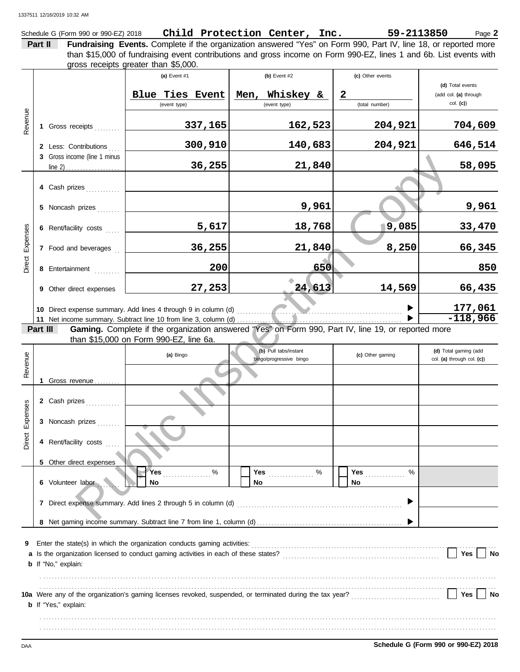### Schedule G (Form 990 or 990-EZ) 2018 Let Child Protection Center, Inc. 59-2113850 Page 2

**Part II Fundraising Events.** Complete if the organization answered "Yes" on Form 990, Part IV, line 18, or reported more gross receipts greater than \$5,000. than \$15,000 of fundraising event contributions and gross income on Form 990-EZ, lines 1 and 6b. List events with gross receipts groster than \$5,000.

|          |                  | gross receipts greater than \$5,000.                           |           |                |              |  |                  |                         |        |              |                                                                                                     |                                           |
|----------|------------------|----------------------------------------------------------------|-----------|----------------|--------------|--|------------------|-------------------------|--------|--------------|-----------------------------------------------------------------------------------------------------|-------------------------------------------|
|          |                  |                                                                |           | (a) Event $#1$ |              |  |                  | (b) Event $#2$          |        |              | (c) Other events                                                                                    |                                           |
|          |                  |                                                                |           | Blue Ties      | <b>Event</b> |  |                  | Men, Whiskey &          |        | $\mathbf{2}$ |                                                                                                     | (d) Total events<br>(add col. (a) through |
|          |                  |                                                                |           | (event type)   |              |  |                  | (event type)            |        |              | (total number)                                                                                      | col. (c)                                  |
|          |                  |                                                                |           |                |              |  |                  |                         |        |              |                                                                                                     |                                           |
| Revenue  |                  | 1 Gross receipts                                               |           |                | 337,165      |  |                  | 162,523                 |        |              | 204,921                                                                                             | 704,609                                   |
|          |                  | 2 Less: Contributions                                          |           |                | 300,910      |  |                  | 140,683                 |        |              | 204,921                                                                                             | 646,514                                   |
|          |                  | 3 Gross income (line 1 minus                                   |           |                | 36,255       |  |                  |                         | 21,840 |              |                                                                                                     | 58,095                                    |
|          |                  | 4 Cash prizes                                                  |           |                |              |  |                  |                         |        |              |                                                                                                     |                                           |
|          | 5 Noncash prizes |                                                                |           |                |              |  |                  |                         | 9,961  |              |                                                                                                     | 9,961                                     |
|          |                  | 6 Rent/facility costs                                          |           | 5,617          |              |  |                  |                         |        |              | 9,085                                                                                               | 33,470                                    |
| Expenses |                  | 7 Food and beverages                                           |           |                | 36,255       |  | 18,768<br>21,840 |                         |        |              |                                                                                                     | 66,345                                    |
| Direct   |                  |                                                                |           |                |              |  |                  |                         |        |              | 8,250                                                                                               |                                           |
|          |                  | 8 Entertainment                                                |           |                | 200          |  |                  |                         | 650    |              |                                                                                                     | 850                                       |
|          |                  | 9 Other direct expenses                                        |           |                | 27,253       |  |                  |                         | 24,613 |              | 14,569                                                                                              | 66,435                                    |
|          |                  | 10 Direct expense summary. Add lines 4 through 9 in column (d) |           |                |              |  |                  |                         |        |              |                                                                                                     | $\frac{177,061}{-118,966}$                |
|          |                  |                                                                |           |                |              |  |                  |                         |        |              |                                                                                                     |                                           |
|          | Part III         | than \$15,000 on Form 990-EZ, line 6a.                         |           |                |              |  |                  |                         |        |              | Gaming. Complete if the organization answered "Yes" on Form 990, Part IV, line 19, or reported more |                                           |
|          |                  |                                                                |           |                |              |  |                  | (b) Pull tabs/instant   |        |              |                                                                                                     | (d) Total gaming (add                     |
|          |                  |                                                                |           | (a) Bingo      |              |  |                  | bingo/progressive bingo |        |              | (c) Other gaming                                                                                    | col. (a) through col. (c))                |
| Revenue  |                  |                                                                |           |                |              |  |                  |                         |        |              |                                                                                                     |                                           |
|          |                  | 1 Gross revenue                                                |           |                |              |  |                  |                         |        |              |                                                                                                     |                                           |
|          |                  | 2 Cash prizes                                                  |           |                |              |  |                  |                         |        |              |                                                                                                     |                                           |
| Expenses |                  | 3 Noncash prizes                                               |           |                |              |  |                  |                         |        |              |                                                                                                     |                                           |
| Direct   |                  | 4 Rent/facility costs                                          |           |                |              |  |                  |                         |        |              |                                                                                                     |                                           |
|          |                  | 5 Other direct expenses                                        |           |                |              |  |                  |                         |        |              |                                                                                                     |                                           |
|          |                  | 6 Volunteer labor                                              | Yes<br>No |                | %            |  | Yes<br>No        |                         | $\%$   |              | Yes<br>%<br>No                                                                                      |                                           |
|          |                  | 7 Direct expense summary. Add lines 2 through 5 in column (d)  |           |                |              |  |                  |                         |        |              |                                                                                                     |                                           |
|          |                  |                                                                |           |                |              |  |                  |                         |        |              |                                                                                                     |                                           |

**8** Net gaming income summary. Subtract line 7 from line 1, column (d) . . . . . . . . . . . . . . . . . . . . . . . . . . . . . . . . . . . . . . . . . . . . . . . . . . . **7** Direct expense summary. Add lines 2 through 5 in column (d) . . . . . . . . . . . . . . . . . . . . . . . . . . . . . . . . . . . . . . . . . . . . . . . . . . . . . . . . . .

| 9 Enter the state(s) in which the organization conducts gaming activities:                                |     |  |
|-----------------------------------------------------------------------------------------------------------|-----|--|
| a Is the organization licensed to conduct gaming activities in each of these states?                      | Yes |  |
| <b>b</b> If "No," explain:                                                                                |     |  |
|                                                                                                           |     |  |
|                                                                                                           |     |  |
| 10a Were any of the organization's gaming licenses revoked, suspended, or terminated during the tax year? | Yes |  |
| <b>b</b> If "Yes," explain:                                                                               |     |  |
|                                                                                                           |     |  |
|                                                                                                           |     |  |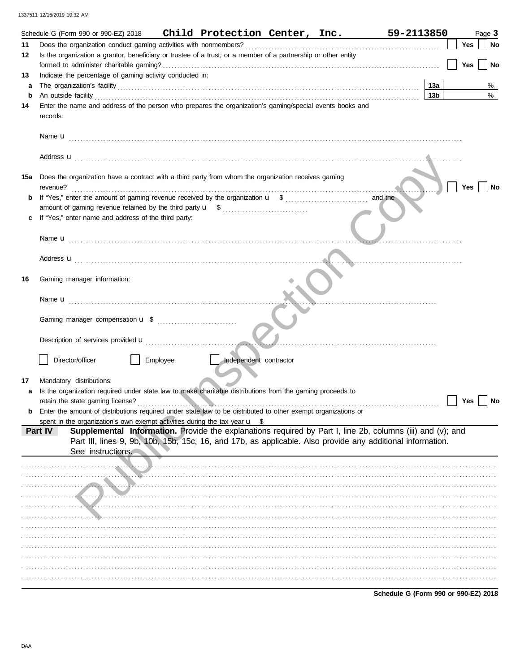|             | Schedule G (Form 990 or 990-EZ) 2018                                                                                                                                                                                                 |          | Child Protection Center, Inc. |  | 59-2113850      |     | Page 3 |
|-------------|--------------------------------------------------------------------------------------------------------------------------------------------------------------------------------------------------------------------------------------|----------|-------------------------------|--|-----------------|-----|--------|
| 11          |                                                                                                                                                                                                                                      |          |                               |  |                 | Yes | No     |
| 12          | Is the organization a grantor, beneficiary or trustee of a trust, or a member of a partnership or other entity                                                                                                                       |          |                               |  |                 |     |        |
|             |                                                                                                                                                                                                                                      |          |                               |  |                 | Yes | No     |
| 13          | Indicate the percentage of gaming activity conducted in:                                                                                                                                                                             |          |                               |  |                 |     |        |
| a           |                                                                                                                                                                                                                                      |          |                               |  | 13а             |     | %      |
| $\mathbf b$ | An outside facility <b>contained a set of the contract of the contract of the contract of the contract of the contract of the contract of the contract of the contract of the contract of the contract of the contract of the co</b> |          |                               |  | 13 <sub>b</sub> |     | %      |
| 14          | Enter the name and address of the person who prepares the organization's gaming/special events books and                                                                                                                             |          |                               |  |                 |     |        |
|             | records:                                                                                                                                                                                                                             |          |                               |  |                 |     |        |
|             |                                                                                                                                                                                                                                      |          |                               |  |                 |     |        |
|             |                                                                                                                                                                                                                                      |          |                               |  |                 |     |        |
|             |                                                                                                                                                                                                                                      |          |                               |  |                 |     |        |
|             |                                                                                                                                                                                                                                      |          |                               |  |                 |     |        |
|             |                                                                                                                                                                                                                                      |          |                               |  |                 |     |        |
| 15a         | Does the organization have a contract with a third party from whom the organization receives gaming                                                                                                                                  |          |                               |  |                 |     |        |
|             | revenue?                                                                                                                                                                                                                             |          |                               |  |                 | Yes | No     |
| b           |                                                                                                                                                                                                                                      |          |                               |  |                 |     |        |
|             |                                                                                                                                                                                                                                      |          |                               |  |                 |     |        |
| C           | If "Yes," enter name and address of the third party:                                                                                                                                                                                 |          |                               |  |                 |     |        |
|             |                                                                                                                                                                                                                                      |          |                               |  |                 |     |        |
|             |                                                                                                                                                                                                                                      |          |                               |  |                 |     |        |
|             |                                                                                                                                                                                                                                      |          |                               |  |                 |     |        |
|             |                                                                                                                                                                                                                                      |          |                               |  |                 |     |        |
|             | Address <b>u</b> entertainment and the contract of the contract of the contract of the contract of the contract of the contract of the contract of the contract of the contract of the contract of the contract of the contract of   |          |                               |  |                 |     |        |
| 16          | Gaming manager information:                                                                                                                                                                                                          |          |                               |  |                 |     |        |
|             |                                                                                                                                                                                                                                      |          |                               |  |                 |     |        |
|             |                                                                                                                                                                                                                                      |          |                               |  |                 |     |        |
|             |                                                                                                                                                                                                                                      |          |                               |  |                 |     |        |
|             |                                                                                                                                                                                                                                      |          |                               |  |                 |     |        |
|             |                                                                                                                                                                                                                                      |          |                               |  |                 |     |        |
|             |                                                                                                                                                                                                                                      |          |                               |  |                 |     |        |
|             |                                                                                                                                                                                                                                      |          |                               |  |                 |     |        |
|             | Director/officer                                                                                                                                                                                                                     | Employee | Independent contractor        |  |                 |     |        |
|             |                                                                                                                                                                                                                                      |          |                               |  |                 |     |        |
| 17          | Mandatory distributions:                                                                                                                                                                                                             |          |                               |  |                 |     |        |
| a           | Is the organization required under state law to make charitable distributions from the gaming proceeds to                                                                                                                            |          |                               |  |                 |     |        |
|             |                                                                                                                                                                                                                                      |          |                               |  |                 | Yes | No     |
| b           | Enter the amount of distributions required under state law to be distributed to other exempt organizations or                                                                                                                        |          |                               |  |                 |     |        |
|             | spent in the organization's own exempt activities during the tax year $\mathbf{u}$ \$                                                                                                                                                |          |                               |  |                 |     |        |
|             | Supplemental Information. Provide the explanations required by Part I, line 2b, columns (iii) and (v); and<br>Part IV                                                                                                                |          |                               |  |                 |     |        |
|             | Part III, lines 9, 9b, 10b, 15b, 15c, 16, and 17b, as applicable. Also provide any additional information.                                                                                                                           |          |                               |  |                 |     |        |
|             | See instructions.                                                                                                                                                                                                                    |          |                               |  |                 |     |        |
|             |                                                                                                                                                                                                                                      |          |                               |  |                 |     |        |
|             |                                                                                                                                                                                                                                      |          |                               |  |                 |     |        |
|             |                                                                                                                                                                                                                                      |          |                               |  |                 |     |        |
|             |                                                                                                                                                                                                                                      |          |                               |  |                 |     |        |
|             |                                                                                                                                                                                                                                      |          |                               |  |                 |     |        |
|             |                                                                                                                                                                                                                                      |          |                               |  |                 |     |        |
|             |                                                                                                                                                                                                                                      |          |                               |  |                 |     |        |
|             |                                                                                                                                                                                                                                      |          |                               |  |                 |     |        |
|             |                                                                                                                                                                                                                                      |          |                               |  |                 |     |        |
|             |                                                                                                                                                                                                                                      |          |                               |  |                 |     |        |
|             |                                                                                                                                                                                                                                      |          |                               |  |                 |     |        |
|             |                                                                                                                                                                                                                                      |          |                               |  |                 |     |        |
|             |                                                                                                                                                                                                                                      |          |                               |  |                 |     |        |
|             |                                                                                                                                                                                                                                      |          |                               |  |                 |     |        |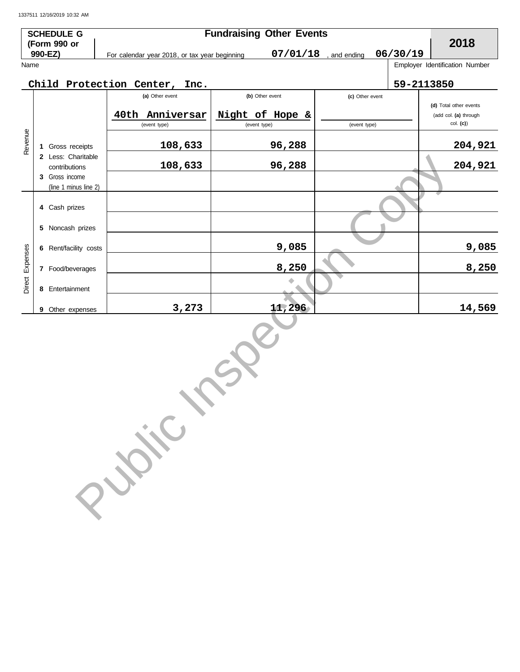|          | <b>SCHEDULE G</b>                                                              |                                               | <b>Fundraising Other Events</b>    |                                |          |                                                                |
|----------|--------------------------------------------------------------------------------|-----------------------------------------------|------------------------------------|--------------------------------|----------|----------------------------------------------------------------|
| 990-EZ)  | (Form 990 or                                                                   | For calendar year 2018, or tax year beginning | 07/01/18                           | , and ending                   | 06/30/19 | 2018                                                           |
| Name     |                                                                                |                                               |                                    | Employer Identification Number |          |                                                                |
|          | Child Protection Center,                                                       |                                               | 59-2113850                         |                                |          |                                                                |
|          |                                                                                | (a) Other event<br>40th Anniversar            | (b) Other event<br>Night of Hope & | (c) Other event                |          | (d) Total other events<br>(add col. (a) through<br>$col.$ (c)) |
| Revenue  | 1 Gross receipts                                                               | (event type)<br>108,633                       | (event type)<br>96,288             | (event type)                   |          | 204,921                                                        |
|          | 2 Less: Charitable<br>contributions<br>3 Gross income<br>(line 1 minus line 2) | 108,633                                       | 96,288                             |                                |          | 204,921                                                        |
|          | 4 Cash prizes                                                                  |                                               |                                    |                                |          |                                                                |
|          | 5 Noncash prizes                                                               |                                               |                                    |                                |          |                                                                |
|          | 6 Rent/facility costs                                                          |                                               | 9,085                              |                                |          | 9,085                                                          |
| Expenses | 7 Food/beverages                                                               |                                               | 8,250                              |                                |          | 8,250                                                          |
| Direct   | 8 Entertainment                                                                |                                               |                                    |                                |          |                                                                |
|          | 9 Other expenses                                                               | 3,273                                         | 11,296                             |                                |          | 14,569                                                         |
|          |                                                                                | O Sipie                                       |                                    |                                |          |                                                                |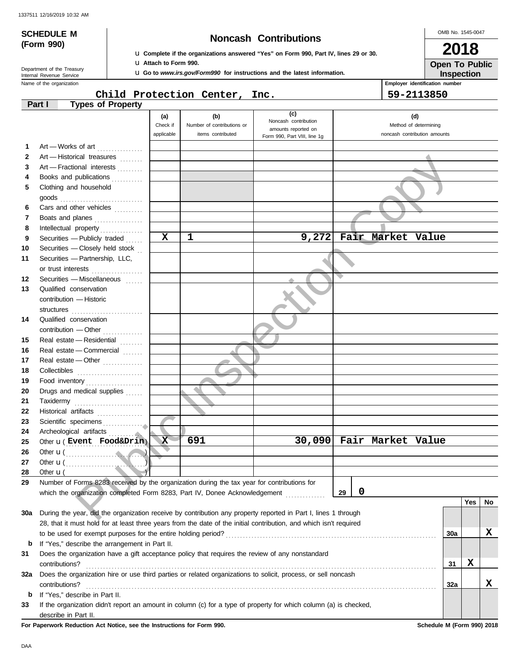### **SCHEDULE M Noncash Contributions**

OMB No. 1545-0047 **2018**

**Inspection Open To Public**

| (Form 990) |  |
|------------|--|

#### u **Complete if the organizations answered "Yes" on Form 990, Part IV, lines 29 or 30.** u **Attach to Form 990.**

u **Go to** *www.irs.gov/Form990* **for instructions and the latest information.**

Name of the organization **Employer identification number Employer identification number** Department of the Treasury<br>Internal Revenue Service

### **Child Protection Center, Inc. 59-2113850**

|              | <b>Types of Property</b><br>Part I                                                                                                                                                                                                         |             |                            |                                             |                              |     |     |    |
|--------------|--------------------------------------------------------------------------------------------------------------------------------------------------------------------------------------------------------------------------------------------|-------------|----------------------------|---------------------------------------------|------------------------------|-----|-----|----|
|              |                                                                                                                                                                                                                                            | (a)         | (b)                        | (c)                                         | (d)                          |     |     |    |
|              |                                                                                                                                                                                                                                            | Check if    | Number of contributions or | Noncash contribution<br>amounts reported on | Method of determining        |     |     |    |
|              |                                                                                                                                                                                                                                            | applicable  | items contributed          | Form 990, Part VIII, line 1g                | noncash contribution amounts |     |     |    |
| 1            | Art - Works of art                                                                                                                                                                                                                         |             |                            |                                             |                              |     |     |    |
| $\mathbf{2}$ | Art - Historical treasures                                                                                                                                                                                                                 |             |                            |                                             |                              |     |     |    |
| 3            | Art - Fractional interests                                                                                                                                                                                                                 |             |                            |                                             |                              |     |     |    |
| 4            | Books and publications                                                                                                                                                                                                                     |             |                            |                                             |                              |     |     |    |
| 5            | Clothing and household                                                                                                                                                                                                                     |             |                            |                                             |                              |     |     |    |
|              | goods<br><i>compare in the set of the set of the set of the set of the set of the set of the set of the set of the set of the set of the set of the set of the set of the set of the set of the set of the set of the set of the s</i>     |             |                            |                                             |                              |     |     |    |
| 6            | Cars and other vehicles                                                                                                                                                                                                                    |             |                            |                                             |                              |     |     |    |
| 7            | Boats and planes                                                                                                                                                                                                                           |             |                            |                                             |                              |     |     |    |
| 8            | Intellectual property                                                                                                                                                                                                                      |             |                            |                                             |                              |     |     |    |
| 9            | Securities - Publicly traded                                                                                                                                                                                                               | $\mathbf x$ | $\mathbf 1$                | 9,272                                       | Fair Market Value            |     |     |    |
| 10           | Securities - Closely held stock                                                                                                                                                                                                            |             |                            |                                             |                              |     |     |    |
| 11           | Securities - Partnership, LLC,                                                                                                                                                                                                             |             |                            |                                             |                              |     |     |    |
|              | or trust interests                                                                                                                                                                                                                         |             |                            |                                             |                              |     |     |    |
| 12           | Securities - Miscellaneous                                                                                                                                                                                                                 |             |                            |                                             |                              |     |     |    |
| 13           | Qualified conservation                                                                                                                                                                                                                     |             |                            |                                             |                              |     |     |    |
|              | contribution - Historic                                                                                                                                                                                                                    |             |                            |                                             |                              |     |     |    |
|              | structures                                                                                                                                                                                                                                 |             |                            |                                             |                              |     |     |    |
| 14           | Qualified conservation                                                                                                                                                                                                                     |             |                            |                                             |                              |     |     |    |
|              | contribution - Other                                                                                                                                                                                                                       |             |                            |                                             |                              |     |     |    |
| 15           | Real estate - Residential                                                                                                                                                                                                                  |             |                            |                                             |                              |     |     |    |
| 16           | Real estate - Commercial                                                                                                                                                                                                                   |             |                            |                                             |                              |     |     |    |
| 17           | Real estate - Other                                                                                                                                                                                                                        |             |                            |                                             |                              |     |     |    |
| 18           |                                                                                                                                                                                                                                            |             |                            |                                             |                              |     |     |    |
| 19           | Food inventory                                                                                                                                                                                                                             |             |                            |                                             |                              |     |     |    |
| 20           | Drugs and medical supplies                                                                                                                                                                                                                 |             |                            |                                             |                              |     |     |    |
| 21           |                                                                                                                                                                                                                                            |             |                            |                                             |                              |     |     |    |
| 22           | Historical artifacts                                                                                                                                                                                                                       |             |                            |                                             |                              |     |     |    |
| 23<br>24     | Archeological artifacts                                                                                                                                                                                                                    |             |                            |                                             |                              |     |     |    |
| 25           | Other u(Event Food&Drin)                                                                                                                                                                                                                   | X           | 691                        |                                             | 30,090 Fair Market Value     |     |     |    |
| 26           |                                                                                                                                                                                                                                            |             |                            |                                             |                              |     |     |    |
| 27           | Other <b>u</b> ( <i>contract of the state of the state of the state</i> of the state of the state of the state of the state of the state of the state of the state of the state of the state of the state of the state of the state of the |             |                            |                                             |                              |     |     |    |
| 28           | Other $\mathbf{u}$ (                                                                                                                                                                                                                       |             |                            |                                             |                              |     |     |    |
| 29           | Number of Forms 8283 received by the organization during the tax year for contributions for                                                                                                                                                |             |                            |                                             |                              |     |     |    |
|              | which the organization completed Form 8283, Part IV, Donee Acknowledgement                                                                                                                                                                 |             |                            |                                             | 0<br>29                      |     |     |    |
|              |                                                                                                                                                                                                                                            |             |                            |                                             |                              |     | Yes | No |
| 30a          | During the year, did the organization receive by contribution any property reported in Part I, lines 1 through                                                                                                                             |             |                            |                                             |                              |     |     |    |
|              | 28, that it must hold for at least three years from the date of the initial contribution, and which isn't required                                                                                                                         |             |                            |                                             |                              |     |     |    |
|              |                                                                                                                                                                                                                                            |             |                            |                                             |                              | 30a |     | x  |
| b            | If "Yes," describe the arrangement in Part II.                                                                                                                                                                                             |             |                            |                                             |                              |     |     |    |
| 31           | Does the organization have a gift acceptance policy that requires the review of any nonstandard                                                                                                                                            |             |                            |                                             |                              |     |     |    |
|              | contributions?                                                                                                                                                                                                                             |             |                            |                                             |                              | 31  | X   |    |
| 32a          | Does the organization hire or use third parties or related organizations to solicit, process, or sell noncash                                                                                                                              |             |                            |                                             |                              |     |     |    |
|              | contributions?                                                                                                                                                                                                                             |             |                            |                                             |                              | 32a |     | x  |
| b            | If "Yes," describe in Part II.                                                                                                                                                                                                             |             |                            |                                             |                              |     |     |    |
| 33           | If the organization didn't report an amount in column (c) for a type of property for which column (a) is checked,                                                                                                                          |             |                            |                                             |                              |     |     |    |
|              | describe in Part II.                                                                                                                                                                                                                       |             |                            |                                             |                              |     |     |    |

**For Paperwork Reduction Act Notice, see the Instructions for Form 990. Schedule M (Form 990) 2018**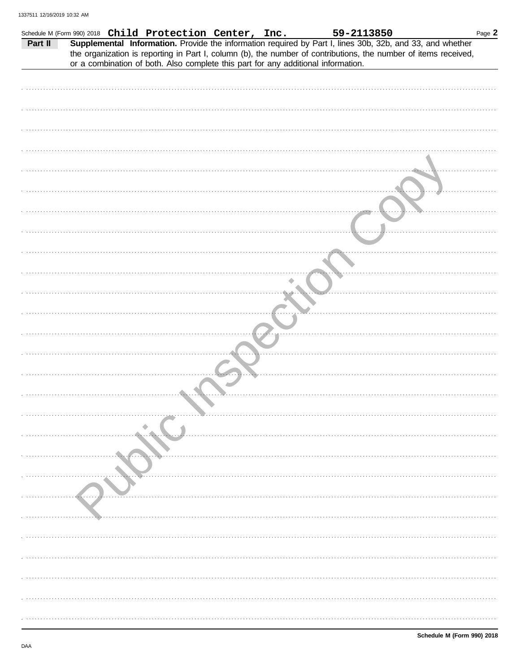|         | Schedule M (Form 990) 2018 Child Protection Center, Inc. |  | 59-2113850                                                                                                                                                                                                                                                                                                        | Page 2 |
|---------|----------------------------------------------------------|--|-------------------------------------------------------------------------------------------------------------------------------------------------------------------------------------------------------------------------------------------------------------------------------------------------------------------|--------|
| Part II |                                                          |  | Supplemental Information. Provide the information required by Part I, lines 30b, 32b, and 33, and whether<br>the organization is reporting in Part I, column (b), the number of contributions, the number of items received,<br>or a combination of both. Also complete this part for any additional information. |        |
|         |                                                          |  |                                                                                                                                                                                                                                                                                                                   |        |
|         |                                                          |  |                                                                                                                                                                                                                                                                                                                   |        |
|         |                                                          |  |                                                                                                                                                                                                                                                                                                                   |        |
|         |                                                          |  |                                                                                                                                                                                                                                                                                                                   |        |
|         |                                                          |  |                                                                                                                                                                                                                                                                                                                   |        |
|         |                                                          |  |                                                                                                                                                                                                                                                                                                                   |        |
|         |                                                          |  |                                                                                                                                                                                                                                                                                                                   |        |
|         |                                                          |  |                                                                                                                                                                                                                                                                                                                   |        |
|         |                                                          |  |                                                                                                                                                                                                                                                                                                                   |        |
|         |                                                          |  |                                                                                                                                                                                                                                                                                                                   |        |
|         |                                                          |  |                                                                                                                                                                                                                                                                                                                   |        |
|         |                                                          |  |                                                                                                                                                                                                                                                                                                                   |        |
|         |                                                          |  |                                                                                                                                                                                                                                                                                                                   |        |
|         |                                                          |  |                                                                                                                                                                                                                                                                                                                   |        |
|         |                                                          |  |                                                                                                                                                                                                                                                                                                                   |        |
|         |                                                          |  |                                                                                                                                                                                                                                                                                                                   |        |
|         |                                                          |  |                                                                                                                                                                                                                                                                                                                   |        |
|         |                                                          |  |                                                                                                                                                                                                                                                                                                                   |        |
|         |                                                          |  |                                                                                                                                                                                                                                                                                                                   |        |
|         |                                                          |  |                                                                                                                                                                                                                                                                                                                   |        |
|         |                                                          |  |                                                                                                                                                                                                                                                                                                                   |        |
|         |                                                          |  |                                                                                                                                                                                                                                                                                                                   |        |
|         |                                                          |  |                                                                                                                                                                                                                                                                                                                   |        |
|         |                                                          |  |                                                                                                                                                                                                                                                                                                                   |        |
|         |                                                          |  |                                                                                                                                                                                                                                                                                                                   |        |
|         |                                                          |  |                                                                                                                                                                                                                                                                                                                   |        |
|         |                                                          |  |                                                                                                                                                                                                                                                                                                                   |        |
|         |                                                          |  |                                                                                                                                                                                                                                                                                                                   |        |
|         |                                                          |  |                                                                                                                                                                                                                                                                                                                   |        |
|         |                                                          |  |                                                                                                                                                                                                                                                                                                                   |        |
|         |                                                          |  |                                                                                                                                                                                                                                                                                                                   |        |
|         |                                                          |  |                                                                                                                                                                                                                                                                                                                   |        |
|         |                                                          |  |                                                                                                                                                                                                                                                                                                                   |        |
|         |                                                          |  |                                                                                                                                                                                                                                                                                                                   |        |
|         |                                                          |  |                                                                                                                                                                                                                                                                                                                   |        |
|         |                                                          |  |                                                                                                                                                                                                                                                                                                                   |        |
|         |                                                          |  |                                                                                                                                                                                                                                                                                                                   |        |
|         |                                                          |  |                                                                                                                                                                                                                                                                                                                   |        |
|         |                                                          |  |                                                                                                                                                                                                                                                                                                                   |        |
|         |                                                          |  |                                                                                                                                                                                                                                                                                                                   |        |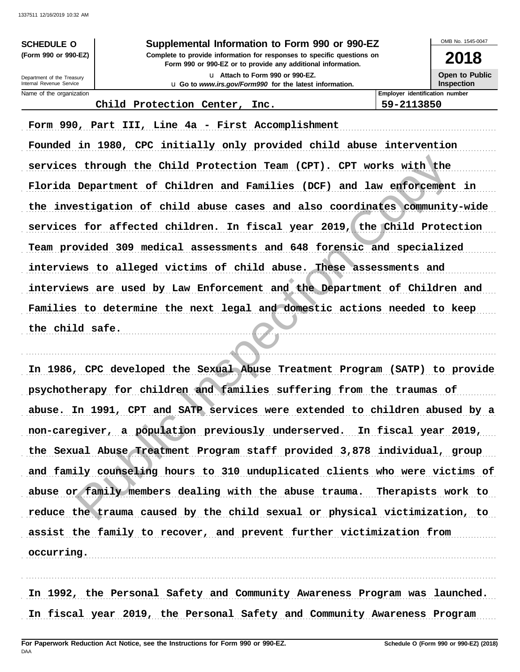#### **SCHEDULE O Supplemental Information to Form 990 or 990-EZ**

**Form 990 or 990-EZ or to provide any additional information. (Form 990 or 990-EZ) Complete to provide information for responses to specific questions on** u **Attach to Form 990 or 990-EZ.**

u **Go to** *www.irs.gov/Form990* **for the latest information.**

OMB No. 1545-0047

**2018 Open to Public**

**Inspection**

Name of the organization **Employer identification number Employer identification number** Internal Revenue Service Department of the Treasury

**Child Protection Center, Inc. 59-2113850**

Form 990, Part III, Line 4a - First Accomplishment Founded in 1980, CPC initially only provided child abuse intervention services through the Child Protection Team (CPT). CPT works with the Florida Department of Children and Families (DCF) and law enforcement in the investigation of child abuse cases and also coordinates community-wide services for affected children. In fiscal year 2019, the Child Protection Team provided 309 medical assessments and 648 forensic and specialized interviews to alleged victims of child abuse. These assessments and interviews are used by Law Enforcement and the Department of Children and Families to determine the next legal and domestic actions needed to keep the child safe. I through the Child Protection Team (CPT). CPT works with the<br>Department of Children and Families (DCF) and law enforcement<br>stigation of child abuse cases and also coordinates community<br>for affected children. In fiscal yea

In 1986, CPC developed the Sexual Abuse Treatment Program (SATP) to provide psychotherapy for children and families suffering from the traumas of abuse. In 1991, CPT and SATP services were extended to children abused by a non-caregiver, a population previously underserved. In fiscal year 2019, the Sexual Abuse Treatment Program staff provided 3,878 individual, group and family counseling hours to 310 unduplicated clients who were victims of abuse or family members dealing with the abuse trauma. Therapists work to reduce the trauma caused by the child sexual or physical victimization, to assist the family to recover, and prevent further victimization from . . . . . . . . . . . . . . . . . . . . . . . . . . . . . . . . . . . . . . . . . . . . . . . . . . . . . . . . . . . . . . . . . . . . . . . . . . . . . . . . . . . . . . . . . . . . . . . . . . . . . . . . . . . . . . . . . . . . . . . . . . . . . . . . . . . . . . . . . . . . . . . . . . . . . . . . . . . . . . . . . . . . . . **occurring.**

. . . . . . . . . . . . . . . . . . . . . . . . . . . . . . . . . . . . . . . . . . . . . . . . . . . . . . . . . . . . . . . . . . . . . . . . . . . . . . . . . . . . . . . . . . . . . . . . . . . . . . . . . . . . . . . . . . . . . . . . . . . . . . . . . . . . . . . . . . . . . . . . . . . . . . . . . . . . . . . . . . . . . .

In 1992, the Personal Safety and Community Awareness Program was launched. In fiscal year 2019, the Personal Safety and Community Awareness Program

. . . . . . . . . . . . . . . . . . . . . . . . . . . . . . . . . . . . . . . . . . . . . . . . . . . . . . . . . . . . . . . . . . . . . . . . . . . . . . . . . . . . . . . . . . . . . . . . . . . . . . . . . . . . . . . . . . . . . . . . . . . . . . . . . . . . . . . . . . . . . . . . . . . . . . . . . . . . . . . . . . . . . .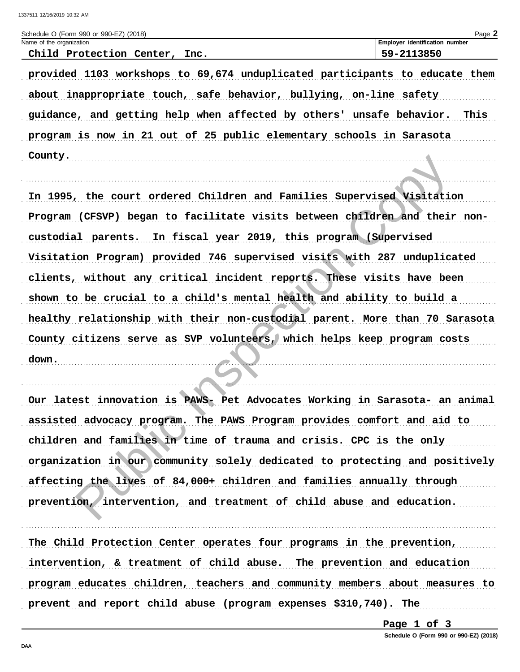$1.111.0$  (F.m. 888  $.000.77$ ) (8848)

| Schedule O (Form 990 or 990-EZ) (2018)<br>$\text{E}$ age $\text{E}$ |                                |  |  |  |  |
|---------------------------------------------------------------------|--------------------------------|--|--|--|--|
| Name of the organization                                            | Emplover identification number |  |  |  |  |
| Child Protection Center,<br>Inc.                                    | 59-2113850                     |  |  |  |  |

provided 1103 workshops to 69,674 unduplicated participants to educate them about inappropriate touch, safe behavior, bullying, on-line safety guidance, and getting help when affected by others' unsafe behavior. This program is now in 21 out of 25 public elementary schools in Sarasota County.

In 1995, the court ordered Children and Families Supervised Visitation Program (CFSVP) began to facilitate visits between children and their noncustodial parents. In fiscal year 2019, this program (Supervised Visitation Program) provided 746 supervised visits with 287 unduplicated clients, without any critical incident reports. These visits have been shown to be crucial to a child's mental health and ability to build a healthy relationship with their non-custodial parent. More than 70 Sarasota County citizens serve as SVP volunteers, which helps keep program costs down.

Our latest innovation is PAWS- Pet Advocates Working in Sarasota- an animal assisted advocacy program. The PAWS Program provides comfort and aid to children and families in time of trauma and crisis. CPC is the only organization in our community solely dedicated to protecting and positively affecting the lives of 84,000+ children and families annually through prevention, intervention, and treatment of child abuse and education.

The Child Protection Center operates four programs in the prevention, intervention, & treatment of child abuse. The prevention and education program educates children, teachers and community members about measures to prevent and report child abuse (program expenses \$310,740). The

Page 1 of 3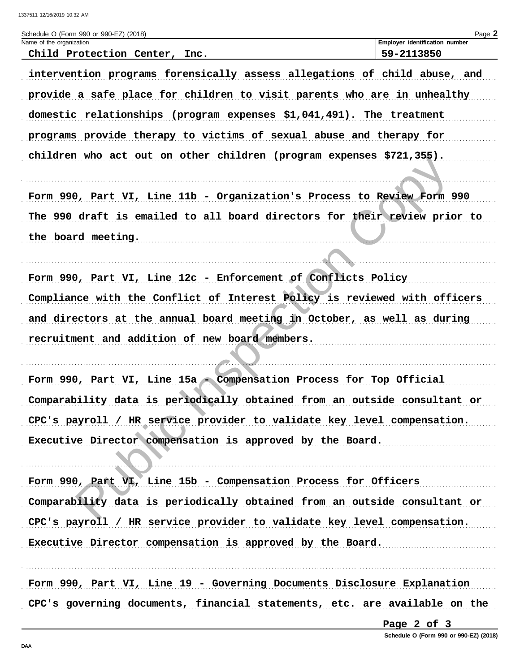| Schedule O (Form 990 or 990-EZ) (2018)                                                                                                                                                                                                                                                                                                                                                                         | Page 2                         |
|----------------------------------------------------------------------------------------------------------------------------------------------------------------------------------------------------------------------------------------------------------------------------------------------------------------------------------------------------------------------------------------------------------------|--------------------------------|
| Name of the organization                                                                                                                                                                                                                                                                                                                                                                                       | Employer identification number |
| Child Protection Center, Inc.<br>intervention programs forensically assess allegations of child abuse, and<br>provide a safe place for children to visit parents who are in unhealthy<br>domestic relationships (program expenses \$1,041,491). The treatment<br>programs provide therapy to victims of sexual abuse and therapy for<br>children who act out on other children (program expenses $$721,355$ ). | 59-2113850                     |
| Form 990, Part VI, Line 11b - Organization's Process to Review Form 990                                                                                                                                                                                                                                                                                                                                        |                                |
| The 990 draft is emailed to all board directors for their review prior to<br>the board meeting.                                                                                                                                                                                                                                                                                                                |                                |
|                                                                                                                                                                                                                                                                                                                                                                                                                |                                |
| Form 990, Part VI, Line 12c - Enforcement of Conflicts Policy                                                                                                                                                                                                                                                                                                                                                  |                                |
| Compliance with the Conflict of Interest Policy is reviewed with officers                                                                                                                                                                                                                                                                                                                                      |                                |
| and directors at the annual board meeting in October, as well as during                                                                                                                                                                                                                                                                                                                                        |                                |
| recruitment and addition of new board members.                                                                                                                                                                                                                                                                                                                                                                 |                                |
|                                                                                                                                                                                                                                                                                                                                                                                                                |                                |
| Form 990, Part VI, Line 15a - Compensation Process for Top Official<br>Comparability data is periodically obtained from an outside consultant or<br>CPC's payroll / HR service provider to validate key level compensation.<br>Executive Director compensation is approved by the Board.<br>Form 990, Part VI, Line 15b - Compensation Process for Officers                                                    |                                |
| Comparability data is periodically obtained from an outside consultant or                                                                                                                                                                                                                                                                                                                                      |                                |
| CPC's payroll / HR service provider to validate key level compensation.                                                                                                                                                                                                                                                                                                                                        |                                |
| Executive Director compensation is approved by the Board.                                                                                                                                                                                                                                                                                                                                                      |                                |
| Form 990, Part VI, Line 19 - Governing Documents Disclosure Explanation                                                                                                                                                                                                                                                                                                                                        |                                |
| CPC's governing documents, financial statements, etc. are available on the                                                                                                                                                                                                                                                                                                                                     |                                |

Page 2 of 3

Schedule O (Form 990 or 990-EZ) (2018)